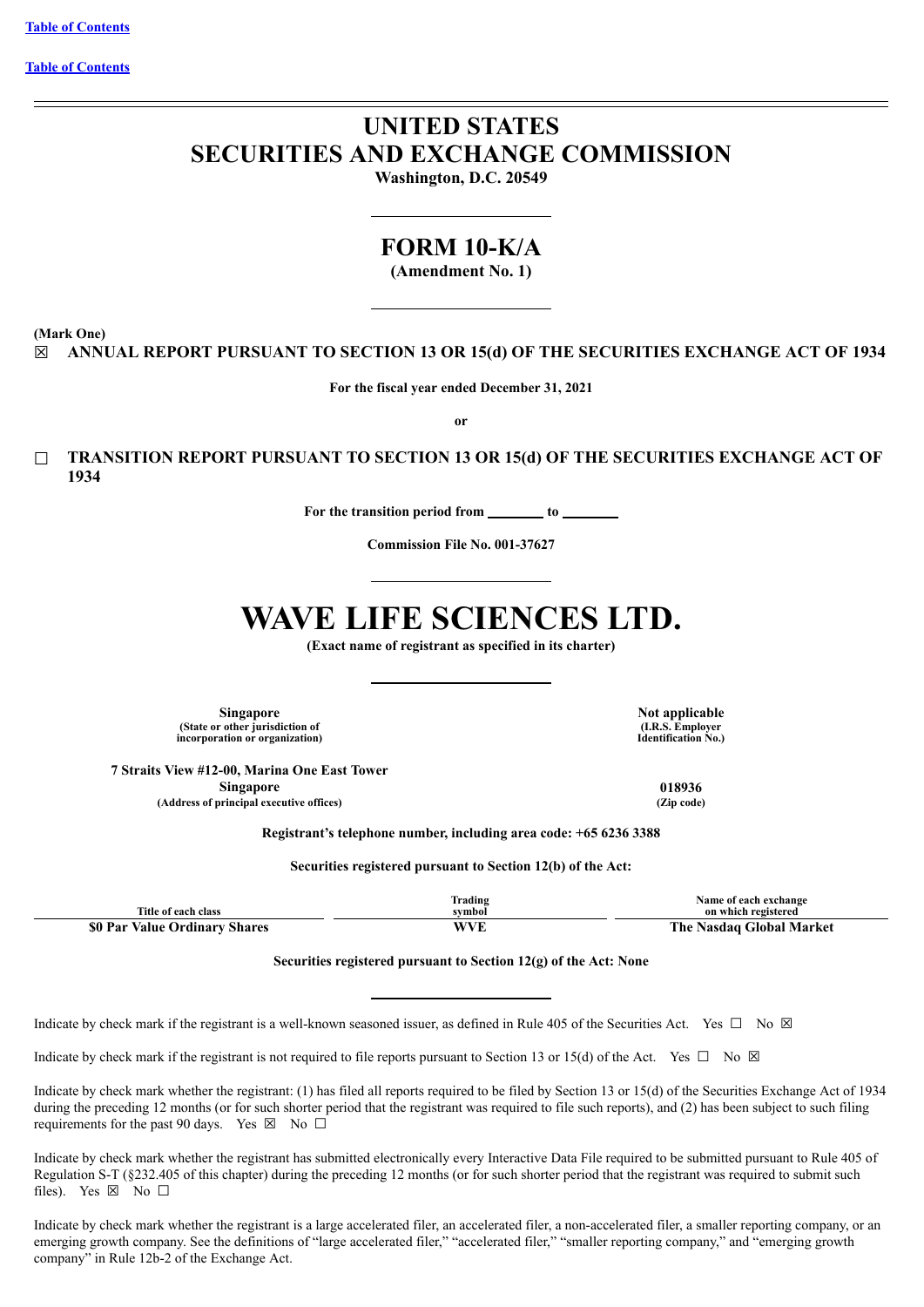**Table of [Contents](#page-4-0)**

# **UNITED STATES SECURITIES AND EXCHANGE COMMISSION**

**Washington, D.C. 20549**

# **FORM 10-K/A**

**(Amendment No. 1)**

**(Mark One)**

☒ **ANNUAL REPORT PURSUANT TO SECTION 13 OR 15(d) OF THE SECURITIES EXCHANGE ACT OF 1934**

**For the fiscal year ended December 31, 2021**

**or**

☐ **TRANSITION REPORT PURSUANT TO SECTION 13 OR 15(d) OF THE SECURITIES EXCHANGE ACT OF 1934**

**For the transition period from to**

**Commission File No. 001-37627**

# **WAVE LIFE SCIENCES LTD.**

**(Exact name of registrant as specified in its charter)**

**Singapore Not applicable (State or other jurisdiction of incorporation or organization)**

**(I.R.S. Employer Identification No.)**

**7 Straits View #12-00, Marina One East Tower Singapore 018936 (Address of principal executive offices) (Zip code)**

**Registrant's telephone number, including area code: +65 6236 3388**

**Securities registered pursuant to Section 12(b) of the Act:**

| Title of each class           | <b>frading</b><br>symbol | Name of each exchange<br>on which registered |
|-------------------------------|--------------------------|----------------------------------------------|
| \$0 Par Value Ordinary Shares | <b>WVF</b><br>' V L      | The Nasdag Global Market                     |
|                               |                          |                                              |

**Securities registered pursuant to Section 12(g) of the Act: None**

Indicate by check mark if the registrant is a well-known seasoned issuer, as defined in Rule 405 of the Securities Act. Yes  $\Box$  No  $\boxtimes$ 

Indicate by check mark if the registrant is not required to file reports pursuant to Section 13 or 15(d) of the Act. Yes  $\Box$  No  $\boxtimes$ 

Indicate by check mark whether the registrant: (1) has filed all reports required to be filed by Section 13 or 15(d) of the Securities Exchange Act of 1934 during the preceding 12 months (or for such shorter period that the registrant was required to file such reports), and (2) has been subject to such filing requirements for the past 90 days. Yes  $\boxtimes$  No  $\Box$ 

Indicate by check mark whether the registrant has submitted electronically every Interactive Data File required to be submitted pursuant to Rule 405 of Regulation S-T (§232.405 of this chapter) during the preceding 12 months (or for such shorter period that the registrant was required to submit such files). Yes  $\boxtimes$  No  $\square$ 

Indicate by check mark whether the registrant is a large accelerated filer, an accelerated filer, a non-accelerated filer, a smaller reporting company, or an emerging growth company. See the definitions of "large accelerated filer," "accelerated filer," "smaller reporting company," and "emerging growth company" in Rule 12b-2 of the Exchange Act.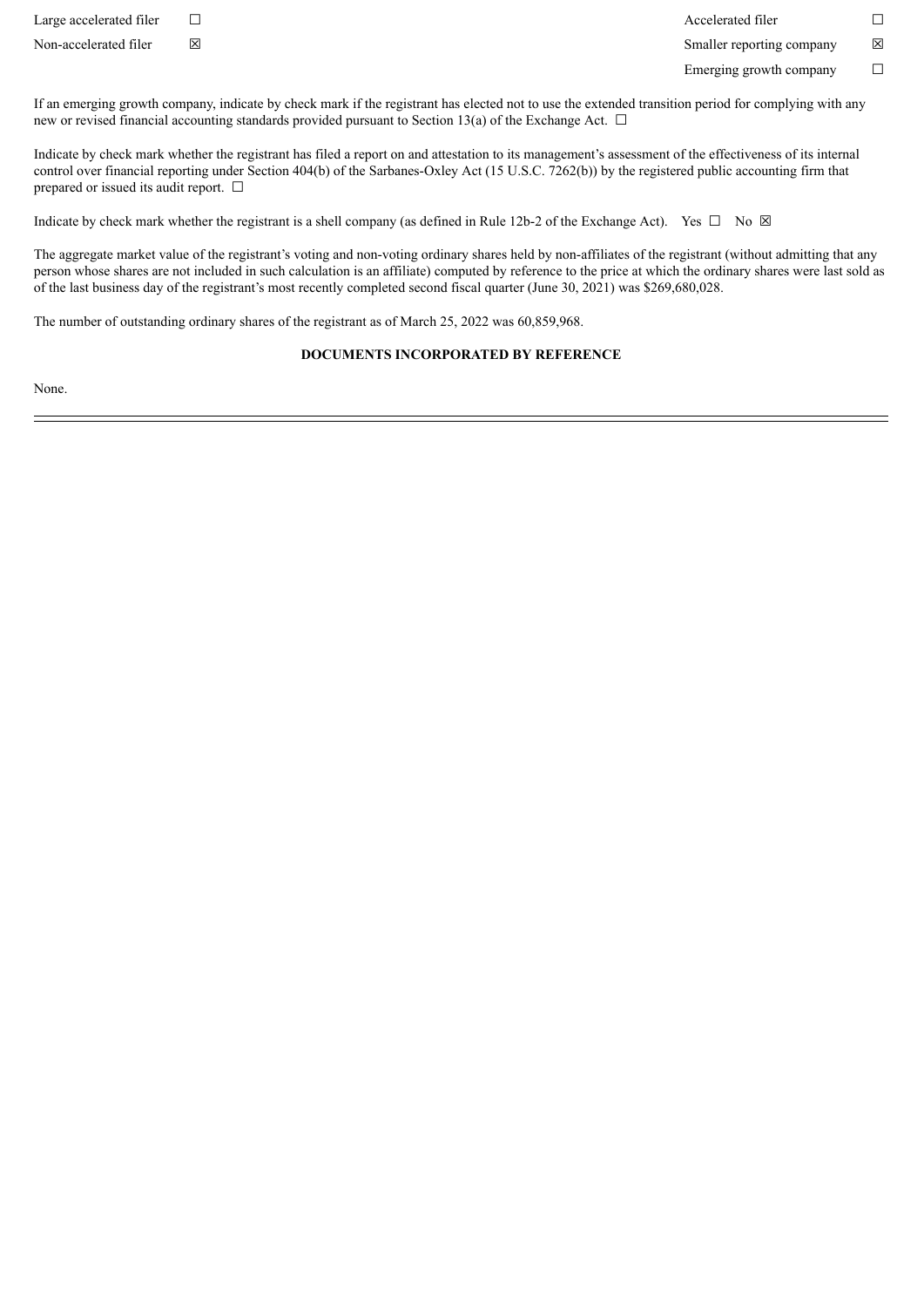Large accelerated filer ☐ Accelerated filer ☐

Non-accelerated filer ⊠ <br>
⊠ Smaller reporting company ⊠

Emerging growth company  $\Box$ 

If an emerging growth company, indicate by check mark if the registrant has elected not to use the extended transition period for complying with any new or revised financial accounting standards provided pursuant to Section 13(a) of the Exchange Act.  $\Box$ 

Indicate by check mark whether the registrant has filed a report on and attestation to its management's assessment of the effectiveness of its internal control over financial reporting under Section 404(b) of the Sarbanes-Oxley Act (15 U.S.C. 7262(b)) by the registered public accounting firm that prepared or issued its audit report. □

Indicate by check mark whether the registrant is a shell company (as defined in Rule 12b-2 of the Exchange Act). Yes  $\Box$  No  $\boxtimes$ 

The aggregate market value of the registrant's voting and non-voting ordinary shares held by non-affiliates of the registrant (without admitting that any person whose shares are not included in such calculation is an affiliate) computed by reference to the price at which the ordinary shares were last sold as of the last business day of the registrant's most recently completed second fiscal quarter (June 30, 2021) was \$269,680,028.

The number of outstanding ordinary shares of the registrant as of March 25, 2022 was 60,859,968.

#### **DOCUMENTS INCORPORATED BY REFERENCE**

None.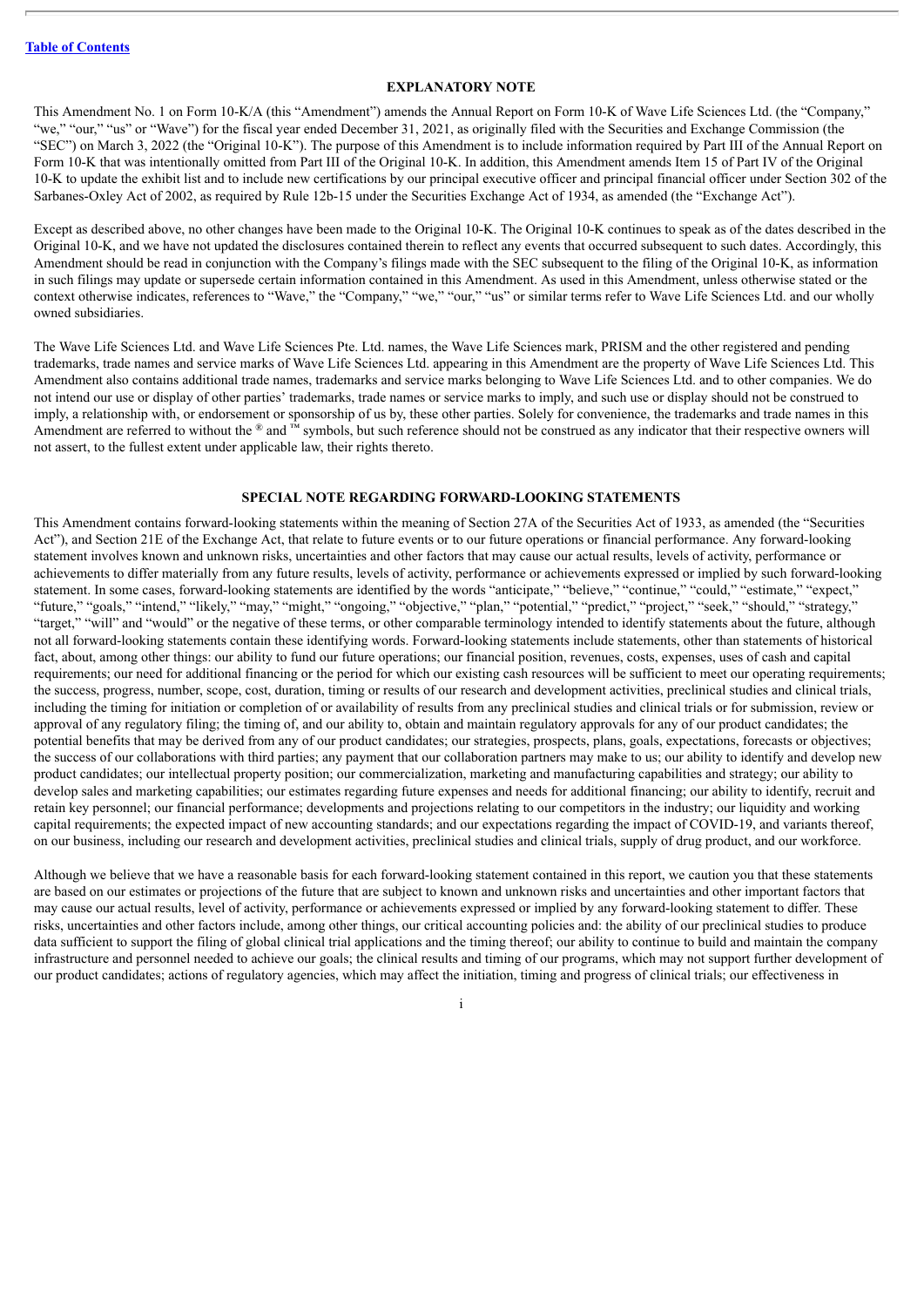#### **EXPLANATORY NOTE**

This Amendment No. 1 on Form 10-K/A (this "Amendment") amends the Annual Report on Form 10-K of Wave Life Sciences Ltd. (the "Company," "we," "our," "us" or "Wave") for the fiscal year ended December 31, 2021, as originally filed with the Securities and Exchange Commission (the "SEC") on March 3, 2022 (the "Original 10-K"). The purpose of this Amendment is to include information required by Part III of the Annual Report on Form 10-K that was intentionally omitted from Part III of the Original 10-K. In addition, this Amendment amends Item 15 of Part IV of the Original 10-K to update the exhibit list and to include new certifications by our principal executive officer and principal financial officer under Section 302 of the Sarbanes-Oxley Act of 2002, as required by Rule 12b-15 under the Securities Exchange Act of 1934, as amended (the "Exchange Act").

Except as described above, no other changes have been made to the Original 10-K. The Original 10-K continues to speak as of the dates described in the Original 10-K, and we have not updated the disclosures contained therein to reflect any events that occurred subsequent to such dates. Accordingly, this Amendment should be read in conjunction with the Company's filings made with the SEC subsequent to the filing of the Original 10-K, as information in such filings may update or supersede certain information contained in this Amendment. As used in this Amendment, unless otherwise stated or the context otherwise indicates, references to "Wave," the "Company," "we," "our," "us" or similar terms refer to Wave Life Sciences Ltd. and our wholly owned subsidiaries.

The Wave Life Sciences Ltd. and Wave Life Sciences Pte. Ltd. names, the Wave Life Sciences mark, PRISM and the other registered and pending trademarks, trade names and service marks of Wave Life Sciences Ltd. appearing in this Amendment are the property of Wave Life Sciences Ltd. This Amendment also contains additional trade names, trademarks and service marks belonging to Wave Life Sciences Ltd. and to other companies. We do not intend our use or display of other parties' trademarks, trade names or service marks to imply, and such use or display should not be construed to imply, a relationship with, or endorsement or sponsorship of us by, these other parties. Solely for convenience, the trademarks and trade names in this Amendment are referred to without the  $\mathcal{R}$  and  $\mathbb{N}$  symbols, but such reference should not be construed as any indicator that their respective owners will not assert, to the fullest extent under applicable law, their rights thereto.

#### **SPECIAL NOTE REGARDING FORWARD-LOOKING STATEMENTS**

This Amendment contains forward-looking statements within the meaning of Section 27A of the Securities Act of 1933, as amended (the "Securities Act"), and Section 21E of the Exchange Act, that relate to future events or to our future operations or financial performance. Any forward-looking statement involves known and unknown risks, uncertainties and other factors that may cause our actual results, levels of activity, performance or achievements to differ materially from any future results, levels of activity, performance or achievements expressed or implied by such forward-looking statement. In some cases, forward-looking statements are identified by the words "anticipate," "believe," "continue," "could," "estimate," "expect," "future," "goals," "intend," "likely," "may," "might," "ongoing," "objective," "plan," "potential," "predict," "project," "seek," "should," "strategy," "target," "will" and "would" or the negative of these terms, or other comparable terminology intended to identify statements about the future, although not all forward-looking statements contain these identifying words. Forward-looking statements include statements, other than statements of historical fact, about, among other things; our ability to fund our future operations; our financial position, revenues, costs, expenses, uses of cash and capital requirements; our need for additional financing or the period for which our existing cash resources will be sufficient to meet our operating requirements; the success, progress, number, scope, cost, duration, timing or results of our research and development activities, preclinical studies and clinical trials, including the timing for initiation or completion of or availability of results from any preclinical studies and clinical trials or for submission, review or approval of any regulatory filing; the timing of, and our ability to, obtain and maintain regulatory approvals for any of our product candidates; the potential benefits that may be derived from any of our product candidates; our strategies, prospects, plans, goals, expectations, forecasts or objectives; the success of our collaborations with third parties; any payment that our collaboration partners may make to us; our ability to identify and develop new product candidates; our intellectual property position; our commercialization, marketing and manufacturing capabilities and strategy; our ability to develop sales and marketing capabilities; our estimates regarding future expenses and needs for additional financing; our ability to identify, recruit and retain key personnel; our financial performance; developments and projections relating to our competitors in the industry; our liquidity and working capital requirements; the expected impact of new accounting standards; and our expectations regarding the impact of COVID-19, and variants thereof, on our business, including our research and development activities, preclinical studies and clinical trials, supply of drug product, and our workforce.

Although we believe that we have a reasonable basis for each forward-looking statement contained in this report, we caution you that these statements are based on our estimates or projections of the future that are subject to known and unknown risks and uncertainties and other important factors that may cause our actual results, level of activity, performance or achievements expressed or implied by any forward-looking statement to differ. These risks, uncertainties and other factors include, among other things, our critical accounting policies and: the ability of our preclinical studies to produce data sufficient to support the filing of global clinical trial applications and the timing thereof; our ability to continue to build and maintain the company infrastructure and personnel needed to achieve our goals; the clinical results and timing of our programs, which may not support further development of our product candidates; actions of regulatory agencies, which may affect the initiation, timing and progress of clinical trials; our effectiveness in

i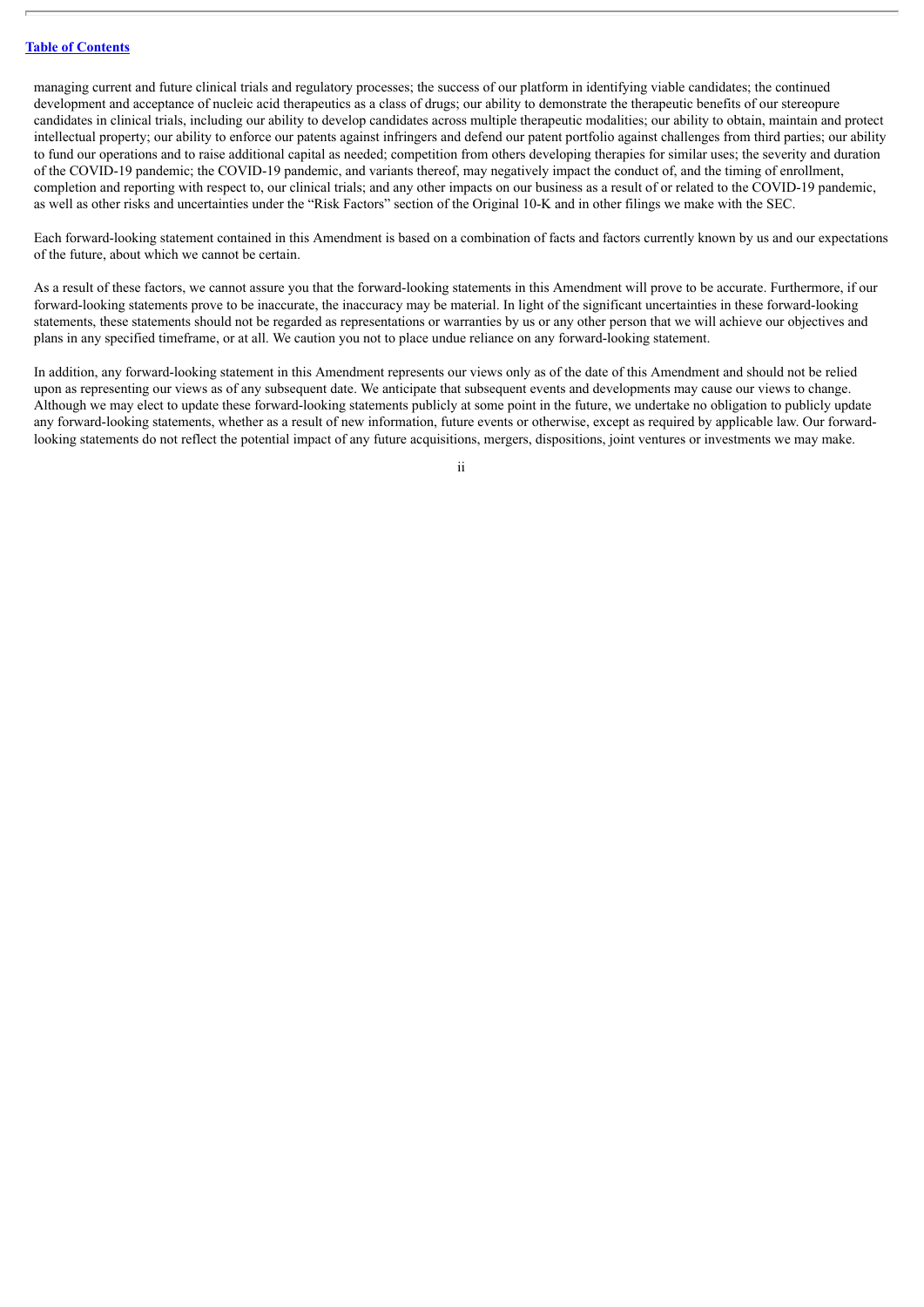managing current and future clinical trials and regulatory processes; the success of our platform in identifying viable candidates; the continued development and acceptance of nucleic acid therapeutics as a class of drugs; our ability to demonstrate the therapeutic benefits of our stereopure candidates in clinical trials, including our ability to develop candidates across multiple therapeutic modalities; our ability to obtain, maintain and protect intellectual property; our ability to enforce our patents against infringers and defend our patent portfolio against challenges from third parties; our ability to fund our operations and to raise additional capital as needed; competition from others developing therapies for similar uses; the severity and duration of the COVID-19 pandemic; the COVID-19 pandemic, and variants thereof, may negatively impact the conduct of, and the timing of enrollment, completion and reporting with respect to, our clinical trials; and any other impacts on our business as a result of or related to the COVID-19 pandemic, as well as other risks and uncertainties under the "Risk Factors" section of the Original 10-K and in other filings we make with the SEC.

Each forward-looking statement contained in this Amendment is based on a combination of facts and factors currently known by us and our expectations of the future, about which we cannot be certain.

As a result of these factors, we cannot assure you that the forward-looking statements in this Amendment will prove to be accurate. Furthermore, if our forward-looking statements prove to be inaccurate, the inaccuracy may be material. In light of the significant uncertainties in these forward-looking statements, these statements should not be regarded as representations or warranties by us or any other person that we will achieve our objectives and plans in any specified timeframe, or at all. We caution you not to place undue reliance on any forward-looking statement.

In addition, any forward-looking statement in this Amendment represents our views only as of the date of this Amendment and should not be relied upon as representing our views as of any subsequent date. We anticipate that subsequent events and developments may cause our views to change. Although we may elect to update these forward-looking statements publicly at some point in the future, we undertake no obligation to publicly update any forward-looking statements, whether as a result of new information, future events or otherwise, except as required by applicable law. Our forwardlooking statements do not reflect the potential impact of any future acquisitions, mergers, dispositions, joint ventures or investments we may make.

ii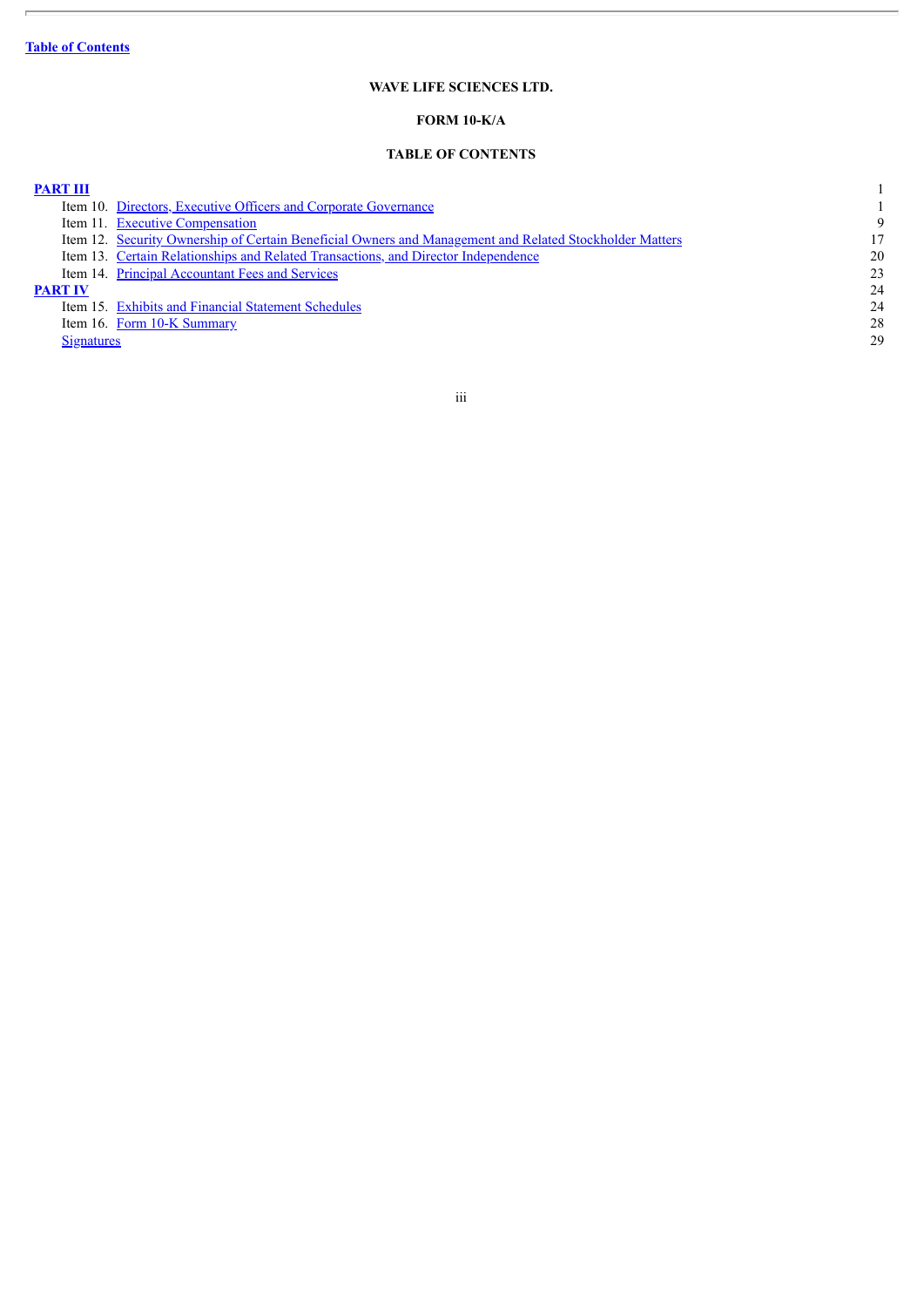$\overline{\phantom{a}}$ 

# **WAVE LIFE SCIENCES LTD.**

# **FORM 10-K/A**

# **TABLE OF CONTENTS**

#### <span id="page-4-0"></span>**[PART](#page-5-0) III** 1

|            | Item 10. Directors, Executive Officers and Corporate Governance                                         |    |
|------------|---------------------------------------------------------------------------------------------------------|----|
|            | Item 11. Executive Compensation                                                                         | 9  |
|            | Item 12. Security Ownership of Certain Beneficial Owners and Management and Related Stockholder Matters | 17 |
|            | Item 13. Certain Relationships and Related Transactions, and Director Independence                      | 20 |
|            | Item 14. Principal Accountant Fees and Services                                                         | 23 |
| PART IV    |                                                                                                         | 24 |
|            | Item 15. Exhibits and Financial Statement Schedules                                                     | 24 |
|            | Item 16. Form 10-K Summary                                                                              | 28 |
| Signatures |                                                                                                         | 29 |

## iii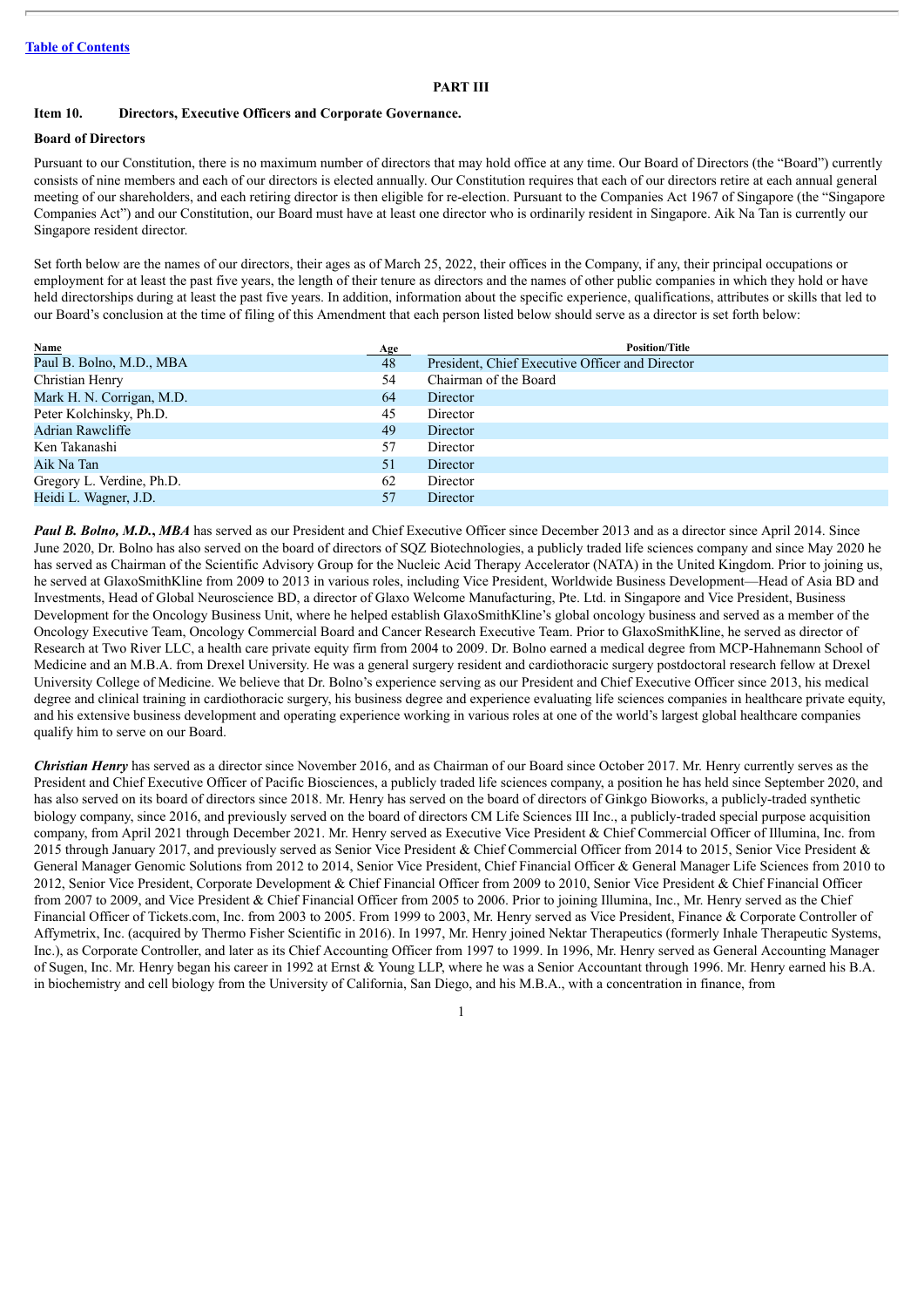#### **PART III**

#### <span id="page-5-1"></span><span id="page-5-0"></span>**Item 10. Directors, Executive Officers and Corporate Governance.**

#### **Board of Directors**

Pursuant to our Constitution, there is no maximum number of directors that may hold office at any time. Our Board of Directors (the "Board") currently consists of nine members and each of our directors is elected annually. Our Constitution requires that each of our directors retire at each annual general meeting of our shareholders, and each retiring director is then eligible for re-election. Pursuant to the Companies Act 1967 of Singapore (the "Singapore Companies Act") and our Constitution, our Board must have at least one director who is ordinarily resident in Singapore. Aik Na Tan is currently our Singapore resident director.

Set forth below are the names of our directors, their ages as of March 25, 2022, their offices in the Company, if any, their principal occupations or employment for at least the past five years, the length of their tenure as directors and the names of other public companies in which they hold or have held directorships during at least the past five years. In addition, information about the specific experience, qualifications, attributes or skills that led to our Board's conclusion at the time of filing of this Amendment that each person listed below should serve as a director is set forth below:

| Name                      | <b>Age</b> | <b>Position/Title</b>                           |
|---------------------------|------------|-------------------------------------------------|
| Paul B. Bolno, M.D., MBA  | 48         | President, Chief Executive Officer and Director |
| Christian Henry           | 54         | Chairman of the Board                           |
| Mark H. N. Corrigan, M.D. | 64         | Director                                        |
| Peter Kolchinsky, Ph.D.   | 45         | Director                                        |
| Adrian Rawcliffe          | 49         | Director                                        |
| Ken Takanashi             | 57         | Director                                        |
| Aik Na Tan                | 51         | Director                                        |
| Gregory L. Verdine, Ph.D. | 62         | Director                                        |
| Heidi L. Wagner, J.D.     | 57         | Director                                        |

*Paul B. Bolno, M.D.***,** *MBA* has served as our President and Chief Executive Officer since December 2013 and as a director since April 2014. Since June 2020, Dr. Bolno has also served on the board of directors of SQZ Biotechnologies, a publicly traded life sciences company and since May 2020 he has served as Chairman of the Scientific Advisory Group for the Nucleic Acid Therapy Accelerator (NATA) in the United Kingdom. Prior to joining us, he served at GlaxoSmithKline from 2009 to 2013 in various roles, including Vice President, Worldwide Business Development—Head of Asia BD and Investments, Head of Global Neuroscience BD, a director of Glaxo Welcome Manufacturing, Pte. Ltd. in Singapore and Vice President, Business Development for the Oncology Business Unit, where he helped establish GlaxoSmithKline's global oncology business and served as a member of the Oncology Executive Team, Oncology Commercial Board and Cancer Research Executive Team. Prior to GlaxoSmithKline, he served as director of Research at Two River LLC, a health care private equity firm from 2004 to 2009. Dr. Bolno earned a medical degree from MCP-Hahnemann School of Medicine and an M.B.A. from Drexel University. He was a general surgery resident and cardiothoracic surgery postdoctoral research fellow at Drexel University College of Medicine. We believe that Dr. Bolno's experience serving as our President and Chief Executive Officer since 2013, his medical degree and clinical training in cardiothoracic surgery, his business degree and experience evaluating life sciences companies in healthcare private equity, and his extensive business development and operating experience working in various roles at one of the world's largest global healthcare companies qualify him to serve on our Board.

*Christian Henry* has served as a director since November 2016, and as Chairman of our Board since October 2017. Mr. Henry currently serves as the President and Chief Executive Officer of Pacific Biosciences, a publicly traded life sciences company, a position he has held since September 2020, and has also served on its board of directors since 2018. Mr. Henry has served on the board of directors of Ginkgo Bioworks, a publicly-traded synthetic biology company, since 2016, and previously served on the board of directors CM Life Sciences III Inc., a publicly-traded special purpose acquisition company, from April 2021 through December 2021. Mr. Henry served as Executive Vice President & Chief Commercial Officer of Illumina, Inc. from 2015 through January 2017, and previously served as Senior Vice President & Chief Commercial Officer from 2014 to 2015, Senior Vice President & General Manager Genomic Solutions from 2012 to 2014, Senior Vice President, Chief Financial Officer & General Manager Life Sciences from 2010 to 2012, Senior Vice President, Corporate Development & Chief Financial Officer from 2009 to 2010, Senior Vice President & Chief Financial Officer from 2007 to 2009, and Vice President & Chief Financial Officer from 2005 to 2006. Prior to joining Illumina, Inc., Mr. Henry served as the Chief Financial Officer of Tickets.com, Inc. from 2003 to 2005. From 1999 to 2003, Mr. Henry served as Vice President, Finance & Corporate Controller of Affymetrix, Inc. (acquired by Thermo Fisher Scientific in 2016). In 1997, Mr. Henry joined Nektar Therapeutics (formerly Inhale Therapeutic Systems, Inc.), as Corporate Controller, and later as its Chief Accounting Officer from 1997 to 1999. In 1996, Mr. Henry served as General Accounting Manager of Sugen, Inc. Mr. Henry began his career in 1992 at Ernst & Young LLP, where he was a Senior Accountant through 1996. Mr. Henry earned his B.A. in biochemistry and cell biology from the University of California, San Diego, and his M.B.A., with a concentration in finance, from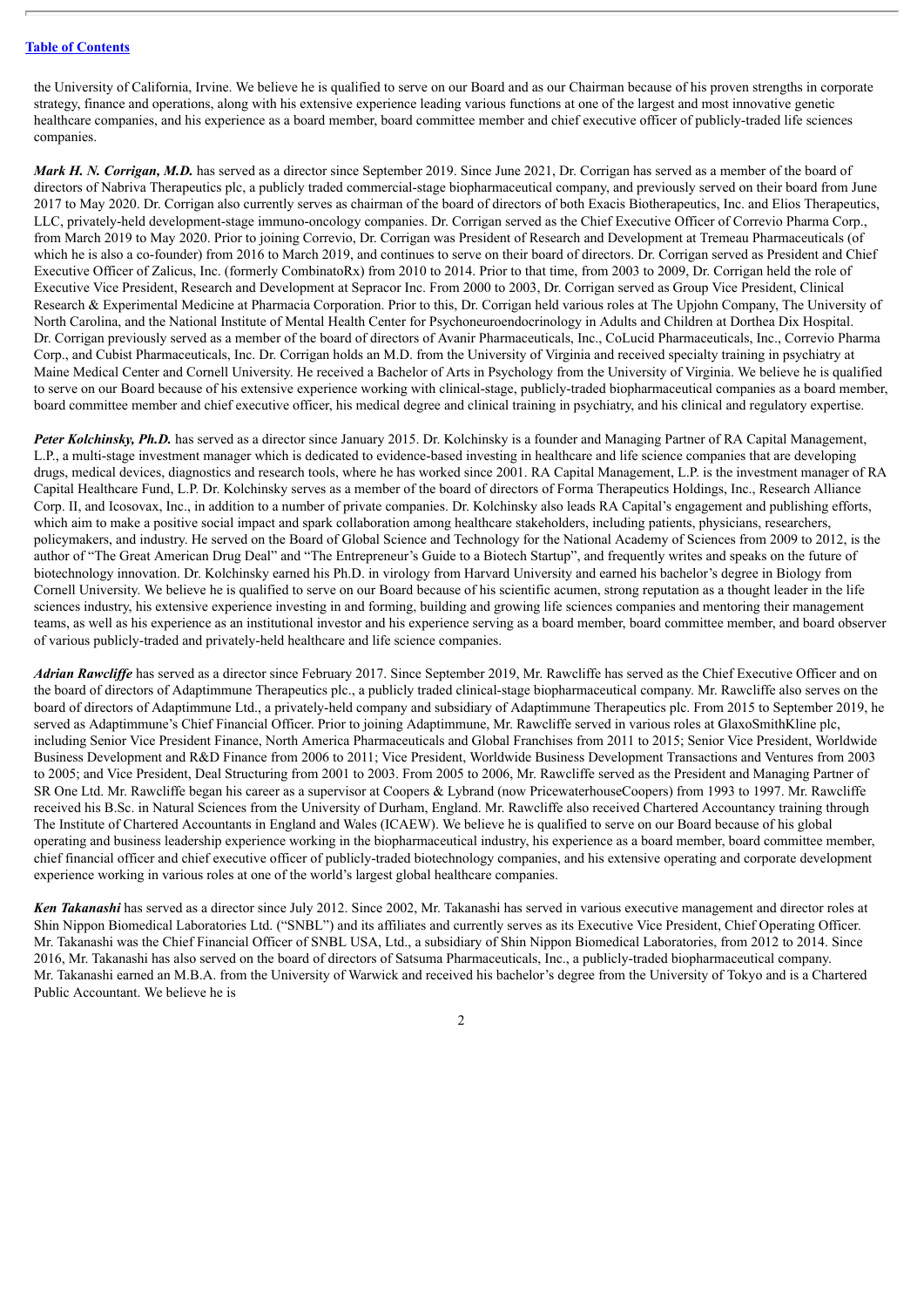the University of California, Irvine. We believe he is qualified to serve on our Board and as our Chairman because of his proven strengths in corporate strategy, finance and operations, along with his extensive experience leading various functions at one of the largest and most innovative genetic healthcare companies, and his experience as a board member, board committee member and chief executive officer of publicly-traded life sciences companies.

*Mark H. N. Corrigan, M.D.* has served as a director since September 2019. Since June 2021, Dr. Corrigan has served as a member of the board of directors of Nabriva Therapeutics plc, a publicly traded commercial-stage biopharmaceutical company, and previously served on their board from June 2017 to May 2020. Dr. Corrigan also currently serves as chairman of the board of directors of both Exacis Biotherapeutics, Inc. and Elios Therapeutics, LLC, privately-held development-stage immuno-oncology companies. Dr. Corrigan served as the Chief Executive Officer of Correvio Pharma Corp., from March 2019 to May 2020. Prior to joining Correvio, Dr. Corrigan was President of Research and Development at Tremeau Pharmaceuticals (of which he is also a co-founder) from 2016 to March 2019, and continues to serve on their board of directors. Dr. Corrigan served as President and Chief Executive Officer of Zalicus, Inc. (formerly CombinatoRx) from 2010 to 2014. Prior to that time, from 2003 to 2009, Dr. Corrigan held the role of Executive Vice President, Research and Development at Sepracor Inc. From 2000 to 2003, Dr. Corrigan served as Group Vice President, Clinical Research & Experimental Medicine at Pharmacia Corporation. Prior to this, Dr. Corrigan held various roles at The Upjohn Company, The University of North Carolina, and the National Institute of Mental Health Center for Psychoneuroendocrinology in Adults and Children at Dorthea Dix Hospital. Dr. Corrigan previously served as a member of the board of directors of Avanir Pharmaceuticals, Inc., CoLucid Pharmaceuticals, Inc., Correvio Pharma Corp., and Cubist Pharmaceuticals, Inc. Dr. Corrigan holds an M.D. from the University of Virginia and received specialty training in psychiatry at Maine Medical Center and Cornell University. He received a Bachelor of Arts in Psychology from the University of Virginia. We believe he is qualified to serve on our Board because of his extensive experience working with clinical-stage, publicly-traded biopharmaceutical companies as a board member, board committee member and chief executive officer, his medical degree and clinical training in psychiatry, and his clinical and regulatory expertise.

*Peter Kolchinsky, Ph.D.* has served as a director since January 2015. Dr. Kolchinsky is a founder and Managing Partner of RA Capital Management, L.P., a multi-stage investment manager which is dedicated to evidence-based investing in healthcare and life science companies that are developing drugs, medical devices, diagnostics and research tools, where he has worked since 2001. RA Capital Management, L.P. is the investment manager of RA Capital Healthcare Fund, L.P. Dr. Kolchinsky serves as a member of the board of directors of Forma Therapeutics Holdings, Inc., Research Alliance Corp. II, and Icosovax, Inc., in addition to a number of private companies. Dr. Kolchinsky also leads RA Capital's engagement and publishing efforts, which aim to make a positive social impact and spark collaboration among healthcare stakeholders, including patients, physicians, researchers, policymakers, and industry. He served on the Board of Global Science and Technology for the National Academy of Sciences from 2009 to 2012, is the author of "The Great American Drug Deal" and "The Entrepreneur's Guide to a Biotech Startup", and frequently writes and speaks on the future of biotechnology innovation. Dr. Kolchinsky earned his Ph.D. in virology from Harvard University and earned his bachelor's degree in Biology from Cornell University. We believe he is qualified to serve on our Board because of his scientific acumen, strong reputation as a thought leader in the life sciences industry, his extensive experience investing in and forming, building and growing life sciences companies and mentoring their management teams, as well as his experience as an institutional investor and his experience serving as a board member, board committee member, and board observer of various publicly-traded and privately-held healthcare and life science companies.

*Adrian Rawcliffe* has served as a director since February 2017. Since September 2019, Mr. Rawcliffe has served as the Chief Executive Officer and on the board of directors of Adaptimmune Therapeutics plc., a publicly traded clinical-stage biopharmaceutical company. Mr. Rawcliffe also serves on the board of directors of Adaptimmune Ltd., a privately-held company and subsidiary of Adaptimmune Therapeutics plc. From 2015 to September 2019, he served as Adaptimmune's Chief Financial Officer. Prior to joining Adaptimmune, Mr. Rawcliffe served in various roles at GlaxoSmithKline plc, including Senior Vice President Finance, North America Pharmaceuticals and Global Franchises from 2011 to 2015; Senior Vice President, Worldwide Business Development and R&D Finance from 2006 to 2011; Vice President, Worldwide Business Development Transactions and Ventures from 2003 to 2005; and Vice President, Deal Structuring from 2001 to 2003. From 2005 to 2006, Mr. Rawcliffe served as the President and Managing Partner of SR One Ltd. Mr. Rawcliffe began his career as a supervisor at Coopers & Lybrand (now PricewaterhouseCoopers) from 1993 to 1997. Mr. Rawcliffe received his B.Sc. in Natural Sciences from the University of Durham, England. Mr. Rawcliffe also received Chartered Accountancy training through The Institute of Chartered Accountants in England and Wales (ICAEW). We believe he is qualified to serve on our Board because of his global operating and business leadership experience working in the biopharmaceutical industry, his experience as a board member, board committee member, chief financial officer and chief executive officer of publicly-traded biotechnology companies, and his extensive operating and corporate development experience working in various roles at one of the world's largest global healthcare companies.

*Ken Takanashi* has served as a director since July 2012. Since 2002, Mr. Takanashi has served in various executive management and director roles at Shin Nippon Biomedical Laboratories Ltd. ("SNBL") and its affiliates and currently serves as its Executive Vice President, Chief Operating Officer. Mr. Takanashi was the Chief Financial Officer of SNBL USA, Ltd., a subsidiary of Shin Nippon Biomedical Laboratories, from 2012 to 2014. Since 2016, Mr. Takanashi has also served on the board of directors of Satsuma Pharmaceuticals, Inc., a publicly-traded biopharmaceutical company. Mr. Takanashi earned an M.B.A. from the University of Warwick and received his bachelor's degree from the University of Tokyo and is a Chartered Public Accountant. We believe he is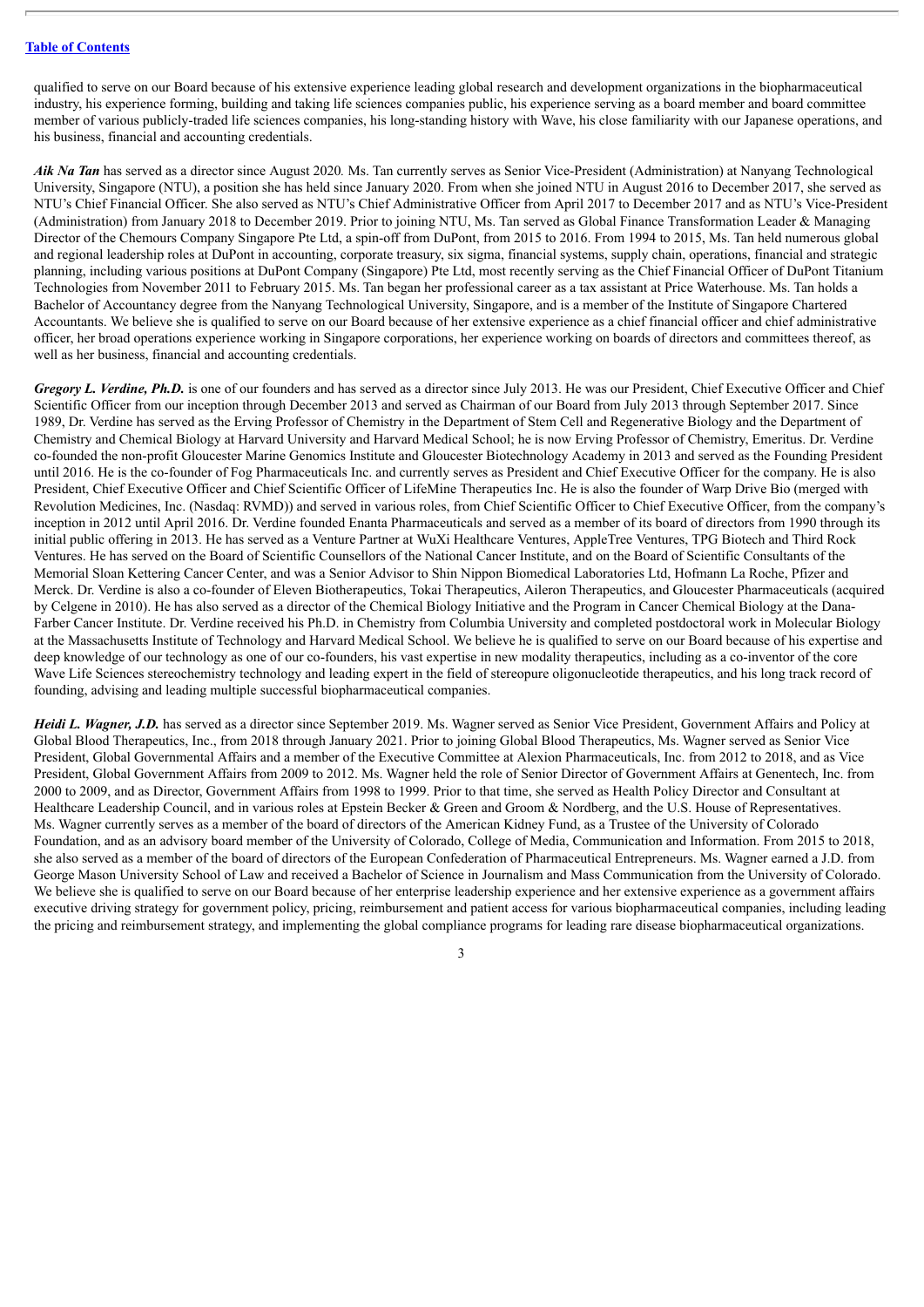qualified to serve on our Board because of his extensive experience leading global research and development organizations in the biopharmaceutical industry, his experience forming, building and taking life sciences companies public, his experience serving as a board member and board committee member of various publicly-traded life sciences companies, his long-standing history with Wave, his close familiarity with our Japanese operations, and his business, financial and accounting credentials.

*Aik Na Tan* has served as a director since August 2020*.* Ms. Tan currently serves as Senior Vice-President (Administration) at Nanyang Technological University, Singapore (NTU), a position she has held since January 2020. From when she joined NTU in August 2016 to December 2017, she served as NTU's Chief Financial Officer. She also served as NTU's Chief Administrative Officer from April 2017 to December 2017 and as NTU's Vice-President (Administration) from January 2018 to December 2019. Prior to joining NTU, Ms. Tan served as Global Finance Transformation Leader & Managing Director of the Chemours Company Singapore Pte Ltd, a spin-off from DuPont, from 2015 to 2016. From 1994 to 2015, Ms. Tan held numerous global and regional leadership roles at DuPont in accounting, corporate treasury, six sigma, financial systems, supply chain, operations, financial and strategic planning, including various positions at DuPont Company (Singapore) Pte Ltd, most recently serving as the Chief Financial Officer of DuPont Titanium Technologies from November 2011 to February 2015. Ms. Tan began her professional career as a tax assistant at Price Waterhouse. Ms. Tan holds a Bachelor of Accountancy degree from the Nanyang Technological University, Singapore, and is a member of the Institute of Singapore Chartered Accountants. We believe she is qualified to serve on our Board because of her extensive experience as a chief financial officer and chief administrative officer, her broad operations experience working in Singapore corporations, her experience working on boards of directors and committees thereof, as well as her business, financial and accounting credentials.

*Gregory L. Verdine, Ph.D.* is one of our founders and has served as a director since July 2013. He was our President, Chief Executive Officer and Chief Scientific Officer from our inception through December 2013 and served as Chairman of our Board from July 2013 through September 2017. Since 1989, Dr. Verdine has served as the Erving Professor of Chemistry in the Department of Stem Cell and Regenerative Biology and the Department of Chemistry and Chemical Biology at Harvard University and Harvard Medical School; he is now Erving Professor of Chemistry, Emeritus. Dr. Verdine co-founded the non-profit Gloucester Marine Genomics Institute and Gloucester Biotechnology Academy in 2013 and served as the Founding President until 2016. He is the co-founder of Fog Pharmaceuticals Inc. and currently serves as President and Chief Executive Officer for the company. He is also President, Chief Executive Officer and Chief Scientific Officer of LifeMine Therapeutics Inc. He is also the founder of Warp Drive Bio (merged with Revolution Medicines, Inc. (Nasdaq: RVMD)) and served in various roles, from Chief Scientific Officer to Chief Executive Officer, from the company's inception in 2012 until April 2016. Dr. Verdine founded Enanta Pharmaceuticals and served as a member of its board of directors from 1990 through its initial public offering in 2013. He has served as a Venture Partner at WuXi Healthcare Ventures, AppleTree Ventures, TPG Biotech and Third Rock Ventures. He has served on the Board of Scientific Counsellors of the National Cancer Institute, and on the Board of Scientific Consultants of the Memorial Sloan Kettering Cancer Center, and was a Senior Advisor to Shin Nippon Biomedical Laboratories Ltd, Hofmann La Roche, Pfizer and Merck. Dr. Verdine is also a co-founder of Eleven Biotherapeutics, Tokai Therapeutics, Aileron Therapeutics, and Gloucester Pharmaceuticals (acquired by Celgene in 2010). He has also served as a director of the Chemical Biology Initiative and the Program in Cancer Chemical Biology at the Dana-Farber Cancer Institute. Dr. Verdine received his Ph.D. in Chemistry from Columbia University and completed postdoctoral work in Molecular Biology at the Massachusetts Institute of Technology and Harvard Medical School. We believe he is qualified to serve on our Board because of his expertise and deep knowledge of our technology as one of our co-founders, his vast expertise in new modality therapeutics, including as a co-inventor of the core Wave Life Sciences stereochemistry technology and leading expert in the field of stereopure oligonucleotide therapeutics, and his long track record of founding, advising and leading multiple successful biopharmaceutical companies.

*Heidi L. Wagner, J.D.* has served as a director since September 2019. Ms. Wagner served as Senior Vice President, Government Affairs and Policy at Global Blood Therapeutics, Inc., from 2018 through January 2021. Prior to joining Global Blood Therapeutics, Ms. Wagner served as Senior Vice President, Global Governmental Affairs and a member of the Executive Committee at Alexion Pharmaceuticals, Inc. from 2012 to 2018, and as Vice President, Global Government Affairs from 2009 to 2012. Ms. Wagner held the role of Senior Director of Government Affairs at Genentech, Inc. from 2000 to 2009, and as Director, Government Affairs from 1998 to 1999. Prior to that time, she served as Health Policy Director and Consultant at Healthcare Leadership Council, and in various roles at Epstein Becker & Green and Groom & Nordberg, and the U.S. House of Representatives. Ms. Wagner currently serves as a member of the board of directors of the American Kidney Fund, as a Trustee of the University of Colorado Foundation, and as an advisory board member of the University of Colorado, College of Media, Communication and Information. From 2015 to 2018, she also served as a member of the board of directors of the European Confederation of Pharmaceutical Entrepreneurs. Ms. Wagner earned a J.D. from George Mason University School of Law and received a Bachelor of Science in Journalism and Mass Communication from the University of Colorado. We believe she is qualified to serve on our Board because of her enterprise leadership experience and her extensive experience as a government affairs executive driving strategy for government policy, pricing, reimbursement and patient access for various biopharmaceutical companies, including leading the pricing and reimbursement strategy, and implementing the global compliance programs for leading rare disease biopharmaceutical organizations.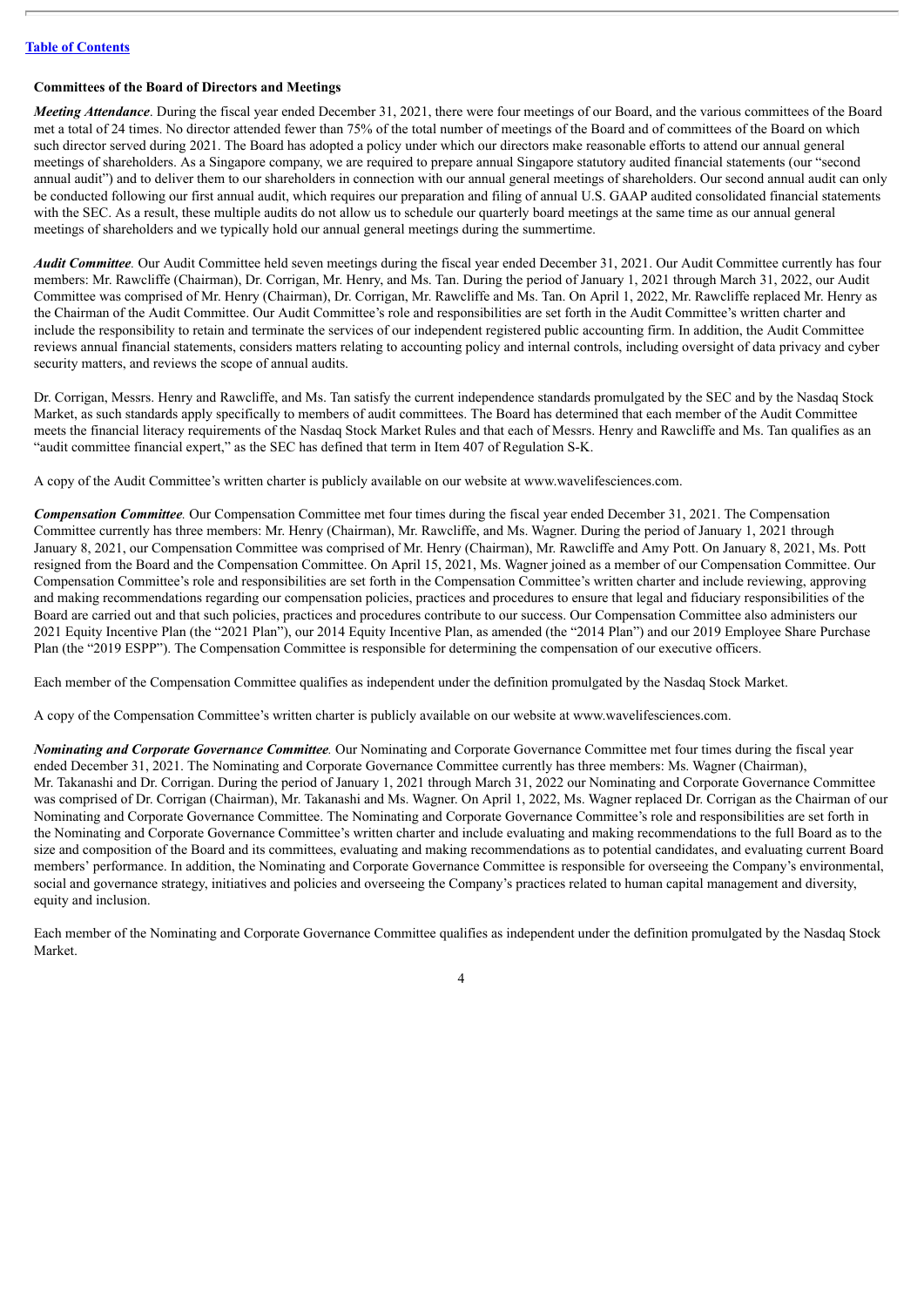#### **Committees of the Board of Directors and Meetings**

*Meeting Attendance*. During the fiscal year ended December 31, 2021, there were four meetings of our Board, and the various committees of the Board met a total of 24 times. No director attended fewer than 75% of the total number of meetings of the Board and of committees of the Board on which such director served during 2021. The Board has adopted a policy under which our directors make reasonable efforts to attend our annual general meetings of shareholders. As a Singapore company, we are required to prepare annual Singapore statutory audited financial statements (our "second annual audit") and to deliver them to our shareholders in connection with our annual general meetings of shareholders. Our second annual audit can only be conducted following our first annual audit, which requires our preparation and filing of annual U.S. GAAP audited consolidated financial statements with the SEC. As a result, these multiple audits do not allow us to schedule our quarterly board meetings at the same time as our annual general meetings of shareholders and we typically hold our annual general meetings during the summertime.

*Audit Committee.* Our Audit Committee held seven meetings during the fiscal year ended December 31, 2021. Our Audit Committee currently has four members: Mr. Rawcliffe (Chairman), Dr. Corrigan, Mr. Henry, and Ms. Tan. During the period of January 1, 2021 through March 31, 2022, our Audit Committee was comprised of Mr. Henry (Chairman), Dr. Corrigan, Mr. Rawcliffe and Ms. Tan. On April 1, 2022, Mr. Rawcliffe replaced Mr. Henry as the Chairman of the Audit Committee. Our Audit Committee's role and responsibilities are set forth in the Audit Committee's written charter and include the responsibility to retain and terminate the services of our independent registered public accounting firm. In addition, the Audit Committee reviews annual financial statements, considers matters relating to accounting policy and internal controls, including oversight of data privacy and cyber security matters, and reviews the scope of annual audits.

Dr. Corrigan, Messrs. Henry and Rawcliffe, and Ms. Tan satisfy the current independence standards promulgated by the SEC and by the Nasdaq Stock Market, as such standards apply specifically to members of audit committees. The Board has determined that each member of the Audit Committee meets the financial literacy requirements of the Nasdaq Stock Market Rules and that each of Messrs. Henry and Rawcliffe and Ms. Tan qualifies as an "audit committee financial expert," as the SEC has defined that term in Item 407 of Regulation S-K.

A copy of the Audit Committee's written charter is publicly available on our website at www.wavelifesciences.com.

*Compensation Committee.* Our Compensation Committee met four times during the fiscal year ended December 31, 2021. The Compensation Committee currently has three members: Mr. Henry (Chairman), Mr. Rawcliffe, and Ms. Wagner. During the period of January 1, 2021 through January 8, 2021, our Compensation Committee was comprised of Mr. Henry (Chairman), Mr. Rawcliffe and Amy Pott. On January 8, 2021, Ms. Pott resigned from the Board and the Compensation Committee. On April 15, 2021, Ms. Wagner joined as a member of our Compensation Committee. Our Compensation Committee's role and responsibilities are set forth in the Compensation Committee's written charter and include reviewing, approving and making recommendations regarding our compensation policies, practices and procedures to ensure that legal and fiduciary responsibilities of the Board are carried out and that such policies, practices and procedures contribute to our success. Our Compensation Committee also administers our 2021 Equity Incentive Plan (the "2021 Plan"), our 2014 Equity Incentive Plan, as amended (the "2014 Plan") and our 2019 Employee Share Purchase Plan (the "2019 ESPP"). The Compensation Committee is responsible for determining the compensation of our executive officers.

Each member of the Compensation Committee qualifies as independent under the definition promulgated by the Nasdaq Stock Market.

A copy of the Compensation Committee's written charter is publicly available on our website at www.wavelifesciences.com.

*Nominating and Corporate Governance Committee.* Our Nominating and Corporate Governance Committee met four times during the fiscal year ended December 31, 2021. The Nominating and Corporate Governance Committee currently has three members: Ms. Wagner (Chairman), Mr. Takanashi and Dr. Corrigan. During the period of January 1, 2021 through March 31, 2022 our Nominating and Corporate Governance Committee was comprised of Dr. Corrigan (Chairman), Mr. Takanashi and Ms. Wagner. On April 1, 2022, Ms. Wagner replaced Dr. Corrigan as the Chairman of our Nominating and Corporate Governance Committee. The Nominating and Corporate Governance Committee's role and responsibilities are set forth in the Nominating and Corporate Governance Committee's written charter and include evaluating and making recommendations to the full Board as to the size and composition of the Board and its committees, evaluating and making recommendations as to potential candidates, and evaluating current Board members' performance. In addition, the Nominating and Corporate Governance Committee is responsible for overseeing the Company's environmental, social and governance strategy, initiatives and policies and overseeing the Company's practices related to human capital management and diversity, equity and inclusion.

Each member of the Nominating and Corporate Governance Committee qualifies as independent under the definition promulgated by the Nasdaq Stock Market.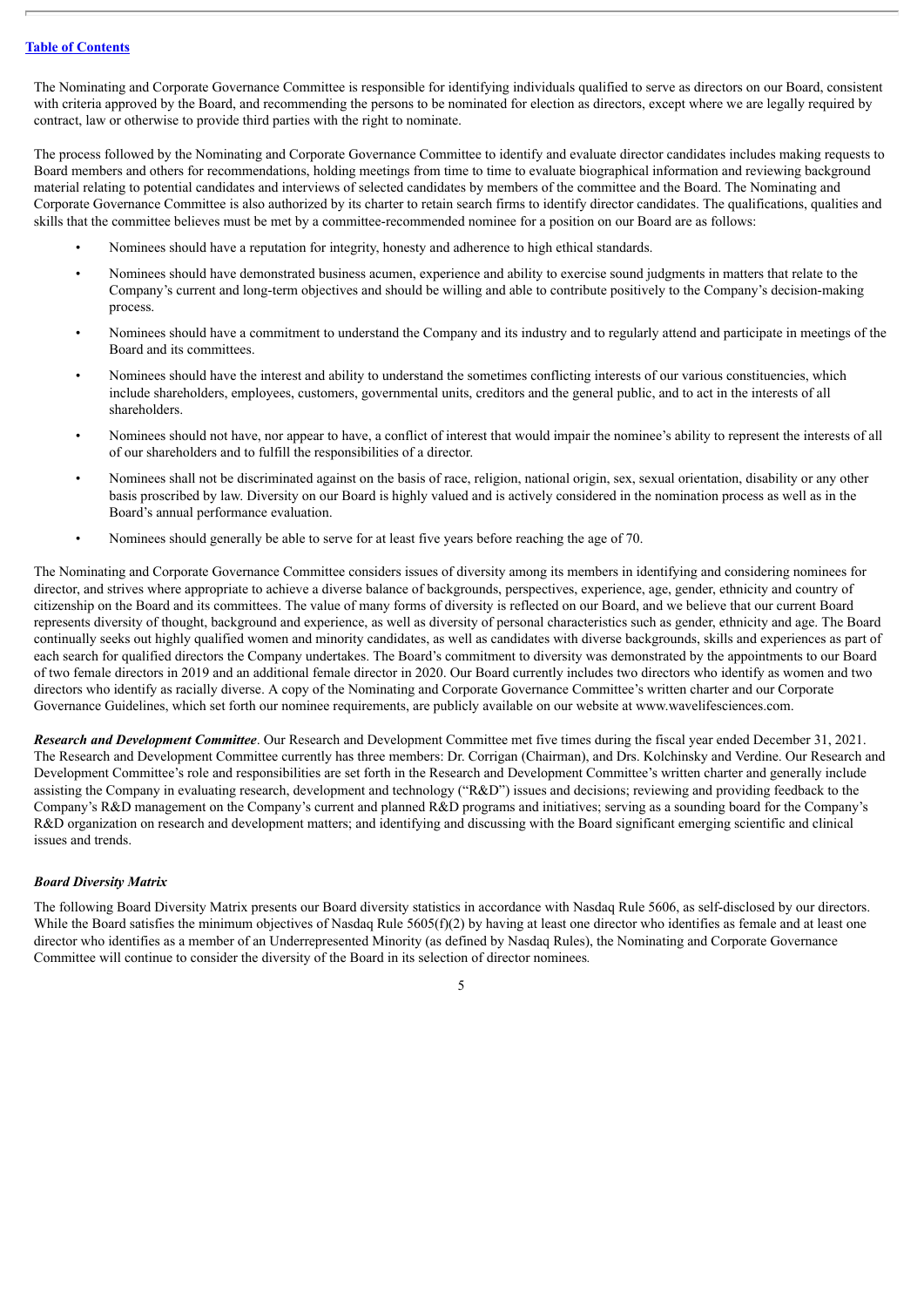The Nominating and Corporate Governance Committee is responsible for identifying individuals qualified to serve as directors on our Board, consistent with criteria approved by the Board, and recommending the persons to be nominated for election as directors, except where we are legally required by contract, law or otherwise to provide third parties with the right to nominate.

The process followed by the Nominating and Corporate Governance Committee to identify and evaluate director candidates includes making requests to Board members and others for recommendations, holding meetings from time to time to evaluate biographical information and reviewing background material relating to potential candidates and interviews of selected candidates by members of the committee and the Board. The Nominating and Corporate Governance Committee is also authorized by its charter to retain search firms to identify director candidates. The qualifications, qualities and skills that the committee believes must be met by a committee-recommended nominee for a position on our Board are as follows:

- Nominees should have a reputation for integrity, honesty and adherence to high ethical standards.
- Nominees should have demonstrated business acumen, experience and ability to exercise sound judgments in matters that relate to the Company's current and long-term objectives and should be willing and able to contribute positively to the Company's decision-making process.
- Nominees should have a commitment to understand the Company and its industry and to regularly attend and participate in meetings of the Board and its committees.
- Nominees should have the interest and ability to understand the sometimes conflicting interests of our various constituencies, which include shareholders, employees, customers, governmental units, creditors and the general public, and to act in the interests of all shareholders.
- Nominees should not have, nor appear to have, a conflict of interest that would impair the nominee's ability to represent the interests of all of our shareholders and to fulfill the responsibilities of a director.
- Nominees shall not be discriminated against on the basis of race, religion, national origin, sex, sexual orientation, disability or any other basis proscribed by law. Diversity on our Board is highly valued and is actively considered in the nomination process as well as in the Board's annual performance evaluation.
- Nominees should generally be able to serve for at least five years before reaching the age of 70.

The Nominating and Corporate Governance Committee considers issues of diversity among its members in identifying and considering nominees for director, and strives where appropriate to achieve a diverse balance of backgrounds, perspectives, experience, age, gender, ethnicity and country of citizenship on the Board and its committees. The value of many forms of diversity is reflected on our Board, and we believe that our current Board represents diversity of thought, background and experience, as well as diversity of personal characteristics such as gender, ethnicity and age. The Board continually seeks out highly qualified women and minority candidates, as well as candidates with diverse backgrounds, skills and experiences as part of each search for qualified directors the Company undertakes. The Board's commitment to diversity was demonstrated by the appointments to our Board of two female directors in 2019 and an additional female director in 2020. Our Board currently includes two directors who identify as women and two directors who identify as racially diverse. A copy of the Nominating and Corporate Governance Committee's written charter and our Corporate Governance Guidelines, which set forth our nominee requirements, are publicly available on our website at www.wavelifesciences.com.

*Research and Development Committee*. Our Research and Development Committee met five times during the fiscal year ended December 31, 2021. The Research and Development Committee currently has three members: Dr. Corrigan (Chairman), and Drs. Kolchinsky and Verdine. Our Research and Development Committee's role and responsibilities are set forth in the Research and Development Committee's written charter and generally include assisting the Company in evaluating research, development and technology ("R&D") issues and decisions; reviewing and providing feedback to the Company's R&D management on the Company's current and planned R&D programs and initiatives; serving as a sounding board for the Company's R&D organization on research and development matters; and identifying and discussing with the Board significant emerging scientific and clinical issues and trends.

#### *Board Diversity Matrix*

The following Board Diversity Matrix presents our Board diversity statistics in accordance with Nasdaq Rule 5606, as self-disclosed by our directors. While the Board satisfies the minimum objectives of Nasdaq Rule  $5605(f)(2)$  by having at least one director who identifies as female and at least one director who identifies as a member of an Underrepresented Minority (as defined by Nasdaq Rules), the Nominating and Corporate Governance Committee will continue to consider the diversity of the Board in its selection of director nominees*.*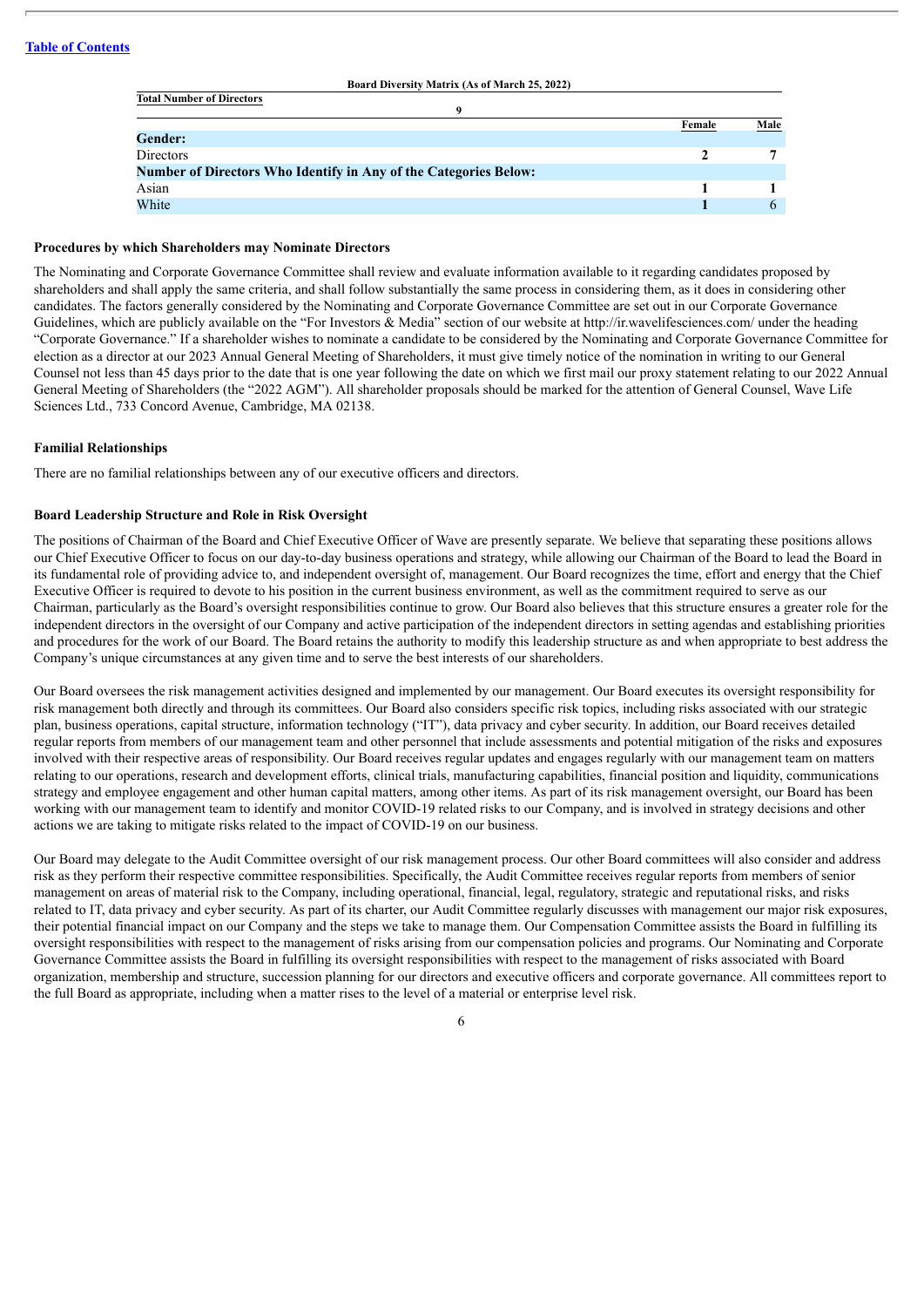| Board Diversity Matrix (As of March 25, 2022)                           |        |              |
|-------------------------------------------------------------------------|--------|--------------|
| <b>Total Number of Directors</b>                                        |        |              |
|                                                                         |        |              |
|                                                                         | Female | Male         |
| <b>Gender:</b>                                                          |        |              |
| Directors                                                               |        |              |
| <b>Number of Directors Who Identify in Any of the Categories Below:</b> |        |              |
| Asian                                                                   |        |              |
| White                                                                   |        | $\mathsf{h}$ |
|                                                                         |        |              |

**Board Diversity Matrix (As of March 25, 2022)**

#### **Procedures by which Shareholders may Nominate Directors**

The Nominating and Corporate Governance Committee shall review and evaluate information available to it regarding candidates proposed by shareholders and shall apply the same criteria, and shall follow substantially the same process in considering them, as it does in considering other candidates. The factors generally considered by the Nominating and Corporate Governance Committee are set out in our Corporate Governance Guidelines, which are publicly available on the "For Investors  $\&$  Media" section of our website at http://ir.wavelifesciences.com/ under the heading "Corporate Governance." If a shareholder wishes to nominate a candidate to be considered by the Nominating and Corporate Governance Committee for election as a director at our 2023 Annual General Meeting of Shareholders, it must give timely notice of the nomination in writing to our General Counsel not less than 45 days prior to the date that is one year following the date on which we first mail our proxy statement relating to our 2022 Annual General Meeting of Shareholders (the "2022 AGM"). All shareholder proposals should be marked for the attention of General Counsel, Wave Life Sciences Ltd., 733 Concord Avenue, Cambridge, MA 02138.

#### **Familial Relationships**

There are no familial relationships between any of our executive officers and directors.

#### **Board Leadership Structure and Role in Risk Oversight**

The positions of Chairman of the Board and Chief Executive Officer of Wave are presently separate. We believe that separating these positions allows our Chief Executive Officer to focus on our day-to-day business operations and strategy, while allowing our Chairman of the Board to lead the Board in its fundamental role of providing advice to, and independent oversight of, management. Our Board recognizes the time, effort and energy that the Chief Executive Officer is required to devote to his position in the current business environment, as well as the commitment required to serve as our Chairman, particularly as the Board's oversight responsibilities continue to grow. Our Board also believes that this structure ensures a greater role for the independent directors in the oversight of our Company and active participation of the independent directors in setting agendas and establishing priorities and procedures for the work of our Board. The Board retains the authority to modify this leadership structure as and when appropriate to best address the Company's unique circumstances at any given time and to serve the best interests of our shareholders.

Our Board oversees the risk management activities designed and implemented by our management. Our Board executes its oversight responsibility for risk management both directly and through its committees. Our Board also considers specific risk topics, including risks associated with our strategic plan, business operations, capital structure, information technology ("IT"), data privacy and cyber security. In addition, our Board receives detailed regular reports from members of our management team and other personnel that include assessments and potential mitigation of the risks and exposures involved with their respective areas of responsibility. Our Board receives regular updates and engages regularly with our management team on matters relating to our operations, research and development efforts, clinical trials, manufacturing capabilities, financial position and liquidity, communications strategy and employee engagement and other human capital matters, among other items. As part of its risk management oversight, our Board has been working with our management team to identify and monitor COVID-19 related risks to our Company, and is involved in strategy decisions and other actions we are taking to mitigate risks related to the impact of COVID-19 on our business.

Our Board may delegate to the Audit Committee oversight of our risk management process. Our other Board committees will also consider and address risk as they perform their respective committee responsibilities. Specifically, the Audit Committee receives regular reports from members of senior management on areas of material risk to the Company, including operational, financial, legal, regulatory, strategic and reputational risks, and risks related to IT, data privacy and cyber security. As part of its charter, our Audit Committee regularly discusses with management our major risk exposures, their potential financial impact on our Company and the steps we take to manage them. Our Compensation Committee assists the Board in fulfilling its oversight responsibilities with respect to the management of risks arising from our compensation policies and programs. Our Nominating and Corporate Governance Committee assists the Board in fulfilling its oversight responsibilities with respect to the management of risks associated with Board organization, membership and structure, succession planning for our directors and executive officers and corporate governance. All committees report to the full Board as appropriate, including when a matter rises to the level of a material or enterprise level risk.

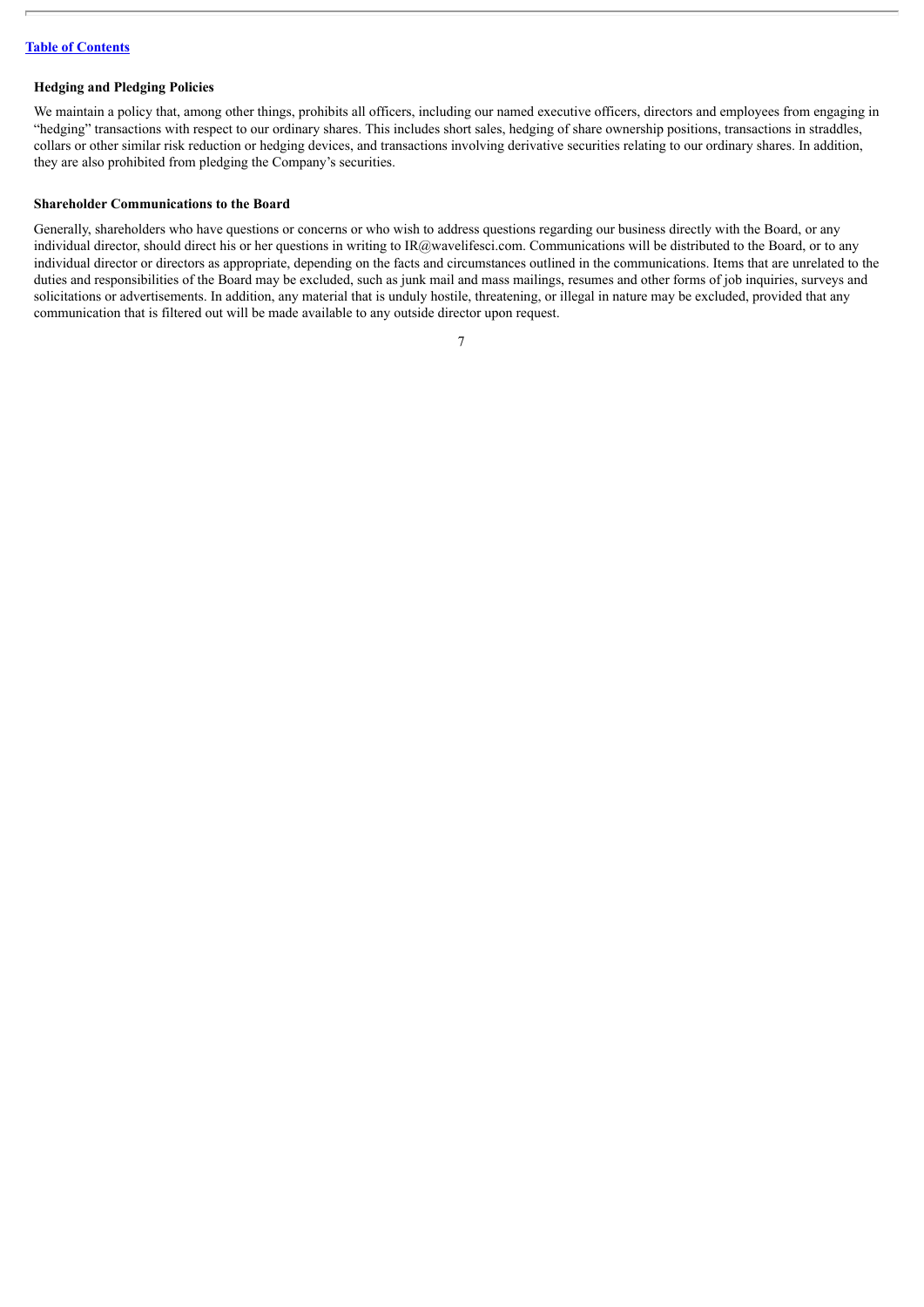#### **Hedging and Pledging Policies**

We maintain a policy that, among other things, prohibits all officers, including our named executive officers, directors and employees from engaging in "hedging" transactions with respect to our ordinary shares. This includes short sales, hedging of share ownership positions, transactions in straddles, collars or other similar risk reduction or hedging devices, and transactions involving derivative securities relating to our ordinary shares. In addition, they are also prohibited from pledging the Company's securities.

#### **Shareholder Communications to the Board**

Generally, shareholders who have questions or concerns or who wish to address questions regarding our business directly with the Board, or any individual director, should direct his or her questions in writing to IR@wavelifesci.com. Communications will be distributed to the Board, or to any individual director or directors as appropriate, depending on the facts and circumstances outlined in the communications. Items that are unrelated to the duties and responsibilities of the Board may be excluded, such as junk mail and mass mailings, resumes and other forms of job inquiries, surveys and solicitations or advertisements. In addition, any material that is unduly hostile, threatening, or illegal in nature may be excluded, provided that any communication that is filtered out will be made available to any outside director upon request.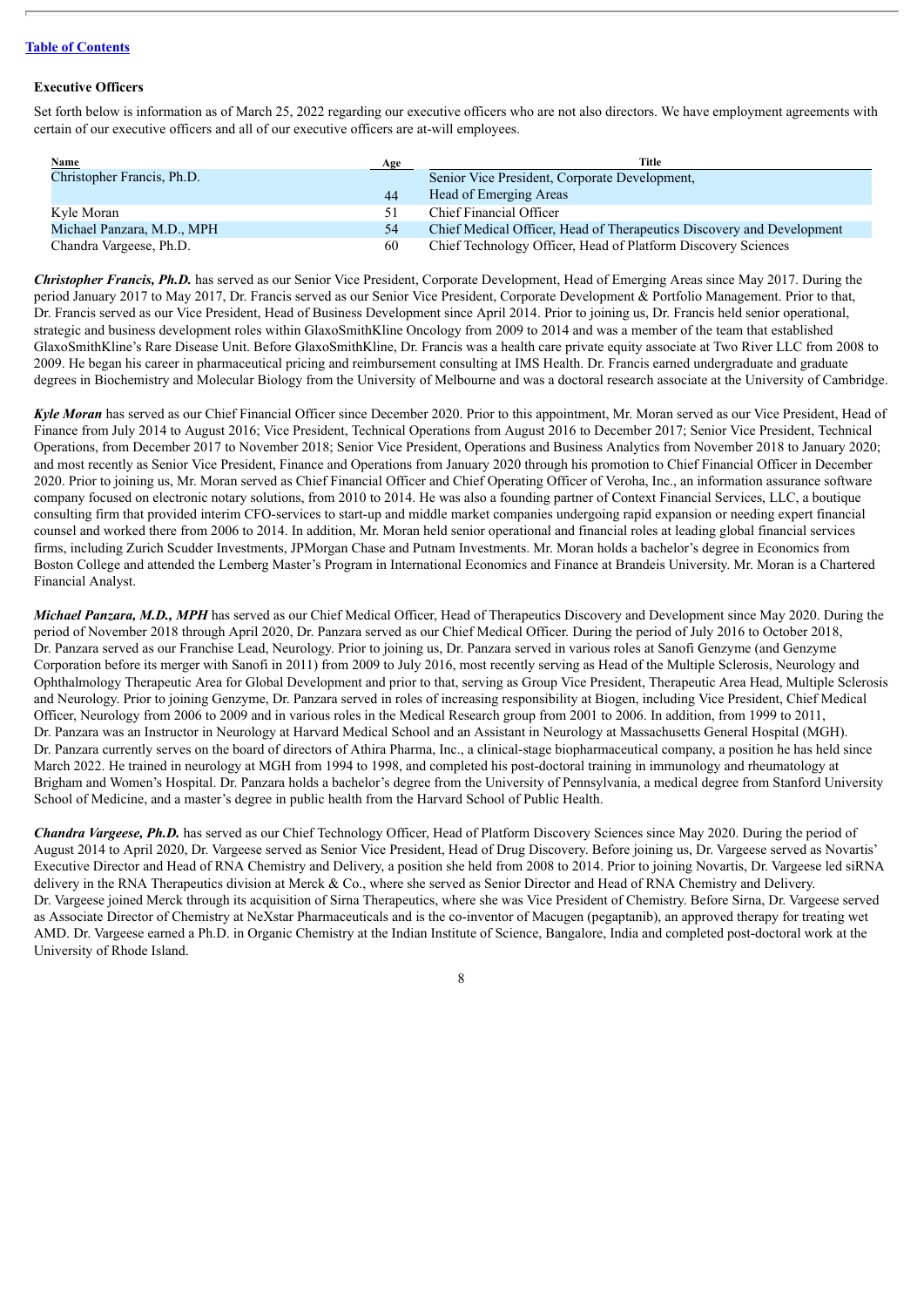#### **Executive Officers**

Set forth below is information as of March 25, 2022 regarding our executive officers who are not also directors. We have employment agreements with certain of our executive officers and all of our executive officers are at-will employees.

| Name                       | Age | Title                                                                 |
|----------------------------|-----|-----------------------------------------------------------------------|
| Christopher Francis, Ph.D. |     | Senior Vice President, Corporate Development,                         |
|                            | 44  | Head of Emerging Areas                                                |
| Kyle Moran                 |     | Chief Financial Officer                                               |
| Michael Panzara, M.D., MPH | 54  | Chief Medical Officer, Head of Therapeutics Discovery and Development |
| Chandra Vargeese, Ph.D.    | 60  | Chief Technology Officer, Head of Platform Discovery Sciences         |

*Christopher Francis, Ph.D.* has served as our Senior Vice President, Corporate Development, Head of Emerging Areas since May 2017. During the period January 2017 to May 2017, Dr. Francis served as our Senior Vice President, Corporate Development & Portfolio Management. Prior to that, Dr. Francis served as our Vice President, Head of Business Development since April 2014. Prior to joining us, Dr. Francis held senior operational, strategic and business development roles within GlaxoSmithKline Oncology from 2009 to 2014 and was a member of the team that established GlaxoSmithKline's Rare Disease Unit. Before GlaxoSmithKline, Dr. Francis was a health care private equity associate at Two River LLC from 2008 to 2009. He began his career in pharmaceutical pricing and reimbursement consulting at IMS Health. Dr. Francis earned undergraduate and graduate degrees in Biochemistry and Molecular Biology from the University of Melbourne and was a doctoral research associate at the University of Cambridge.

*Kyle Moran* has served as our Chief Financial Officer since December 2020. Prior to this appointment, Mr. Moran served as our Vice President, Head of Finance from July 2014 to August 2016; Vice President, Technical Operations from August 2016 to December 2017; Senior Vice President, Technical Operations, from December 2017 to November 2018; Senior Vice President, Operations and Business Analytics from November 2018 to January 2020; and most recently as Senior Vice President, Finance and Operations from January 2020 through his promotion to Chief Financial Officer in December 2020. Prior to joining us, Mr. Moran served as Chief Financial Officer and Chief Operating Officer of Veroha, Inc., an information assurance software company focused on electronic notary solutions, from 2010 to 2014. He was also a founding partner of Context Financial Services, LLC, a boutique consulting firm that provided interim CFO-services to start-up and middle market companies undergoing rapid expansion or needing expert financial counsel and worked there from 2006 to 2014. In addition, Mr. Moran held senior operational and financial roles at leading global financial services firms, including Zurich Scudder Investments, JPMorgan Chase and Putnam Investments. Mr. Moran holds a bachelor's degree in Economics from Boston College and attended the Lemberg Master's Program in International Economics and Finance at Brandeis University. Mr. Moran is a Chartered Financial Analyst.

*Michael Panzara, M.D., MPH* has served as our Chief Medical Officer, Head of Therapeutics Discovery and Development since May 2020. During the period of November 2018 through April 2020, Dr. Panzara served as our Chief Medical Officer. During the period of July 2016 to October 2018, Dr. Panzara served as our Franchise Lead, Neurology. Prior to joining us, Dr. Panzara served in various roles at Sanofi Genzyme (and Genzyme Corporation before its merger with Sanofi in 2011) from 2009 to July 2016, most recently serving as Head of the Multiple Sclerosis, Neurology and Ophthalmology Therapeutic Area for Global Development and prior to that, serving as Group Vice President, Therapeutic Area Head, Multiple Sclerosis and Neurology. Prior to joining Genzyme, Dr. Panzara served in roles of increasing responsibility at Biogen, including Vice President, Chief Medical Officer, Neurology from 2006 to 2009 and in various roles in the Medical Research group from 2001 to 2006. In addition, from 1999 to 2011, Dr. Panzara was an Instructor in Neurology at Harvard Medical School and an Assistant in Neurology at Massachusetts General Hospital (MGH). Dr. Panzara currently serves on the board of directors of Athira Pharma, Inc., a clinical-stage biopharmaceutical company, a position he has held since March 2022. He trained in neurology at MGH from 1994 to 1998, and completed his post-doctoral training in immunology and rheumatology at Brigham and Women's Hospital. Dr. Panzara holds a bachelor's degree from the University of Pennsylvania, a medical degree from Stanford University School of Medicine, and a master's degree in public health from the Harvard School of Public Health.

*Chandra Vargeese, Ph.D.* has served as our Chief Technology Officer, Head of Platform Discovery Sciences since May 2020. During the period of August 2014 to April 2020, Dr. Vargeese served as Senior Vice President, Head of Drug Discovery. Before joining us, Dr. Vargeese served as Novartis' Executive Director and Head of RNA Chemistry and Delivery, a position she held from 2008 to 2014. Prior to joining Novartis, Dr. Vargeese led siRNA delivery in the RNA Therapeutics division at Merck & Co., where she served as Senior Director and Head of RNA Chemistry and Delivery. Dr. Vargeese joined Merck through its acquisition of Sirna Therapeutics, where she was Vice President of Chemistry. Before Sirna, Dr. Vargeese served as Associate Director of Chemistry at NeXstar Pharmaceuticals and is the co-inventor of Macugen (pegaptanib), an approved therapy for treating wet AMD. Dr. Vargeese earned a Ph.D. in Organic Chemistry at the Indian Institute of Science, Bangalore, India and completed post-doctoral work at the University of Rhode Island.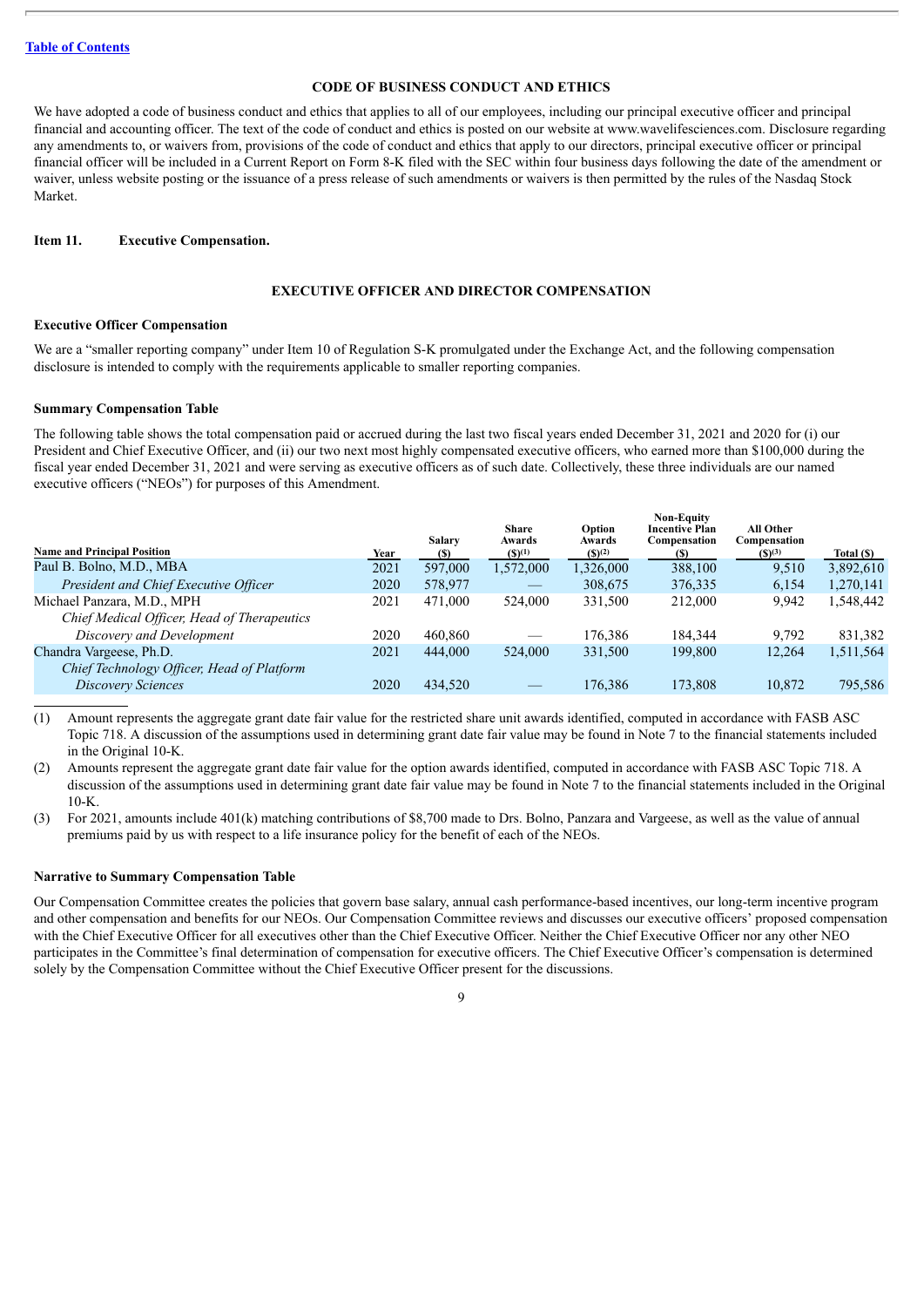#### **CODE OF BUSINESS CONDUCT AND ETHICS**

We have adopted a code of business conduct and ethics that applies to all of our employees, including our principal executive officer and principal financial and accounting officer. The text of the code of conduct and ethics is posted on our website at www.wavelifesciences.com. Disclosure regarding any amendments to, or waivers from, provisions of the code of conduct and ethics that apply to our directors, principal executive officer or principal financial officer will be included in a Current Report on Form 8-K filed with the SEC within four business days following the date of the amendment or waiver, unless website posting or the issuance of a press release of such amendments or waivers is then permitted by the rules of the Nasdaq Stock Market.

#### <span id="page-13-0"></span>**Item 11. Executive Compensation.**

#### **EXECUTIVE OFFICER AND DIRECTOR COMPENSATION**

#### **Executive Officer Compensation**

We are a "smaller reporting company" under Item 10 of Regulation S-K promulgated under the Exchange Act, and the following compensation disclosure is intended to comply with the requirements applicable to smaller reporting companies.

#### **Summary Compensation Table**

The following table shows the total compensation paid or accrued during the last two fiscal years ended December 31, 2021 and 2020 for (i) our President and Chief Executive Officer, and (ii) our two next most highly compensated executive officers, who earned more than \$100,000 during the fiscal year ended December 31, 2021 and were serving as executive officers as of such date. Collectively, these three individuals are our named executive officers ("NEOs") for purposes of this Amendment.

|                                             |      | <b>Salary</b> | Share<br>Awards                 | Option<br>Awards | <b>Non-Equity</b><br><b>Incentive Plan</b><br>Compensation | All Other<br>Compensation |            |
|---------------------------------------------|------|---------------|---------------------------------|------------------|------------------------------------------------------------|---------------------------|------------|
| <b>Name and Principal Position</b>          | Year | <b>(S)</b>    | $(S)^{(1)}$                     | $(S)^{(2)}$      | (S)                                                        | $(S)^{(3)}$               | Total (\$) |
| Paul B. Bolno, M.D., MBA                    | 2021 | 597,000       | 1,572,000                       | 1,326,000        | 388,100                                                    | 9,510                     | 3,892,610  |
| President and Chief Executive Officer       | 2020 | 578,977       | $\hspace{0.1mm}-\hspace{0.1mm}$ | 308,675          | 376,335                                                    | 6,154                     | 1,270,141  |
| Michael Panzara, M.D., MPH                  | 2021 | 471.000       | 524,000                         | 331,500          | 212,000                                                    | 9,942                     | 1,548,442  |
| Chief Medical Officer, Head of Therapeutics |      |               |                                 |                  |                                                            |                           |            |
| Discovery and Development                   | 2020 | 460,860       |                                 | 176,386          | 184.344                                                    | 9,792                     | 831,382    |
| Chandra Vargeese, Ph.D.                     | 2021 | 444,000       | 524,000                         | 331,500          | 199.800                                                    | 12,264                    | 1,511,564  |
| Chief Technology Officer, Head of Platform  |      |               |                                 |                  |                                                            |                           |            |
| Discovery Sciences                          | 2020 | 434,520       |                                 | 176.386          | 173.808                                                    | 10,872                    | 795,586    |
|                                             |      |               |                                 |                  |                                                            |                           |            |

(1) Amount represents the aggregate grant date fair value for the restricted share unit awards identified, computed in accordance with FASB ASC Topic 718. A discussion of the assumptions used in determining grant date fair value may be found in Note 7 to the financial statements included in the Original 10-K.

(2) Amounts represent the aggregate grant date fair value for the option awards identified, computed in accordance with FASB ASC Topic 718. A discussion of the assumptions used in determining grant date fair value may be found in Note 7 to the financial statements included in the Original  $10-K$ .

(3) For 2021, amounts include 401(k) matching contributions of \$8,700 made to Drs. Bolno, Panzara and Vargeese, as well as the value of annual premiums paid by us with respect to a life insurance policy for the benefit of each of the NEOs.

#### **Narrative to Summary Compensation Table**

Our Compensation Committee creates the policies that govern base salary, annual cash performance-based incentives, our long-term incentive program and other compensation and benefits for our NEOs. Our Compensation Committee reviews and discusses our executive officers' proposed compensation with the Chief Executive Officer for all executives other than the Chief Executive Officer. Neither the Chief Executive Officer nor any other NEO participates in the Committee's final determination of compensation for executive officers. The Chief Executive Officer's compensation is determined solely by the Compensation Committee without the Chief Executive Officer present for the discussions.

 $\overline{Q}$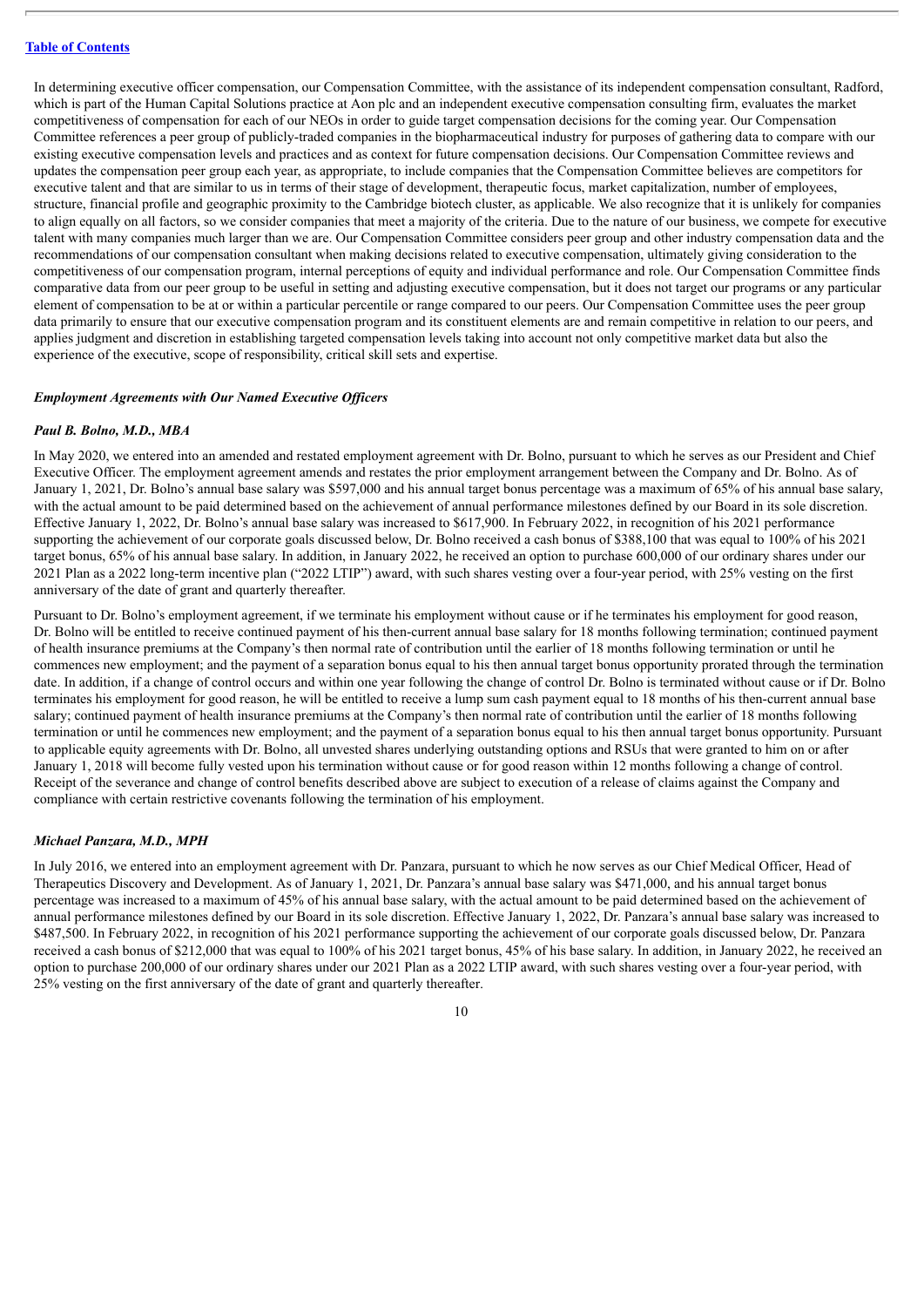In determining executive officer compensation, our Compensation Committee, with the assistance of its independent compensation consultant, Radford, which is part of the Human Capital Solutions practice at Aon plc and an independent executive compensation consulting firm, evaluates the market competitiveness of compensation for each of our NEOs in order to guide target compensation decisions for the coming year. Our Compensation Committee references a peer group of publicly-traded companies in the biopharmaceutical industry for purposes of gathering data to compare with our existing executive compensation levels and practices and as context for future compensation decisions. Our Compensation Committee reviews and updates the compensation peer group each year, as appropriate, to include companies that the Compensation Committee believes are competitors for executive talent and that are similar to us in terms of their stage of development, therapeutic focus, market capitalization, number of employees, structure, financial profile and geographic proximity to the Cambridge biotech cluster, as applicable. We also recognize that it is unlikely for companies to align equally on all factors, so we consider companies that meet a majority of the criteria. Due to the nature of our business, we compete for executive talent with many companies much larger than we are. Our Compensation Committee considers peer group and other industry compensation data and the recommendations of our compensation consultant when making decisions related to executive compensation, ultimately giving consideration to the competitiveness of our compensation program, internal perceptions of equity and individual performance and role. Our Compensation Committee finds comparative data from our peer group to be useful in setting and adjusting executive compensation, but it does not target our programs or any particular element of compensation to be at or within a particular percentile or range compared to our peers. Our Compensation Committee uses the peer group data primarily to ensure that our executive compensation program and its constituent elements are and remain competitive in relation to our peers, and applies judgment and discretion in establishing targeted compensation levels taking into account not only competitive market data but also the experience of the executive, scope of responsibility, critical skill sets and expertise.

#### *Employment Agreements with Our Named Executive Of icers*

#### *Paul B. Bolno, M.D., MBA*

In May 2020, we entered into an amended and restated employment agreement with Dr. Bolno, pursuant to which he serves as our President and Chief Executive Officer. The employment agreement amends and restates the prior employment arrangement between the Company and Dr. Bolno. As of January 1, 2021, Dr. Bolno's annual base salary was \$597,000 and his annual target bonus percentage was a maximum of 65% of his annual base salary, with the actual amount to be paid determined based on the achievement of annual performance milestones defined by our Board in its sole discretion. Effective January 1, 2022, Dr. Bolno's annual base salary was increased to \$617,900. In February 2022, in recognition of his 2021 performance supporting the achievement of our corporate goals discussed below, Dr. Bolno received a cash bonus of \$388,100 that was equal to 100% of his 2021 target bonus, 65% of his annual base salary. In addition, in January 2022, he received an option to purchase 600,000 of our ordinary shares under our 2021 Plan as a 2022 long-term incentive plan ("2022 LTIP") award, with such shares vesting over a four-year period, with 25% vesting on the first anniversary of the date of grant and quarterly thereafter.

Pursuant to Dr. Bolno's employment agreement, if we terminate his employment without cause or if he terminates his employment for good reason, Dr. Bolno will be entitled to receive continued payment of his then-current annual base salary for 18 months following termination; continued payment of health insurance premiums at the Company's then normal rate of contribution until the earlier of 18 months following termination or until he commences new employment; and the payment of a separation bonus equal to his then annual target bonus opportunity prorated through the termination date. In addition, if a change of control occurs and within one year following the change of control Dr. Bolno is terminated without cause or if Dr. Bolno terminates his employment for good reason, he will be entitled to receive a lump sum cash payment equal to 18 months of his then-current annual base salary; continued payment of health insurance premiums at the Company's then normal rate of contribution until the earlier of 18 months following termination or until he commences new employment; and the payment of a separation bonus equal to his then annual target bonus opportunity. Pursuant to applicable equity agreements with Dr. Bolno, all unvested shares underlying outstanding options and RSUs that were granted to him on or after January 1, 2018 will become fully vested upon his termination without cause or for good reason within 12 months following a change of control. Receipt of the severance and change of control benefits described above are subject to execution of a release of claims against the Company and compliance with certain restrictive covenants following the termination of his employment.

#### *Michael Panzara, M.D., MPH*

In July 2016, we entered into an employment agreement with Dr. Panzara, pursuant to which he now serves as our Chief Medical Officer, Head of Therapeutics Discovery and Development. As of January 1, 2021, Dr. Panzara's annual base salary was \$471,000, and his annual target bonus percentage was increased to a maximum of 45% of his annual base salary, with the actual amount to be paid determined based on the achievement of annual performance milestones defined by our Board in its sole discretion. Effective January 1, 2022, Dr. Panzara's annual base salary was increased to \$487,500. In February 2022, in recognition of his 2021 performance supporting the achievement of our corporate goals discussed below, Dr. Panzara received a cash bonus of \$212,000 that was equal to 100% of his 2021 target bonus, 45% of his base salary. In addition, in January 2022, he received an option to purchase 200,000 of our ordinary shares under our 2021 Plan as a 2022 LTIP award, with such shares vesting over a four-year period, with 25% vesting on the first anniversary of the date of grant and quarterly thereafter.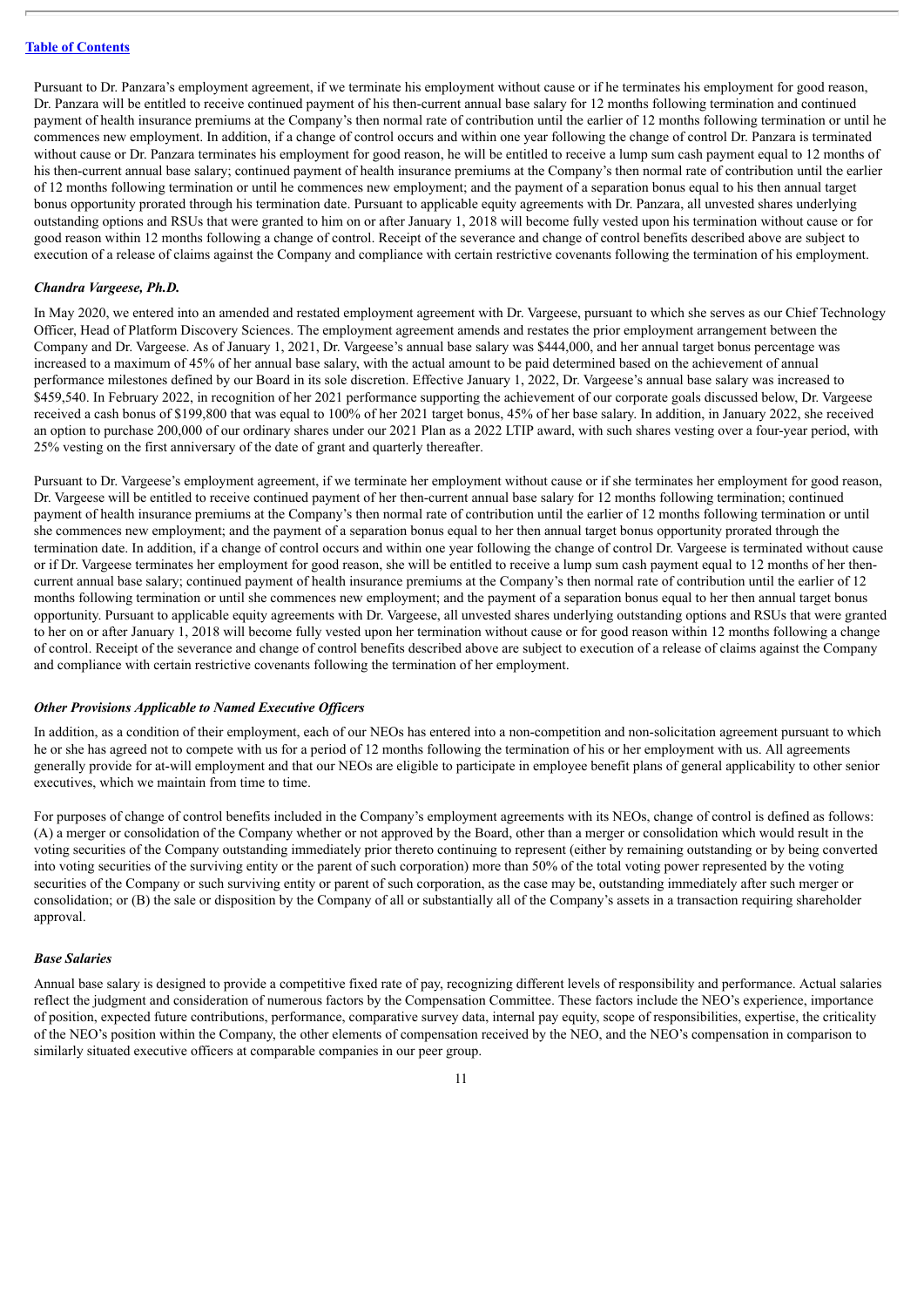Pursuant to Dr. Panzara's employment agreement, if we terminate his employment without cause or if he terminates his employment for good reason, Dr. Panzara will be entitled to receive continued payment of his then-current annual base salary for 12 months following termination and continued payment of health insurance premiums at the Company's then normal rate of contribution until the earlier of 12 months following termination or until he commences new employment. In addition, if a change of control occurs and within one year following the change of control Dr. Panzara is terminated without cause or Dr. Panzara terminates his employment for good reason, he will be entitled to receive a lump sum cash payment equal to 12 months of his then-current annual base salary; continued payment of health insurance premiums at the Company's then normal rate of contribution until the earlier of 12 months following termination or until he commences new employment; and the payment of a separation bonus equal to his then annual target bonus opportunity prorated through his termination date. Pursuant to applicable equity agreements with Dr. Panzara, all unvested shares underlying outstanding options and RSUs that were granted to him on or after January 1, 2018 will become fully vested upon his termination without cause or for good reason within 12 months following a change of control. Receipt of the severance and change of control benefits described above are subject to execution of a release of claims against the Company and compliance with certain restrictive covenants following the termination of his employment.

#### *Chandra Vargeese, Ph.D.*

In May 2020, we entered into an amended and restated employment agreement with Dr. Vargeese, pursuant to which she serves as our Chief Technology Officer, Head of Platform Discovery Sciences. The employment agreement amends and restates the prior employment arrangement between the Company and Dr. Vargeese. As of January 1, 2021, Dr. Vargeese's annual base salary was \$444,000, and her annual target bonus percentage was increased to a maximum of 45% of her annual base salary, with the actual amount to be paid determined based on the achievement of annual performance milestones defined by our Board in its sole discretion. Effective January 1, 2022, Dr. Vargeese's annual base salary was increased to \$459,540. In February 2022, in recognition of her 2021 performance supporting the achievement of our corporate goals discussed below, Dr. Vargeese received a cash bonus of \$199,800 that was equal to 100% of her 2021 target bonus, 45% of her base salary. In addition, in January 2022, she received an option to purchase 200,000 of our ordinary shares under our 2021 Plan as a 2022 LTIP award, with such shares vesting over a four-year period, with 25% vesting on the first anniversary of the date of grant and quarterly thereafter.

Pursuant to Dr. Vargeese's employment agreement, if we terminate her employment without cause or if she terminates her employment for good reason, Dr. Vargeese will be entitled to receive continued payment of her then-current annual base salary for 12 months following termination; continued payment of health insurance premiums at the Company's then normal rate of contribution until the earlier of 12 months following termination or until she commences new employment; and the payment of a separation bonus equal to her then annual target bonus opportunity prorated through the termination date. In addition, if a change of control occurs and within one year following the change of control Dr. Vargeese is terminated without cause or if Dr. Vargeese terminates her employment for good reason, she will be entitled to receive a lump sum cash payment equal to 12 months of her thencurrent annual base salary; continued payment of health insurance premiums at the Company's then normal rate of contribution until the earlier of 12 months following termination or until she commences new employment; and the payment of a separation bonus equal to her then annual target bonus opportunity. Pursuant to applicable equity agreements with Dr. Vargeese, all unvested shares underlying outstanding options and RSUs that were granted to her on or after January 1, 2018 will become fully vested upon her termination without cause or for good reason within 12 months following a change of control. Receipt of the severance and change of control benefits described above are subject to execution of a release of claims against the Company and compliance with certain restrictive covenants following the termination of her employment.

#### *Other Provisions Applicable to Named Executive Of icers*

In addition, as a condition of their employment, each of our NEOs has entered into a non-competition and non-solicitation agreement pursuant to which he or she has agreed not to compete with us for a period of 12 months following the termination of his or her employment with us. All agreements generally provide for at-will employment and that our NEOs are eligible to participate in employee benefit plans of general applicability to other senior executives, which we maintain from time to time.

For purposes of change of control benefits included in the Company's employment agreements with its NEOs, change of control is defined as follows: (A) a merger or consolidation of the Company whether or not approved by the Board, other than a merger or consolidation which would result in the voting securities of the Company outstanding immediately prior thereto continuing to represent (either by remaining outstanding or by being converted into voting securities of the surviving entity or the parent of such corporation) more than 50% of the total voting power represented by the voting securities of the Company or such surviving entity or parent of such corporation, as the case may be, outstanding immediately after such merger or consolidation; or (B) the sale or disposition by the Company of all or substantially all of the Company's assets in a transaction requiring shareholder approval.

#### *Base Salaries*

Annual base salary is designed to provide a competitive fixed rate of pay, recognizing different levels of responsibility and performance. Actual salaries reflect the judgment and consideration of numerous factors by the Compensation Committee. These factors include the NEO's experience, importance of position, expected future contributions, performance, comparative survey data, internal pay equity, scope of responsibilities, expertise, the criticality of the NEO's position within the Company, the other elements of compensation received by the NEO, and the NEO's compensation in comparison to similarly situated executive officers at comparable companies in our peer group.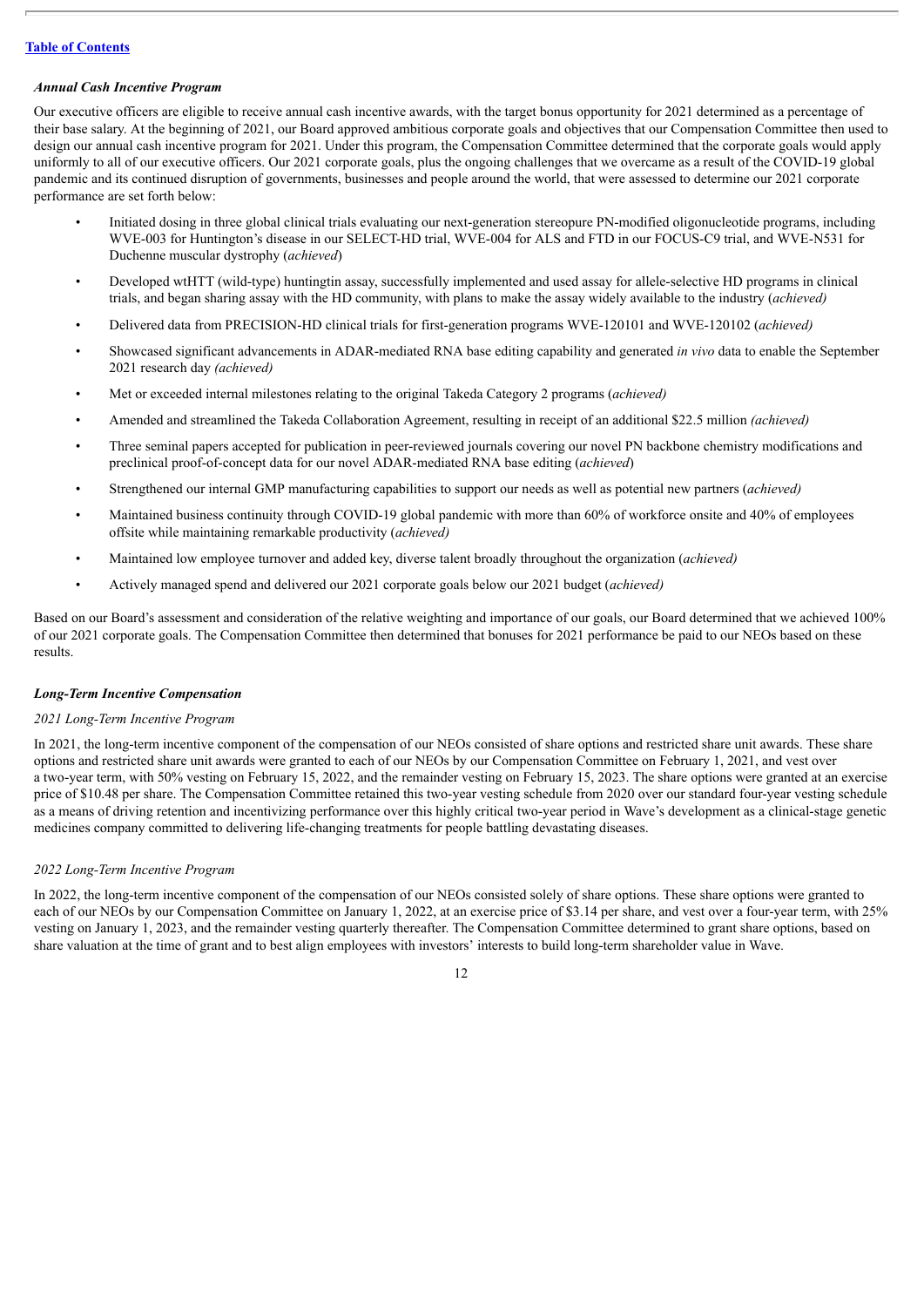#### *Annual Cash Incentive Program*

Our executive officers are eligible to receive annual cash incentive awards, with the target bonus opportunity for 2021 determined as a percentage of their base salary. At the beginning of 2021, our Board approved ambitious corporate goals and objectives that our Compensation Committee then used to design our annual cash incentive program for 2021. Under this program, the Compensation Committee determined that the corporate goals would apply uniformly to all of our executive officers. Our 2021 corporate goals, plus the ongoing challenges that we overcame as a result of the COVID-19 global pandemic and its continued disruption of governments, businesses and people around the world, that were assessed to determine our 2021 corporate performance are set forth below:

- Initiated dosing in three global clinical trials evaluating our next-generation stereopure PN-modified oligonucleotide programs, including WVE-003 for Huntington's disease in our SELECT-HD trial, WVE-004 for ALS and FTD in our FOCUS-C9 trial, and WVE-N531 for Duchenne muscular dystrophy (*achieved*)
- Developed wtHTT (wild-type) huntingtin assay, successfully implemented and used assay for allele-selective HD programs in clinical trials, and began sharing assay with the HD community, with plans to make the assay widely available to the industry (*achieved)*
- Delivered data from PRECISION-HD clinical trials for first-generation programs WVE-120101 and WVE-120102 (*achieved)*
- Showcased significant advancements in ADAR-mediated RNA base editing capability and generated *in vivo* data to enable the September 2021 research day *(achieved)*
- Met or exceeded internal milestones relating to the original Takeda Category 2 programs (*achieved)*
- Amended and streamlined the Takeda Collaboration Agreement, resulting in receipt of an additional \$22.5 million *(achieved)*
- Three seminal papers accepted for publication in peer-reviewed journals covering our novel PN backbone chemistry modifications and preclinical proof-of-concept data for our novel ADAR-mediated RNA base editing (*achieved*)
- Strengthened our internal GMP manufacturing capabilities to support our needs as well as potential new partners (*achieved)*
- Maintained business continuity through COVID-19 global pandemic with more than 60% of workforce onsite and 40% of employees offsite while maintaining remarkable productivity (*achieved)*
- Maintained low employee turnover and added key, diverse talent broadly throughout the organization (*achieved)*
- Actively managed spend and delivered our 2021 corporate goals below our 2021 budget (*achieved)*

Based on our Board's assessment and consideration of the relative weighting and importance of our goals, our Board determined that we achieved 100% of our 2021 corporate goals. The Compensation Committee then determined that bonuses for 2021 performance be paid to our NEOs based on these results.

#### *Long-Term Incentive Compensation*

#### *2021 Long-Term Incentive Program*

In 2021, the long-term incentive component of the compensation of our NEOs consisted of share options and restricted share unit awards. These share options and restricted share unit awards were granted to each of our NEOs by our Compensation Committee on February 1, 2021, and vest over a two-year term, with 50% vesting on February 15, 2022, and the remainder vesting on February 15, 2023. The share options were granted at an exercise price of \$10.48 per share. The Compensation Committee retained this two-year vesting schedule from 2020 over our standard four-year vesting schedule as a means of driving retention and incentivizing performance over this highly critical two-year period in Wave's development as a clinical-stage genetic medicines company committed to delivering life-changing treatments for people battling devastating diseases.

#### *2022 Long-Term Incentive Program*

In 2022, the long-term incentive component of the compensation of our NEOs consisted solely of share options. These share options were granted to each of our NEOs by our Compensation Committee on January 1, 2022, at an exercise price of \$3.14 per share, and vest over a four-year term, with 25% vesting on January 1, 2023, and the remainder vesting quarterly thereafter. The Compensation Committee determined to grant share options, based on share valuation at the time of grant and to best align employees with investors' interests to build long-term shareholder value in Wave.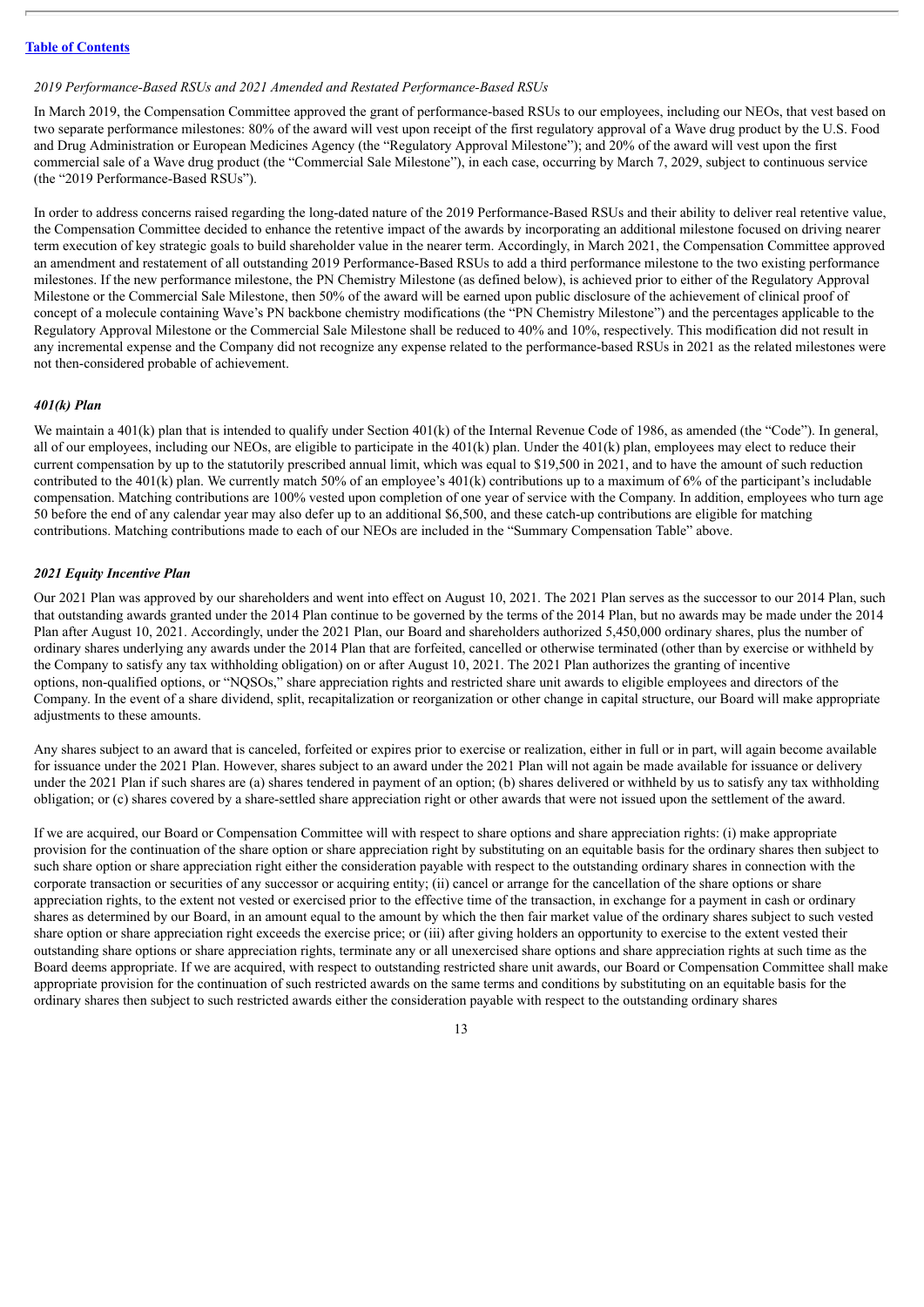#### *2019 Performance-Based RSUs and 2021 Amended and Restated Performance-Based RSUs*

In March 2019, the Compensation Committee approved the grant of performance-based RSUs to our employees, including our NEOs, that vest based on two separate performance milestones: 80% of the award will vest upon receipt of the first regulatory approval of a Wave drug product by the U.S. Food and Drug Administration or European Medicines Agency (the "Regulatory Approval Milestone"); and 20% of the award will vest upon the first commercial sale of a Wave drug product (the "Commercial Sale Milestone"), in each case, occurring by March 7, 2029, subject to continuous service (the "2019 Performance-Based RSUs").

In order to address concerns raised regarding the long-dated nature of the 2019 Performance-Based RSUs and their ability to deliver real retentive value, the Compensation Committee decided to enhance the retentive impact of the awards by incorporating an additional milestone focused on driving nearer term execution of key strategic goals to build shareholder value in the nearer term. Accordingly, in March 2021, the Compensation Committee approved an amendment and restatement of all outstanding 2019 Performance-Based RSUs to add a third performance milestone to the two existing performance milestones. If the new performance milestone, the PN Chemistry Milestone (as defined below), is achieved prior to either of the Regulatory Approval Milestone or the Commercial Sale Milestone, then 50% of the award will be earned upon public disclosure of the achievement of clinical proof of concept of a molecule containing Wave's PN backbone chemistry modifications (the "PN Chemistry Milestone") and the percentages applicable to the Regulatory Approval Milestone or the Commercial Sale Milestone shall be reduced to 40% and 10%, respectively. This modification did not result in any incremental expense and the Company did not recognize any expense related to the performance-based RSUs in 2021 as the related milestones were not then-considered probable of achievement.

#### *401(k) Plan*

We maintain a 401(k) plan that is intended to qualify under Section 401(k) of the Internal Revenue Code of 1986, as amended (the "Code"). In general, all of our employees, including our NEOs, are eligible to participate in the  $401(k)$  plan. Under the  $401(k)$  plan, employees may elect to reduce their current compensation by up to the statutorily prescribed annual limit, which was equal to \$19,500 in 2021, and to have the amount of such reduction contributed to the 401(k) plan. We currently match 50% of an employee's 401(k) contributions up to a maximum of 6% of the participant's includable compensation. Matching contributions are 100% vested upon completion of one year of service with the Company. In addition, employees who turn age 50 before the end of any calendar year may also defer up to an additional \$6,500, and these catch-up contributions are eligible for matching contributions. Matching contributions made to each of our NEOs are included in the "Summary Compensation Table" above.

#### *2021 Equity Incentive Plan*

Our 2021 Plan was approved by our shareholders and went into effect on August 10, 2021. The 2021 Plan serves as the successor to our 2014 Plan, such that outstanding awards granted under the 2014 Plan continue to be governed by the terms of the 2014 Plan, but no awards may be made under the 2014 Plan after August 10, 2021. Accordingly, under the 2021 Plan, our Board and shareholders authorized 5,450,000 ordinary shares, plus the number of ordinary shares underlying any awards under the 2014 Plan that are forfeited, cancelled or otherwise terminated (other than by exercise or withheld by the Company to satisfy any tax withholding obligation) on or after August 10, 2021. The 2021 Plan authorizes the granting of incentive options, non-qualified options, or "NQSOs," share appreciation rights and restricted share unit awards to eligible employees and directors of the Company. In the event of a share dividend, split, recapitalization or reorganization or other change in capital structure, our Board will make appropriate adjustments to these amounts.

Any shares subject to an award that is canceled, forfeited or expires prior to exercise or realization, either in full or in part, will again become available for issuance under the 2021 Plan. However, shares subject to an award under the 2021 Plan will not again be made available for issuance or delivery under the 2021 Plan if such shares are (a) shares tendered in payment of an option; (b) shares delivered or withheld by us to satisfy any tax withholding obligation; or (c) shares covered by a share-settled share appreciation right or other awards that were not issued upon the settlement of the award.

If we are acquired, our Board or Compensation Committee will with respect to share options and share appreciation rights: (i) make appropriate provision for the continuation of the share option or share appreciation right by substituting on an equitable basis for the ordinary shares then subject to such share option or share appreciation right either the consideration payable with respect to the outstanding ordinary shares in connection with the corporate transaction or securities of any successor or acquiring entity; (ii) cancel or arrange for the cancellation of the share options or share appreciation rights, to the extent not vested or exercised prior to the effective time of the transaction, in exchange for a payment in cash or ordinary shares as determined by our Board, in an amount equal to the amount by which the then fair market value of the ordinary shares subject to such vested share option or share appreciation right exceeds the exercise price; or (iii) after giving holders an opportunity to exercise to the extent vested their outstanding share options or share appreciation rights, terminate any or all unexercised share options and share appreciation rights at such time as the Board deems appropriate. If we are acquired, with respect to outstanding restricted share unit awards, our Board or Compensation Committee shall make appropriate provision for the continuation of such restricted awards on the same terms and conditions by substituting on an equitable basis for the ordinary shares then subject to such restricted awards either the consideration payable with respect to the outstanding ordinary shares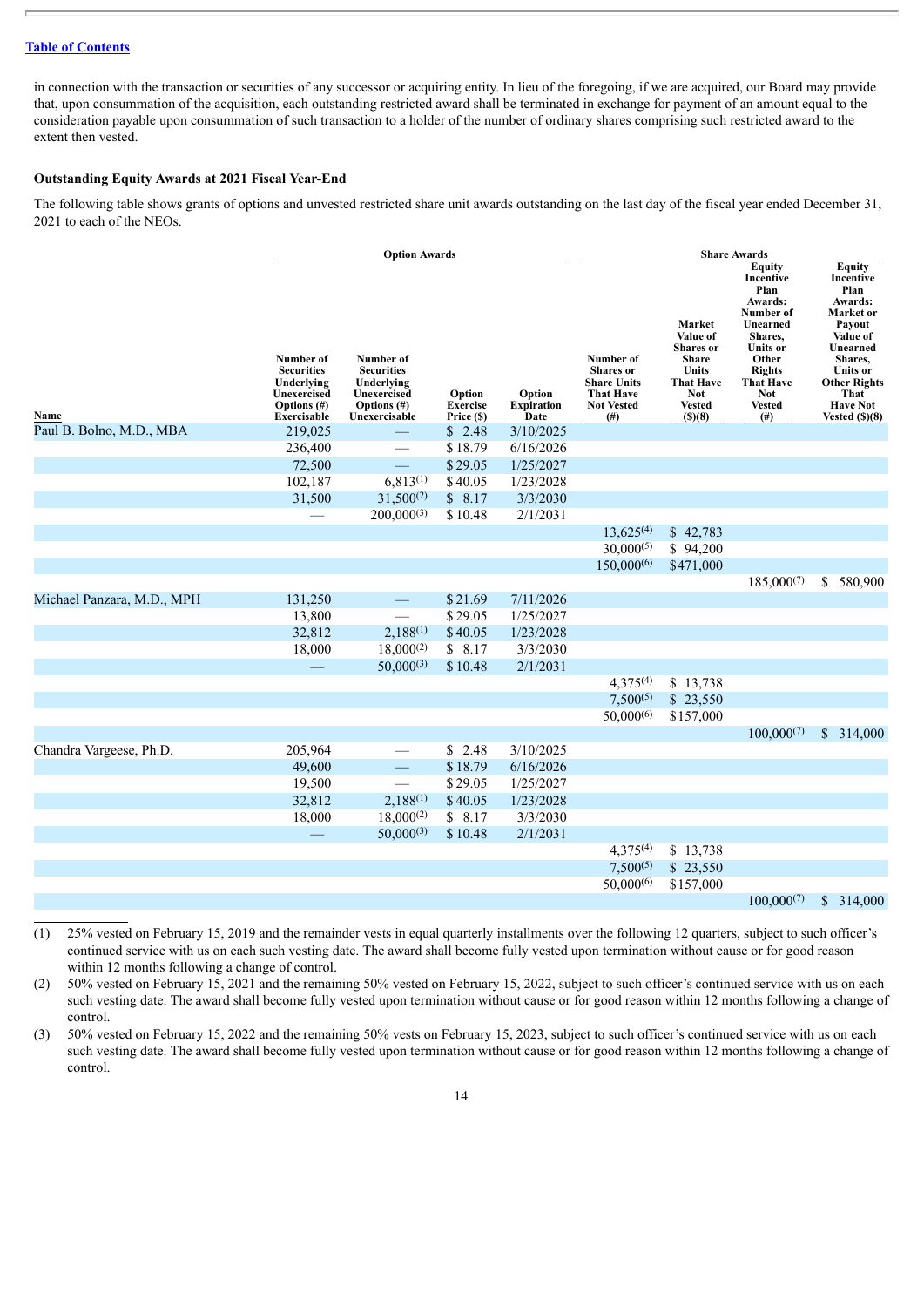in connection with the transaction or securities of any successor or acquiring entity. In lieu of the foregoing, if we are acquired, our Board may provide that, upon consummation of the acquisition, each outstanding restricted award shall be terminated in exchange for payment of an amount equal to the consideration payable upon consummation of such transaction to a holder of the number of ordinary shares comprising such restricted award to the extent then vested.

# **Outstanding Equity Awards at 2021 Fiscal Year-End**

The following table shows grants of options and unvested restricted share unit awards outstanding on the last day of the fiscal year ended December 31, 2021 to each of the NEOs.

|                            |                                                                                           | <b>Option Awards</b>                                                                        |                                         |                                     | <b>Share Awards</b>                                                                                      |                                                                                                                              |                                                                                                                                                                                         |                                                                                                                                                                                                 |
|----------------------------|-------------------------------------------------------------------------------------------|---------------------------------------------------------------------------------------------|-----------------------------------------|-------------------------------------|----------------------------------------------------------------------------------------------------------|------------------------------------------------------------------------------------------------------------------------------|-----------------------------------------------------------------------------------------------------------------------------------------------------------------------------------------|-------------------------------------------------------------------------------------------------------------------------------------------------------------------------------------------------|
| Name                       | Number of<br><b>Securities</b><br>Underlying<br>Unexercised<br>Options (#)<br>Exercisable | Number of<br><b>Securities</b><br>Underlying<br>Unexercised<br>Options (#)<br>Unexercisable | Option<br><b>Exercise</b><br>Price (\$) | Option<br><b>Expiration</b><br>Date | Number of<br><b>Shares</b> or<br><b>Share Units</b><br><b>That Have</b><br><b>Not Vested</b><br>$^{(#)}$ | Market<br>Value of<br><b>Shares</b> or<br><b>Share</b><br>Units<br><b>That Have</b><br><b>Not</b><br><b>Vested</b><br>(S)(8) | Equity<br>Incentive<br>Plan<br>Awards:<br>Number of<br>Unearned<br>Shares,<br><b>Units</b> or<br>Other<br><b>Rights</b><br><b>That Have</b><br><b>Not</b><br><b>Vested</b><br>$($ # $)$ | <b>Equity</b><br>Incentive<br>Plan<br>Awards:<br>Market or<br>Payout<br>Value of<br>Unearned<br>Shares,<br><b>Units</b> or<br><b>Other Rights</b><br>That<br><b>Have Not</b><br>Vested $(S)(8)$ |
| Paul B. Bolno, M.D., MBA   | 219,025                                                                                   |                                                                                             | \$2.48                                  | 3/10/2025                           |                                                                                                          |                                                                                                                              |                                                                                                                                                                                         |                                                                                                                                                                                                 |
|                            | 236,400                                                                                   |                                                                                             | \$18.79                                 | 6/16/2026                           |                                                                                                          |                                                                                                                              |                                                                                                                                                                                         |                                                                                                                                                                                                 |
|                            | 72,500                                                                                    |                                                                                             | \$29.05                                 | 1/25/2027                           |                                                                                                          |                                                                                                                              |                                                                                                                                                                                         |                                                                                                                                                                                                 |
|                            | 102,187                                                                                   | $6,813^{(1)}$                                                                               | \$40.05                                 | 1/23/2028                           |                                                                                                          |                                                                                                                              |                                                                                                                                                                                         |                                                                                                                                                                                                 |
|                            | 31,500                                                                                    | $31,500^{(2)}$                                                                              | \$8.17                                  | 3/3/2030                            |                                                                                                          |                                                                                                                              |                                                                                                                                                                                         |                                                                                                                                                                                                 |
|                            |                                                                                           | $200,000^{(3)}$                                                                             | \$10.48                                 | 2/1/2031                            |                                                                                                          |                                                                                                                              |                                                                                                                                                                                         |                                                                                                                                                                                                 |
|                            |                                                                                           |                                                                                             |                                         |                                     | $13,625^{(4)}$                                                                                           | \$42,783                                                                                                                     |                                                                                                                                                                                         |                                                                                                                                                                                                 |
|                            |                                                                                           |                                                                                             |                                         |                                     | $30,000^{(5)}$                                                                                           | \$94,200                                                                                                                     |                                                                                                                                                                                         |                                                                                                                                                                                                 |
|                            |                                                                                           |                                                                                             |                                         |                                     | $150,000^{(6)}$                                                                                          | \$471,000                                                                                                                    |                                                                                                                                                                                         |                                                                                                                                                                                                 |
|                            |                                                                                           |                                                                                             |                                         |                                     |                                                                                                          |                                                                                                                              | $185,000^{(7)}$                                                                                                                                                                         | \$<br>580,900                                                                                                                                                                                   |
| Michael Panzara, M.D., MPH | 131,250                                                                                   | $\overline{\phantom{0}}$                                                                    | \$21.69                                 | 7/11/2026                           |                                                                                                          |                                                                                                                              |                                                                                                                                                                                         |                                                                                                                                                                                                 |
|                            | 13,800                                                                                    |                                                                                             | \$29.05                                 | 1/25/2027                           |                                                                                                          |                                                                                                                              |                                                                                                                                                                                         |                                                                                                                                                                                                 |
|                            | 32,812                                                                                    | $2,188^{(1)}$                                                                               | \$40.05                                 | 1/23/2028                           |                                                                                                          |                                                                                                                              |                                                                                                                                                                                         |                                                                                                                                                                                                 |
|                            | 18,000                                                                                    | $18,000^{(2)}$                                                                              | \$8.17                                  | 3/3/2030                            |                                                                                                          |                                                                                                                              |                                                                                                                                                                                         |                                                                                                                                                                                                 |
|                            |                                                                                           | $50,000^{(3)}$                                                                              | \$10.48                                 | 2/1/2031                            |                                                                                                          |                                                                                                                              |                                                                                                                                                                                         |                                                                                                                                                                                                 |
|                            |                                                                                           |                                                                                             |                                         |                                     | $4,375^{(4)}$                                                                                            | \$13,738                                                                                                                     |                                                                                                                                                                                         |                                                                                                                                                                                                 |
|                            |                                                                                           |                                                                                             |                                         |                                     | $7,500^{(5)}$                                                                                            | \$23,550                                                                                                                     |                                                                                                                                                                                         |                                                                                                                                                                                                 |
|                            |                                                                                           |                                                                                             |                                         |                                     | $50,000^{(6)}$                                                                                           | \$157,000                                                                                                                    |                                                                                                                                                                                         |                                                                                                                                                                                                 |
|                            |                                                                                           |                                                                                             |                                         |                                     |                                                                                                          |                                                                                                                              | $100,000^{(7)}$                                                                                                                                                                         | \$314,000                                                                                                                                                                                       |
| Chandra Vargeese, Ph.D.    | 205,964                                                                                   |                                                                                             | \$2.48                                  | 3/10/2025                           |                                                                                                          |                                                                                                                              |                                                                                                                                                                                         |                                                                                                                                                                                                 |
|                            | 49,600                                                                                    | $\overline{\phantom{0}}$                                                                    | \$18.79                                 | 6/16/2026                           |                                                                                                          |                                                                                                                              |                                                                                                                                                                                         |                                                                                                                                                                                                 |
|                            | 19,500                                                                                    |                                                                                             | \$29.05                                 | 1/25/2027                           |                                                                                                          |                                                                                                                              |                                                                                                                                                                                         |                                                                                                                                                                                                 |
|                            | 32,812                                                                                    | $2,188^{(1)}$                                                                               | \$40.05                                 | 1/23/2028                           |                                                                                                          |                                                                                                                              |                                                                                                                                                                                         |                                                                                                                                                                                                 |
|                            | 18,000                                                                                    | $18,000^{(2)}$                                                                              | \$8.17                                  | 3/3/2030                            |                                                                                                          |                                                                                                                              |                                                                                                                                                                                         |                                                                                                                                                                                                 |
|                            |                                                                                           | $50,000^{(3)}$                                                                              | \$10.48                                 | 2/1/2031                            |                                                                                                          |                                                                                                                              |                                                                                                                                                                                         |                                                                                                                                                                                                 |
|                            |                                                                                           |                                                                                             |                                         |                                     | $4,375^{(4)}$                                                                                            | \$13,738                                                                                                                     |                                                                                                                                                                                         |                                                                                                                                                                                                 |
|                            |                                                                                           |                                                                                             |                                         |                                     | $7,500^{(5)}$                                                                                            | \$23,550                                                                                                                     |                                                                                                                                                                                         |                                                                                                                                                                                                 |
|                            |                                                                                           |                                                                                             |                                         |                                     | $50,000^{(6)}$                                                                                           | \$157,000                                                                                                                    |                                                                                                                                                                                         |                                                                                                                                                                                                 |
|                            |                                                                                           |                                                                                             |                                         |                                     |                                                                                                          |                                                                                                                              | $100,000^{(7)}$                                                                                                                                                                         | \$<br>314,000                                                                                                                                                                                   |

(1) 25% vested on February 15, 2019 and the remainder vests in equal quarterly installments over the following 12 quarters, subject to such officer's continued service with us on each such vesting date. The award shall become fully vested upon termination without cause or for good reason within 12 months following a change of control.

(2) 50% vested on February 15, 2021 and the remaining 50% vested on February 15, 2022, subject to such officer's continued service with us on each such vesting date. The award shall become fully vested upon termination without cause or for good reason within 12 months following a change of control.

(3) 50% vested on February 15, 2022 and the remaining 50% vests on February 15, 2023, subject to such officer's continued service with us on each such vesting date. The award shall become fully vested upon termination without cause or for good reason within 12 months following a change of control.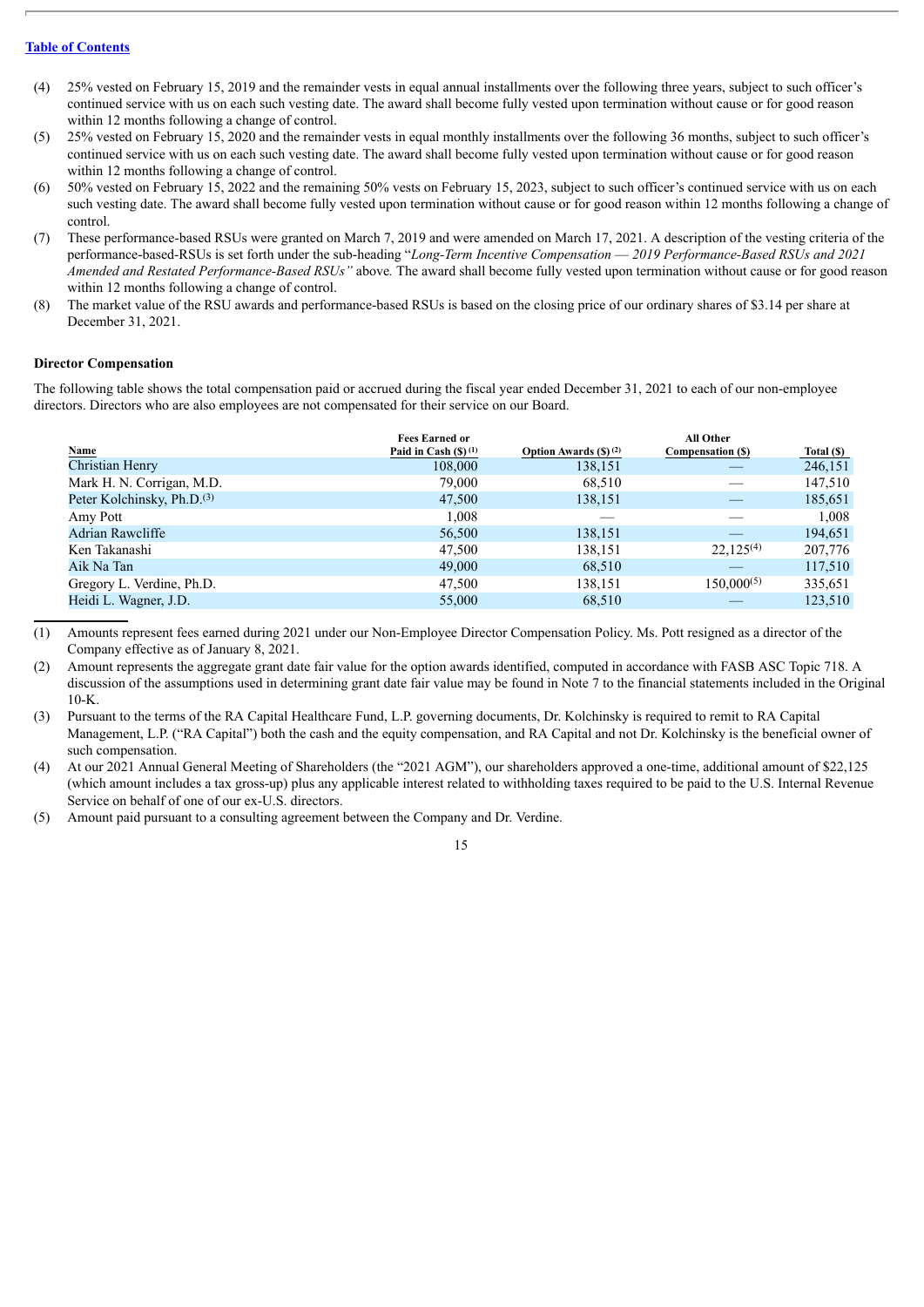- (4) 25% vested on February 15, 2019 and the remainder vests in equal annual installments over the following three years, subject to such officer's continued service with us on each such vesting date. The award shall become fully vested upon termination without cause or for good reason within 12 months following a change of control.
- (5) 25% vested on February 15, 2020 and the remainder vests in equal monthly installments over the following 36 months, subject to such officer's continued service with us on each such vesting date. The award shall become fully vested upon termination without cause or for good reason within 12 months following a change of control.
- (6) 50% vested on February 15, 2022 and the remaining 50% vests on February 15, 2023, subject to such officer's continued service with us on each such vesting date. The award shall become fully vested upon termination without cause or for good reason within 12 months following a change of control.
- (7) These performance-based RSUs were granted on March 7, 2019 and were amended on March 17, 2021. A description of the vesting criteria of the performance-based-RSUs is set forth under the sub-heading "*Long-Term Incentive Compensation* — *2019 Performance-Based RSUs and 2021 Amended and Restated Performance-Based RSUs"* above*.* The award shall become fully vested upon termination without cause or for good reason within 12 months following a change of control.
- (8) The market value of the RSU awards and performance-based RSUs is based on the closing price of our ordinary shares of \$3.14 per share at December 31, 2021.

#### **Director Compensation**

The following table shows the total compensation paid or accrued during the fiscal year ended December 31, 2021 to each of our non-employee directors. Directors who are also employees are not compensated for their service on our Board.

| Name                                   | <b>Fees Earned or</b><br>Paid in Cash $(S)$ (1) | <b>Option Awards (\$) (2)</b> | All Other<br>Compensation (\$) | Total (\$) |
|----------------------------------------|-------------------------------------------------|-------------------------------|--------------------------------|------------|
| Christian Henry                        | 108,000                                         | 138,151                       |                                | 246,151    |
| Mark H. N. Corrigan, M.D.              | 79,000                                          | 68,510                        |                                | 147,510    |
| Peter Kolchinsky, Ph.D. <sup>(3)</sup> | 47,500                                          | 138,151                       |                                | 185,651    |
| Amy Pott                               | 1,008                                           |                               |                                | 1,008      |
| Adrian Rawcliffe                       | 56,500                                          | 138,151                       |                                | 194,651    |
| Ken Takanashi                          | 47,500                                          | 138,151                       | $22.125^{(4)}$                 | 207,776    |
| Aik Na Tan                             | 49,000                                          | 68,510                        |                                | 117,510    |
| Gregory L. Verdine, Ph.D.              | 47,500                                          | 138,151                       | $150,000^{(5)}$                | 335,651    |
| Heidi L. Wagner, J.D.                  | 55,000                                          | 68,510                        |                                | 123,510    |
|                                        |                                                 |                               |                                |            |

(1) Amounts represent fees earned during 2021 under our Non-Employee Director Compensation Policy. Ms. Pott resigned as a director of the Company effective as of January 8, 2021.

(2) Amount represents the aggregate grant date fair value for the option awards identified, computed in accordance with FASB ASC Topic 718. A discussion of the assumptions used in determining grant date fair value may be found in Note 7 to the financial statements included in the Original  $10-K$ .

(3) Pursuant to the terms of the RA Capital Healthcare Fund, L.P. governing documents, Dr. Kolchinsky is required to remit to RA Capital Management, L.P. ("RA Capital") both the cash and the equity compensation, and RA Capital and not Dr. Kolchinsky is the beneficial owner of such compensation.

(4) At our 2021 Annual General Meeting of Shareholders (the "2021 AGM"), our shareholders approved a one-time, additional amount of \$22,125 (which amount includes a tax gross-up) plus any applicable interest related to withholding taxes required to be paid to the U.S. Internal Revenue Service on behalf of one of our ex-U.S. directors.

(5) Amount paid pursuant to a consulting agreement between the Company and Dr. Verdine.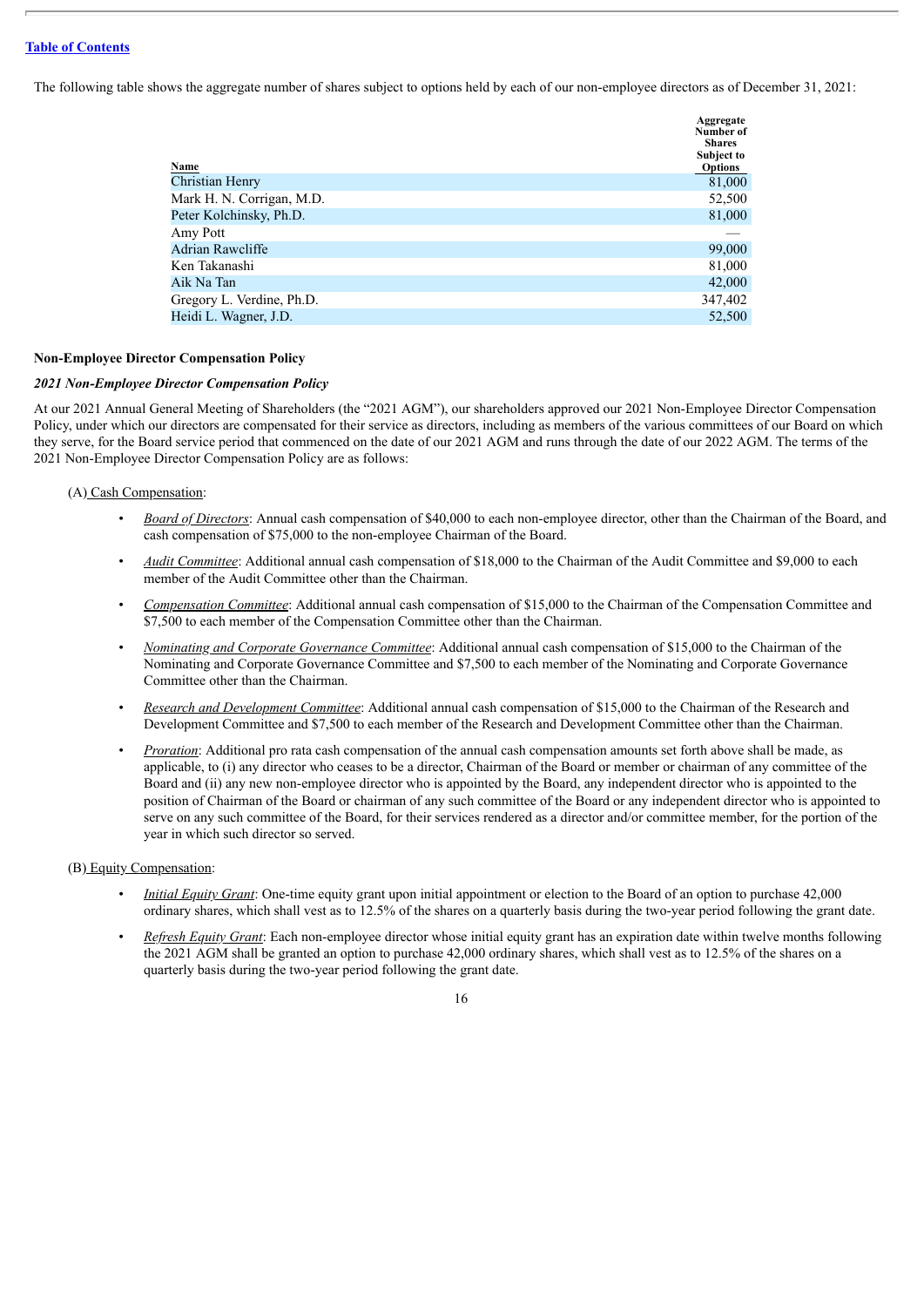The following table shows the aggregate number of shares subject to options held by each of our non-employee directors as of December 31, 2021:

| Name                      | Aggregate<br>Number of<br><b>Shares</b><br>Subject to<br><b>Options</b> |
|---------------------------|-------------------------------------------------------------------------|
| <b>Christian Henry</b>    | 81,000                                                                  |
| Mark H. N. Corrigan, M.D. | 52,500                                                                  |
| Peter Kolchinsky, Ph.D.   | 81,000                                                                  |
| Amy Pott                  |                                                                         |
| Adrian Rawcliffe          | 99,000                                                                  |
| Ken Takanashi             | 81,000                                                                  |
| Aik Na Tan                | 42,000                                                                  |
| Gregory L. Verdine, Ph.D. | 347,402                                                                 |
| Heidi L. Wagner, J.D.     | 52,500                                                                  |

#### **Non-Employee Director Compensation Policy**

#### *2021 Non-Employee Director Compensation Policy*

At our 2021 Annual General Meeting of Shareholders (the "2021 AGM"), our shareholders approved our 2021 Non-Employee Director Compensation Policy, under which our directors are compensated for their service as directors, including as members of the various committees of our Board on which they serve, for the Board service period that commenced on the date of our 2021 AGM and runs through the date of our 2022 AGM. The terms of the 2021 Non-Employee Director Compensation Policy are as follows:

#### (A) Cash Compensation:

- *Board of Directors*: Annual cash compensation of \$40,000 to each non-employee director, other than the Chairman of the Board, and cash compensation of \$75,000 to the non-employee Chairman of the Board.
- *Audit Committee*: Additional annual cash compensation of \$18,000 to the Chairman of the Audit Committee and \$9,000 to each member of the Audit Committee other than the Chairman.
- *Compensation Committee*: Additional annual cash compensation of \$15,000 to the Chairman of the Compensation Committee and \$7,500 to each member of the Compensation Committee other than the Chairman.
- *Nominating and Corporate Governance Committee*: Additional annual cash compensation of \$15,000 to the Chairman of the Nominating and Corporate Governance Committee and \$7,500 to each member of the Nominating and Corporate Governance Committee other than the Chairman.
- *Research and Development Committee*: Additional annual cash compensation of \$15,000 to the Chairman of the Research and Development Committee and \$7,500 to each member of the Research and Development Committee other than the Chairman.
- *Proration*: Additional pro rata cash compensation of the annual cash compensation amounts set forth above shall be made, as applicable, to (i) any director who ceases to be a director, Chairman of the Board or member or chairman of any committee of the Board and (ii) any new non-employee director who is appointed by the Board, any independent director who is appointed to the position of Chairman of the Board or chairman of any such committee of the Board or any independent director who is appointed to serve on any such committee of the Board, for their services rendered as a director and/or committee member, for the portion of the year in which such director so served.

#### (B) Equity Compensation:

- *Initial Equity Grant*: One-time equity grant upon initial appointment or election to the Board of an option to purchase 42,000 ordinary shares, which shall vest as to 12.5% of the shares on a quarterly basis during the two-year period following the grant date.
- *Refresh Equity Grant*: Each non-employee director whose initial equity grant has an expiration date within twelve months following the 2021 AGM shall be granted an option to purchase 42,000 ordinary shares, which shall vest as to 12.5% of the shares on a quarterly basis during the two-year period following the grant date.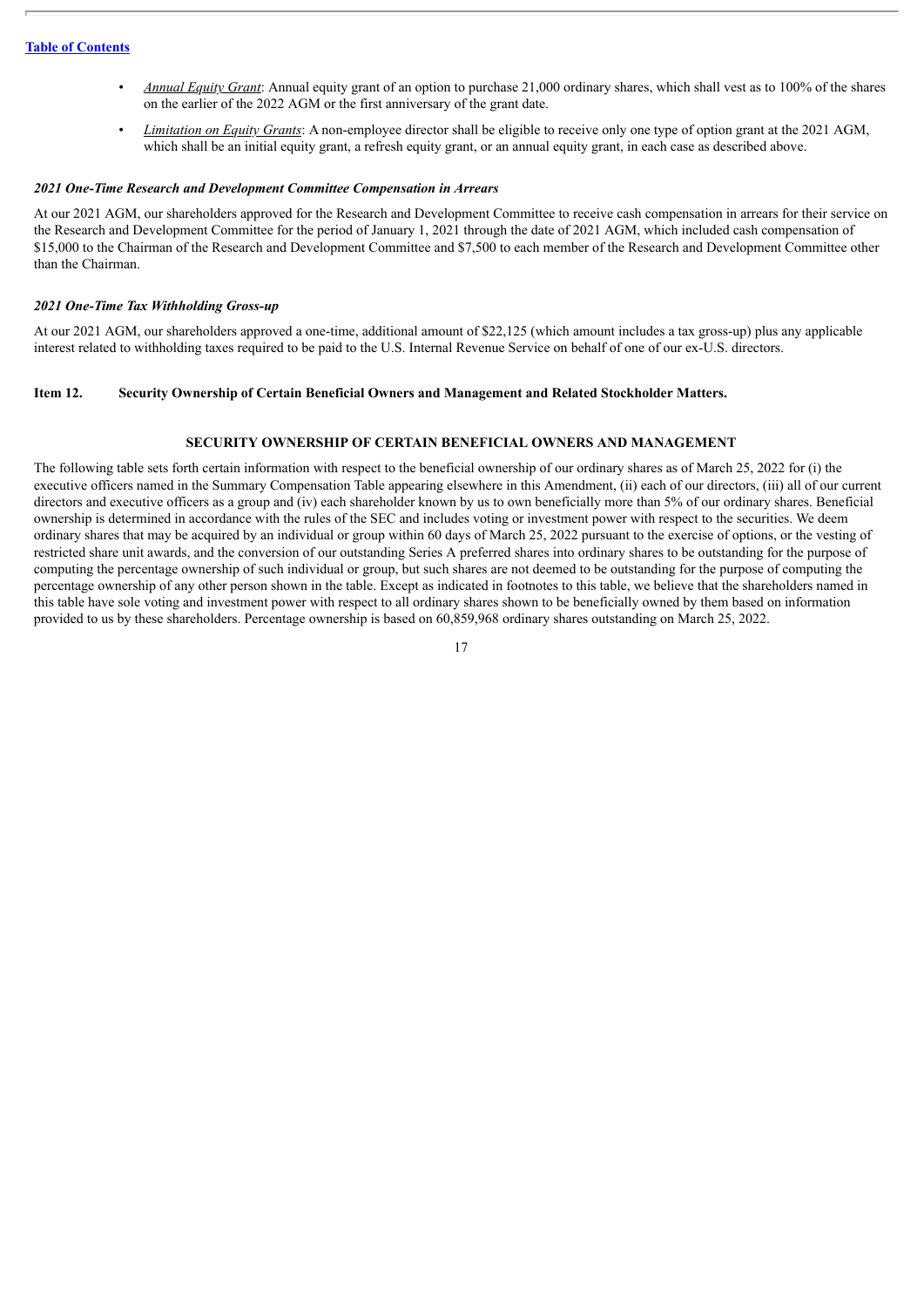- *Annual Equity Grant*: Annual equity grant of an option to purchase 21,000 ordinary shares, which shall vest as to 100% of the shares on the earlier of the 2022 AGM or the first anniversary of the grant date.
- *Limitation on Equity Grants*: A non-employee director shall be eligible to receive only one type of option grant at the 2021 AGM, which shall be an initial equity grant, a refresh equity grant, or an annual equity grant, in each case as described above.

#### *2021 One-Time Research and Development Committee Compensation in Arrears*

At our 2021 AGM, our shareholders approved for the Research and Development Committee to receive cash compensation in arrears for their service on the Research and Development Committee for the period of January 1, 2021 through the date of 2021 AGM, which included cash compensation of \$15,000 to the Chairman of the Research and Development Committee and \$7,500 to each member of the Research and Development Committee other than the Chairman.

#### *2021 One-Time Tax Withholding Gross-up*

At our 2021 AGM, our shareholders approved a one-time, additional amount of \$22,125 (which amount includes a tax gross-up) plus any applicable interest related to withholding taxes required to be paid to the U.S. Internal Revenue Service on behalf of one of our ex-U.S. directors.

#### <span id="page-21-0"></span>**Item 12. Security Ownership of Certain Beneficial Owners and Management and Related Stockholder Matters.**

#### **SECURITY OWNERSHIP OF CERTAIN BENEFICIAL OWNERS AND MANAGEMENT**

The following table sets forth certain information with respect to the beneficial ownership of our ordinary shares as of March 25, 2022 for (i) the executive officers named in the Summary Compensation Table appearing elsewhere in this Amendment, (ii) each of our directors, (iii) all of our current directors and executive officers as a group and (iv) each shareholder known by us to own beneficially more than 5% of our ordinary shares. Beneficial ownership is determined in accordance with the rules of the SEC and includes voting or investment power with respect to the securities. We deem ordinary shares that may be acquired by an individual or group within 60 days of March 25, 2022 pursuant to the exercise of options, or the vesting of restricted share unit awards, and the conversion of our outstanding Series A preferred shares into ordinary shares to be outstanding for the purpose of computing the percentage ownership of such individual or group, but such shares are not deemed to be outstanding for the purpose of computing the percentage ownership of any other person shown in the table. Except as indicated in footnotes to this table, we believe that the shareholders named in this table have sole voting and investment power with respect to all ordinary shares shown to be beneficially owned by them based on information provided to us by these shareholders. Percentage ownership is based on 60,859,968 ordinary shares outstanding on March 25, 2022.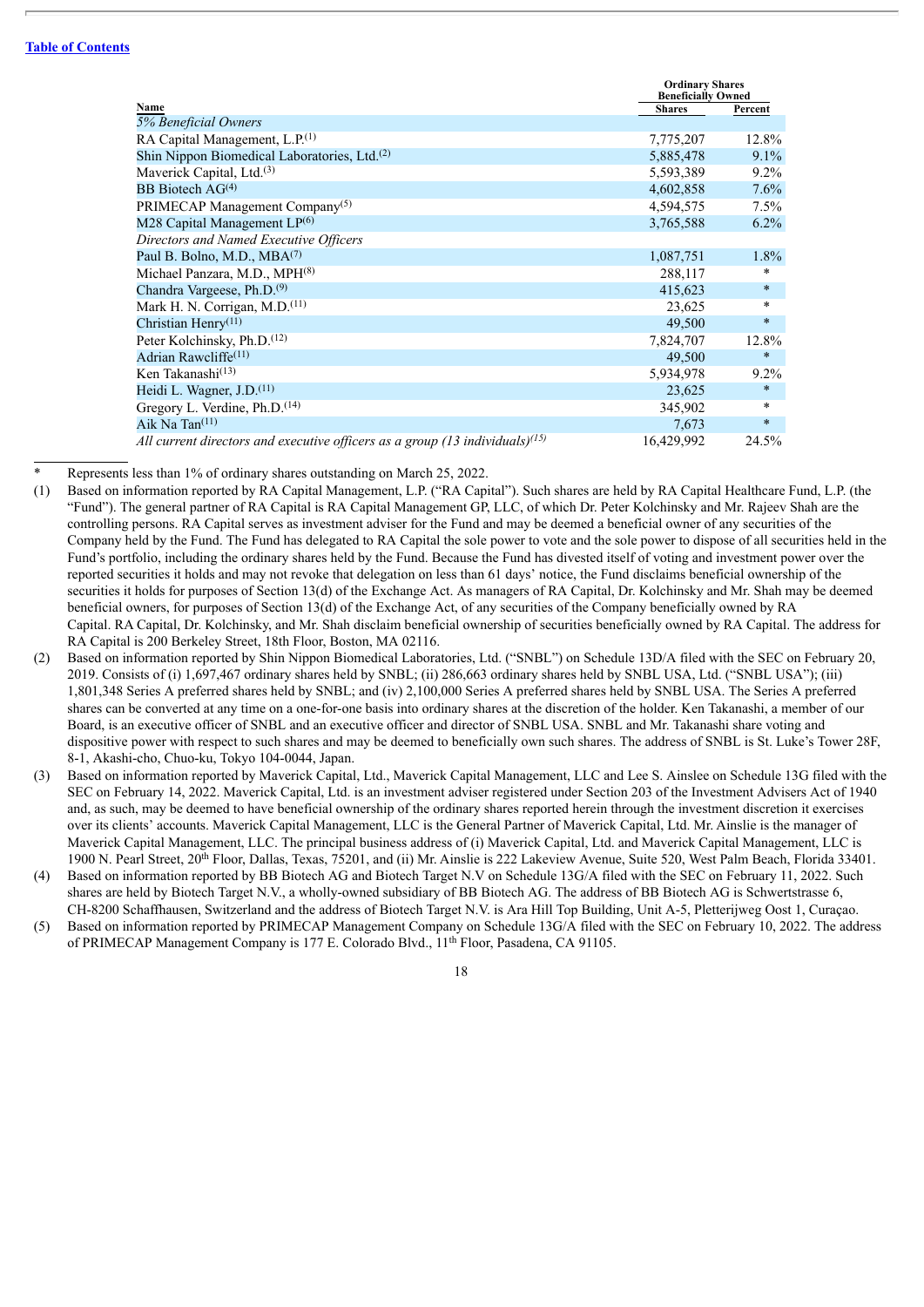|                                                                                 | <b>Ordinary Shares</b><br><b>Beneficially Owned</b> |         |
|---------------------------------------------------------------------------------|-----------------------------------------------------|---------|
| Name                                                                            | <b>Shares</b>                                       | Percent |
| 5% Beneficial Owners                                                            |                                                     |         |
| RA Capital Management, L.P. <sup>(1)</sup>                                      | 7,775,207                                           | 12.8%   |
| Shin Nippon Biomedical Laboratories, Ltd. <sup>(2)</sup>                        | 5,885,478                                           | 9.1%    |
| Maverick Capital, Ltd. <sup>(3)</sup>                                           | 5,593,389                                           | $9.2\%$ |
| BB Biotech $AG(4)$                                                              | 4,602,858                                           | 7.6%    |
| PRIMECAP Management Company <sup>(5)</sup>                                      | 4,594,575                                           | 7.5%    |
| M28 Capital Management LP(6)                                                    | 3,765,588                                           | $6.2\%$ |
| Directors and Named Executive Officers                                          |                                                     |         |
| Paul B. Bolno, M.D., MBA <sup>(7)</sup>                                         | 1,087,751                                           | 1.8%    |
| Michael Panzara, M.D., MPH <sup>(8)</sup>                                       | 288,117                                             | $\ast$  |
| Chandra Vargeese, Ph.D. <sup>(9)</sup>                                          | 415,623                                             | $\ast$  |
| Mark H. N. Corrigan, M.D. <sup>(11)</sup>                                       | 23,625                                              | $\ast$  |
| Christian Henry <sup><math>(11)</math></sup>                                    | 49,500                                              | $\ast$  |
| Peter Kolchinsky, Ph.D. <sup>(12)</sup>                                         | 7,824,707                                           | 12.8%   |
| Adrian Rawcliffe <sup>(11)</sup>                                                | 49,500                                              | $\ast$  |
| Ken Takanashi $(13)$                                                            | 5,934,978                                           | $9.2\%$ |
| Heidi L. Wagner, J.D. <sup>(11)</sup>                                           | 23,625                                              | $\ast$  |
| Gregory L. Verdine, Ph.D. <sup>(14)</sup>                                       | 345,902                                             | $\ast$  |
| Aik Na Tan $(11)$                                                               | 7,673                                               | $\ast$  |
| All current directors and executive officers as a group (13 individuals) $(15)$ | 16,429,992                                          | 24.5%   |

Represents less than 1% of ordinary shares outstanding on March 25, 2022.

- (1) Based on information reported by RA Capital Management, L.P. ("RA Capital"). Such shares are held by RA Capital Healthcare Fund, L.P. (the "Fund"). The general partner of RA Capital is RA Capital Management GP, LLC, of which Dr. Peter Kolchinsky and Mr. Rajeev Shah are the controlling persons. RA Capital serves as investment adviser for the Fund and may be deemed a beneficial owner of any securities of the Company held by the Fund. The Fund has delegated to RA Capital the sole power to vote and the sole power to dispose of all securities held in the Fund's portfolio, including the ordinary shares held by the Fund. Because the Fund has divested itself of voting and investment power over the reported securities it holds and may not revoke that delegation on less than 61 days' notice, the Fund disclaims beneficial ownership of the securities it holds for purposes of Section 13(d) of the Exchange Act. As managers of RA Capital, Dr. Kolchinsky and Mr. Shah may be deemed beneficial owners, for purposes of Section 13(d) of the Exchange Act, of any securities of the Company beneficially owned by RA Capital. RA Capital, Dr. Kolchinsky, and Mr. Shah disclaim beneficial ownership of securities beneficially owned by RA Capital. The address for RA Capital is 200 Berkeley Street, 18th Floor, Boston, MA 02116.
- (2) Based on information reported by Shin Nippon Biomedical Laboratories, Ltd. ("SNBL") on Schedule 13D/A filed with the SEC on February 20, 2019. Consists of (i) 1,697,467 ordinary shares held by SNBL; (ii) 286,663 ordinary shares held by SNBL USA, Ltd. ("SNBL USA"); (iii) 1,801,348 Series A preferred shares held by SNBL; and (iv) 2,100,000 Series A preferred shares held by SNBL USA. The Series A preferred shares can be converted at any time on a one-for-one basis into ordinary shares at the discretion of the holder. Ken Takanashi, a member of our Board, is an executive officer of SNBL and an executive officer and director of SNBL USA. SNBL and Mr. Takanashi share voting and dispositive power with respect to such shares and may be deemed to beneficially own such shares. The address of SNBL is St. Luke's Tower 28F, 8-1, Akashi-cho, Chuo-ku, Tokyo 104-0044, Japan.
- (3) Based on information reported by Maverick Capital, Ltd., Maverick Capital Management, LLC and Lee S. Ainslee on Schedule 13G filed with the SEC on February 14, 2022. Maverick Capital, Ltd. is an investment adviser registered under Section 203 of the Investment Advisers Act of 1940 and, as such, may be deemed to have beneficial ownership of the ordinary shares reported herein through the investment discretion it exercises over its clients' accounts. Maverick Capital Management, LLC is the General Partner of Maverick Capital, Ltd. Mr. Ainslie is the manager of Maverick Capital Management, LLC. The principal business address of (i) Maverick Capital, Ltd. and Maverick Capital Management, LLC is 1900 N. Pearl Street, 20<sup>th</sup> Floor, Dallas, Texas, 75201, and (ii) Mr. Ainslie is 222 Lakeview Avenue, Suite 520, West Palm Beach, Florida 33401.
- (4) Based on information reported by BB Biotech AG and Biotech Target N.V on Schedule 13G/A filed with the SEC on February 11, 2022. Such shares are held by Biotech Target N.V., a wholly-owned subsidiary of BB Biotech AG. The address of BB Biotech AG is Schwertstrasse 6, CH-8200 Schaffhausen, Switzerland and the address of Biotech Target N.V. is Ara Hill Top Building, Unit A-5, Pletterijweg Oost 1, Curaçao.
- (5) Based on information reported by PRIMECAP Management Company on Schedule 13G/A filed with the SEC on February 10, 2022. The address of PRIMECAP Management Company is 177 E. Colorado Blvd., 11<sup>th</sup> Floor, Pasadena, CA 91105.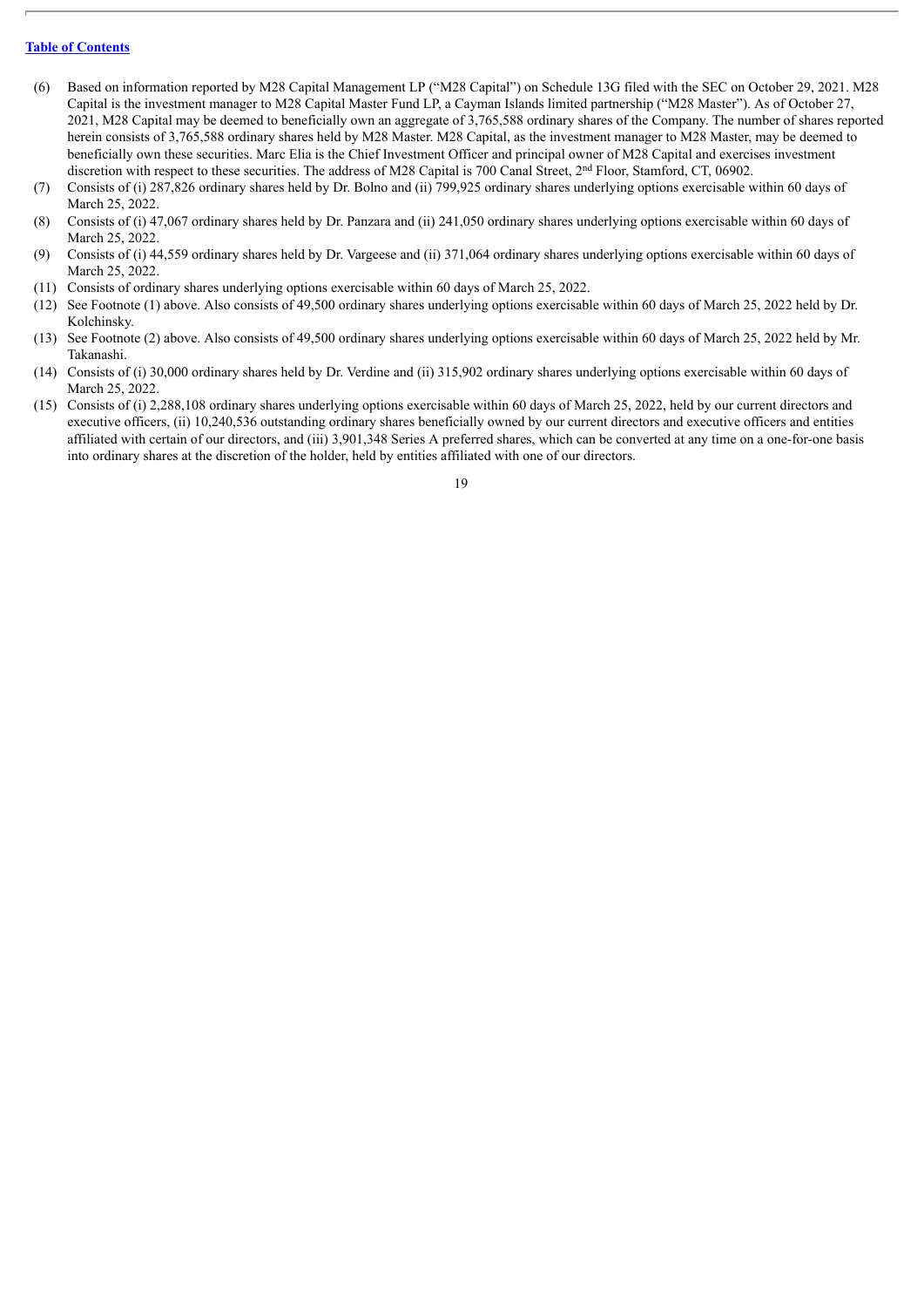- (6) Based on information reported by M28 Capital Management LP ("M28 Capital") on Schedule 13G filed with the SEC on October 29, 2021. M28 Capital is the investment manager to M28 Capital Master Fund LP, a Cayman Islands limited partnership ("M28 Master"). As of October 27, 2021, M28 Capital may be deemed to beneficially own an aggregate of 3,765,588 ordinary shares of the Company. The number of shares reported herein consists of 3,765,588 ordinary shares held by M28 Master. M28 Capital, as the investment manager to M28 Master, may be deemed to beneficially own these securities. Marc Elia is the Chief Investment Officer and principal owner of M28 Capital and exercises investment discretion with respect to these securities. The address of M28 Capital is 700 Canal Street, 2<sup>nd</sup> Floor, Stamford, CT, 06902.
- (7) Consists of (i) 287,826 ordinary shares held by Dr. Bolno and (ii) 799,925 ordinary shares underlying options exercisable within 60 days of March 25, 2022.
- (8) Consists of (i) 47,067 ordinary shares held by Dr. Panzara and (ii) 241,050 ordinary shares underlying options exercisable within 60 days of March 25, 2022.
- (9) Consists of (i) 44,559 ordinary shares held by Dr. Vargeese and (ii) 371,064 ordinary shares underlying options exercisable within 60 days of March 25, 2022.
- (11) Consists of ordinary shares underlying options exercisable within 60 days of March 25, 2022.
- (12) See Footnote (1) above. Also consists of 49,500 ordinary shares underlying options exercisable within 60 days of March 25, 2022 held by Dr. Kolchinsky.
- (13) See Footnote (2) above. Also consists of 49,500 ordinary shares underlying options exercisable within 60 days of March 25, 2022 held by Mr. Takanashi.
- (14) Consists of (i) 30,000 ordinary shares held by Dr. Verdine and (ii) 315,902 ordinary shares underlying options exercisable within 60 days of March 25, 2022.
- (15) Consists of (i) 2,288,108 ordinary shares underlying options exercisable within 60 days of March 25, 2022, held by our current directors and executive officers, (ii) 10,240,536 outstanding ordinary shares beneficially owned by our current directors and executive officers and entities affiliated with certain of our directors, and (iii) 3,901,348 Series A preferred shares, which can be converted at any time on a one-for-one basis into ordinary shares at the discretion of the holder, held by entities affiliated with one of our directors.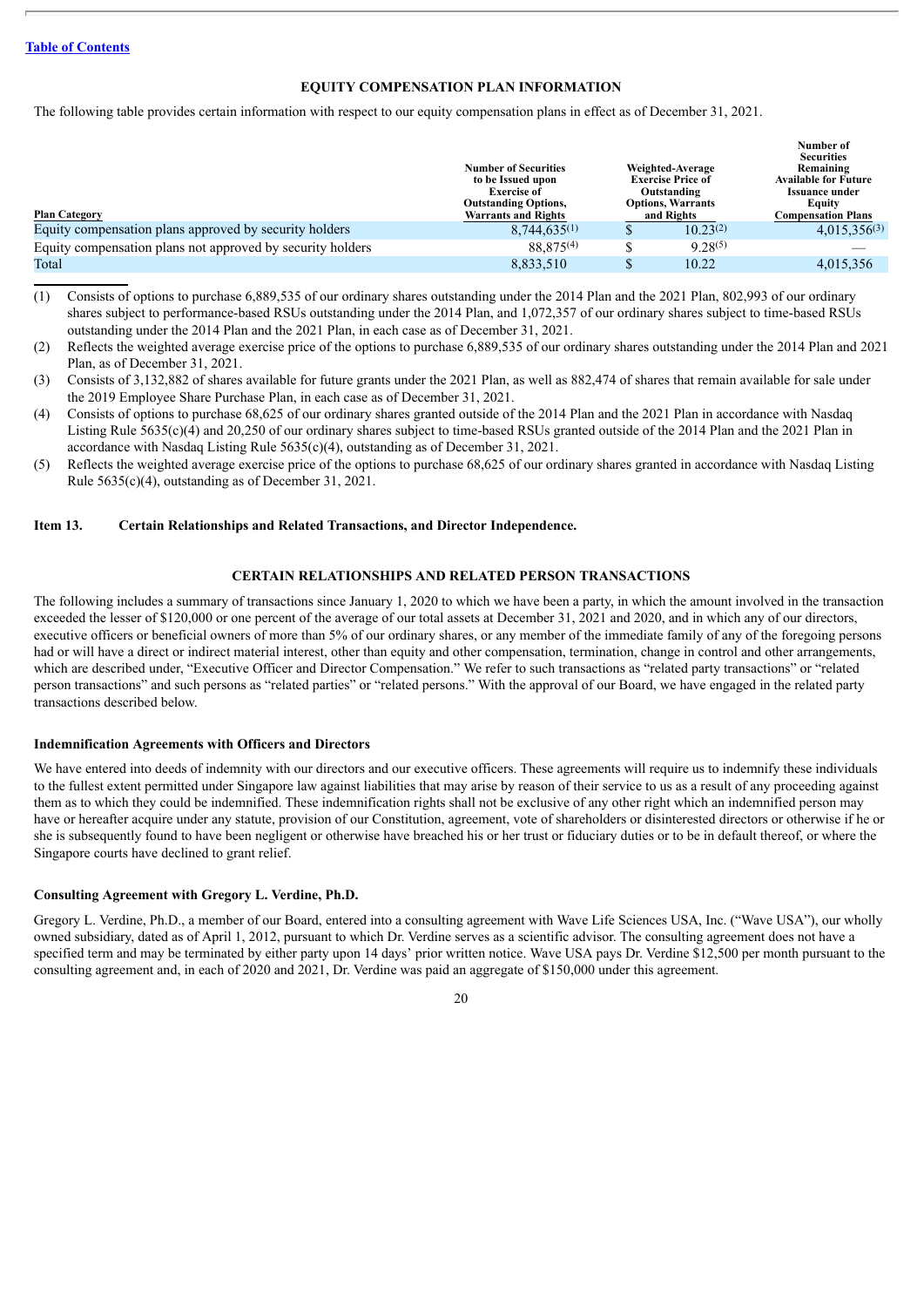#### **EQUITY COMPENSATION PLAN INFORMATION**

The following table provides certain information with respect to our equity compensation plans in effect as of December 31, 2021.

|                                                            | <b>Number of Securities</b><br>to be Issued upon<br><b>Exercise of</b><br><b>Outstanding Options,</b> | Weighted-Average<br><b>Exercise Price of</b><br>Outstanding<br><b>Options, Warrants</b> | Number of<br><b>Securities</b><br>Remaining<br><b>Available for Future</b><br>Issuance under<br>Equity |
|------------------------------------------------------------|-------------------------------------------------------------------------------------------------------|-----------------------------------------------------------------------------------------|--------------------------------------------------------------------------------------------------------|
| <b>Plan Category</b>                                       | <b>Warrants and Rights</b>                                                                            | and Rights                                                                              | <b>Compensation Plans</b>                                                                              |
| Equity compensation plans approved by security holders     | $8.744.635^{(1)}$                                                                                     | $10.23^{(2)}$                                                                           | $4,015,356^{(3)}$                                                                                      |
| Equity compensation plans not approved by security holders | 88.875 <sup>(4)</sup>                                                                                 | $9.28^{(5)}$                                                                            |                                                                                                        |
| Total                                                      | 8,833,510                                                                                             | 10.22                                                                                   | 4.015.356                                                                                              |

- (1) Consists of options to purchase 6,889,535 of our ordinary shares outstanding under the 2014 Plan and the 2021 Plan, 802,993 of our ordinary shares subject to performance-based RSUs outstanding under the 2014 Plan, and 1,072,357 of our ordinary shares subject to time-based RSUs outstanding under the 2014 Plan and the 2021 Plan, in each case as of December 31, 2021.
- (2) Reflects the weighted average exercise price of the options to purchase 6,889,535 of our ordinary shares outstanding under the 2014 Plan and 2021 Plan, as of December 31, 2021.
- (3) Consists of 3,132,882 of shares available for future grants under the 2021 Plan, as well as 882,474 of shares that remain available for sale under the 2019 Employee Share Purchase Plan, in each case as of December 31, 2021.
- (4) Consists of options to purchase 68,625 of our ordinary shares granted outside of the 2014 Plan and the 2021 Plan in accordance with Nasdaq Listing Rule 5635(c)(4) and 20,250 of our ordinary shares subject to time-based RSUs granted outside of the 2014 Plan and the 2021 Plan in accordance with Nasdaq Listing Rule 5635(c)(4), outstanding as of December 31, 2021.
- (5) Reflects the weighted average exercise price of the options to purchase 68,625 of our ordinary shares granted in accordance with Nasdaq Listing Rule 5635(c)(4), outstanding as of December 31, 2021.

#### <span id="page-24-0"></span>**Item 13. Certain Relationships and Related Transactions, and Director Independence.**

## **CERTAIN RELATIONSHIPS AND RELATED PERSON TRANSACTIONS**

The following includes a summary of transactions since January 1, 2020 to which we have been a party, in which the amount involved in the transaction exceeded the lesser of \$120,000 or one percent of the average of our total assets at December 31, 2021 and 2020, and in which any of our directors, executive officers or beneficial owners of more than 5% of our ordinary shares, or any member of the immediate family of any of the foregoing persons had or will have a direct or indirect material interest, other than equity and other compensation, termination, change in control and other arrangements, which are described under, "Executive Officer and Director Compensation." We refer to such transactions as "related party transactions" or "related person transactions" and such persons as "related parties" or "related persons." With the approval of our Board, we have engaged in the related party transactions described below.

#### **Indemnification Agreements with Officers and Directors**

We have entered into deeds of indemnity with our directors and our executive officers. These agreements will require us to indemnify these individuals to the fullest extent permitted under Singapore law against liabilities that may arise by reason of their service to us as a result of any proceeding against them as to which they could be indemnified. These indemnification rights shall not be exclusive of any other right which an indemnified person may have or hereafter acquire under any statute, provision of our Constitution, agreement, vote of shareholders or disinterested directors or otherwise if he or she is subsequently found to have been negligent or otherwise have breached his or her trust or fiduciary duties or to be in default thereof, or where the Singapore courts have declined to grant relief.

#### **Consulting Agreement with Gregory L. Verdine, Ph.D.**

Gregory L. Verdine, Ph.D., a member of our Board, entered into a consulting agreement with Wave Life Sciences USA, Inc. ("Wave USA"), our wholly owned subsidiary, dated as of April 1, 2012, pursuant to which Dr. Verdine serves as a scientific advisor. The consulting agreement does not have a specified term and may be terminated by either party upon 14 days' prior written notice. Wave USA pays Dr. Verdine \$12,500 per month pursuant to the consulting agreement and, in each of 2020 and 2021, Dr. Verdine was paid an aggregate of \$150,000 under this agreement.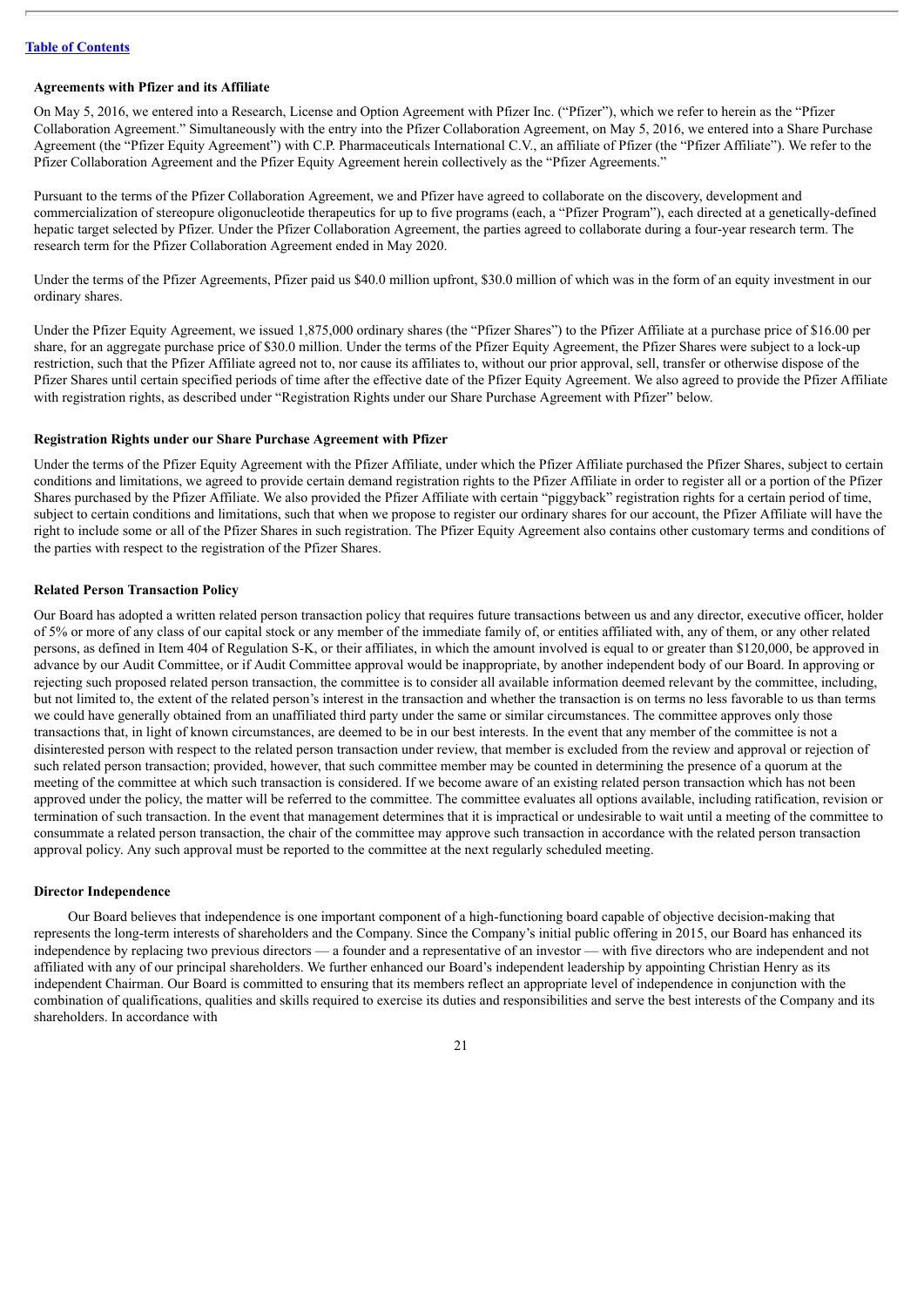#### **Agreements with Pfizer and its Affiliate**

On May 5, 2016, we entered into a Research, License and Option Agreement with Pfizer Inc. ("Pfizer"), which we refer to herein as the "Pfizer Collaboration Agreement." Simultaneously with the entry into the Pfizer Collaboration Agreement, on May 5, 2016, we entered into a Share Purchase Agreement (the "Pfizer Equity Agreement") with C.P. Pharmaceuticals International C.V., an affiliate of Pfizer (the "Pfizer Affiliate"). We refer to the Pfizer Collaboration Agreement and the Pfizer Equity Agreement herein collectively as the "Pfizer Agreements."

Pursuant to the terms of the Pfizer Collaboration Agreement, we and Pfizer have agreed to collaborate on the discovery, development and commercialization of stereopure oligonucleotide therapeutics for up to five programs (each, a "Pfizer Program"), each directed at a genetically-defined hepatic target selected by Pfizer. Under the Pfizer Collaboration Agreement, the parties agreed to collaborate during a four-year research term. The research term for the Pfizer Collaboration Agreement ended in May 2020.

Under the terms of the Pfizer Agreements, Pfizer paid us \$40.0 million upfront, \$30.0 million of which was in the form of an equity investment in our ordinary shares.

Under the Pfizer Equity Agreement, we issued 1,875,000 ordinary shares (the "Pfizer Shares") to the Pfizer Affiliate at a purchase price of \$16.00 per share, for an aggregate purchase price of \$30.0 million. Under the terms of the Pfizer Equity Agreement, the Pfizer Shares were subject to a lock-up restriction, such that the Pfizer Affiliate agreed not to, nor cause its affiliates to, without our prior approval, sell, transfer or otherwise dispose of the Pfizer Shares until certain specified periods of time after the effective date of the Pfizer Equity Agreement. We also agreed to provide the Pfizer Affiliate with registration rights, as described under "Registration Rights under our Share Purchase Agreement with Pfizer" below.

#### **Registration Rights under our Share Purchase Agreement with Pfizer**

Under the terms of the Pfizer Equity Agreement with the Pfizer Affiliate, under which the Pfizer Affiliate purchased the Pfizer Shares, subject to certain conditions and limitations, we agreed to provide certain demand registration rights to the Pfizer Affiliate in order to register all or a portion of the Pfizer Shares purchased by the Pfizer Affiliate. We also provided the Pfizer Affiliate with certain "piggyback" registration rights for a certain period of time, subject to certain conditions and limitations, such that when we propose to register our ordinary shares for our account, the Pfizer Affiliate will have the right to include some or all of the Pfizer Shares in such registration. The Pfizer Equity Agreement also contains other customary terms and conditions of the parties with respect to the registration of the Pfizer Shares.

#### **Related Person Transaction Policy**

Our Board has adopted a written related person transaction policy that requires future transactions between us and any director, executive officer, holder of 5% or more of any class of our capital stock or any member of the immediate family of, or entities affiliated with, any of them, or any other related persons, as defined in Item 404 of Regulation S-K, or their affiliates, in which the amount involved is equal to or greater than \$120,000, be approved in advance by our Audit Committee, or if Audit Committee approval would be inappropriate, by another independent body of our Board. In approving or rejecting such proposed related person transaction, the committee is to consider all available information deemed relevant by the committee, including, but not limited to, the extent of the related person's interest in the transaction and whether the transaction is on terms no less favorable to us than terms we could have generally obtained from an unaffiliated third party under the same or similar circumstances. The committee approves only those transactions that, in light of known circumstances, are deemed to be in our best interests. In the event that any member of the committee is not a disinterested person with respect to the related person transaction under review, that member is excluded from the review and approval or rejection of such related person transaction; provided, however, that such committee member may be counted in determining the presence of a quorum at the meeting of the committee at which such transaction is considered. If we become aware of an existing related person transaction which has not been approved under the policy, the matter will be referred to the committee. The committee evaluates all options available, including ratification, revision or termination of such transaction. In the event that management determines that it is impractical or undesirable to wait until a meeting of the committee to consummate a related person transaction, the chair of the committee may approve such transaction in accordance with the related person transaction approval policy. Any such approval must be reported to the committee at the next regularly scheduled meeting.

#### **Director Independence**

Our Board believes that independence is one important component of a high-functioning board capable of objective decision-making that represents the long-term interests of shareholders and the Company. Since the Company's initial public offering in 2015, our Board has enhanced its independence by replacing two previous directors — a founder and a representative of an investor — with five directors who are independent and not affiliated with any of our principal shareholders. We further enhanced our Board's independent leadership by appointing Christian Henry as its independent Chairman. Our Board is committed to ensuring that its members reflect an appropriate level of independence in conjunction with the combination of qualifications, qualities and skills required to exercise its duties and responsibilities and serve the best interests of the Company and its shareholders. In accordance with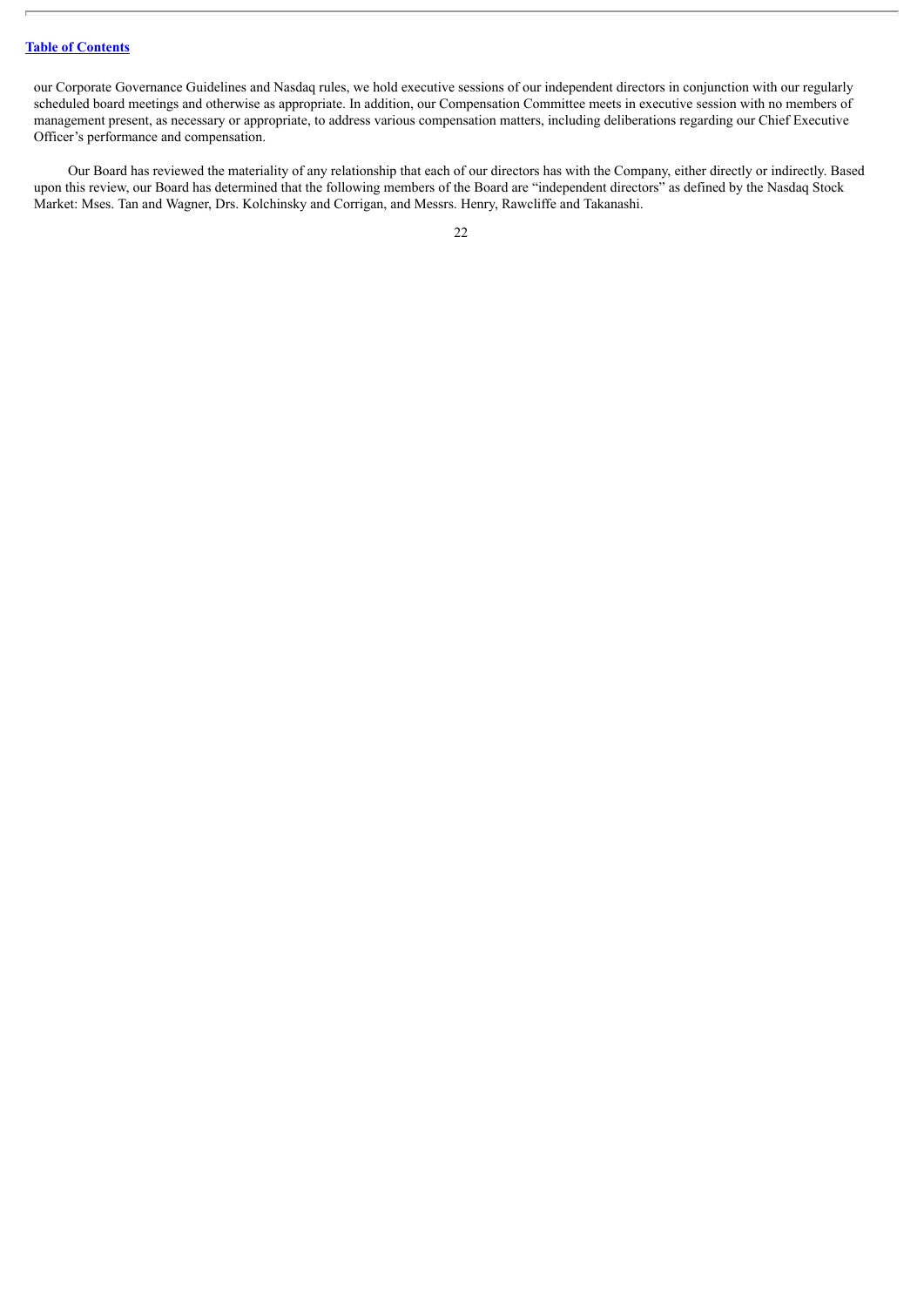our Corporate Governance Guidelines and Nasdaq rules, we hold executive sessions of our independent directors in conjunction with our regularly scheduled board meetings and otherwise as appropriate. In addition, our Compensation Committee meets in executive session with no members of management present, as necessary or appropriate, to address various compensation matters, including deliberations regarding our Chief Executive Officer's performance and compensation.

Our Board has reviewed the materiality of any relationship that each of our directors has with the Company, either directly or indirectly. Based upon this review, our Board has determined that the following members of the Board are "independent directors" as defined by the Nasdaq Stock Market: Mses. Tan and Wagner, Drs. Kolchinsky and Corrigan, and Messrs. Henry, Rawcliffe and Takanashi.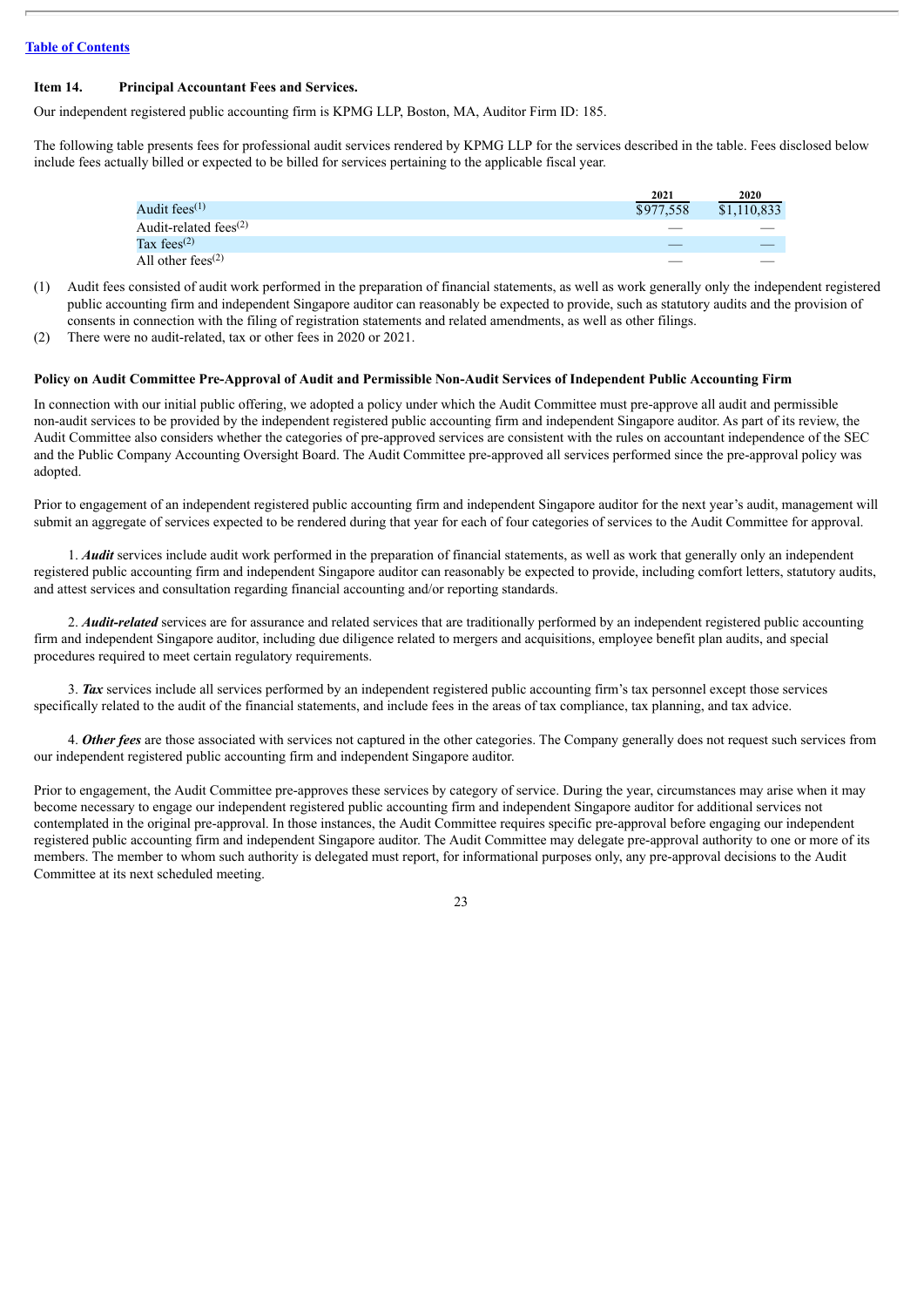#### <span id="page-27-0"></span>**Item 14. Principal Accountant Fees and Services.**

Our independent registered public accounting firm is KPMG LLP, Boston, MA, Auditor Firm ID: 185.

The following table presents fees for professional audit services rendered by KPMG LLP for the services described in the table. Fees disclosed below include fees actually billed or expected to be billed for services pertaining to the applicable fiscal year.

|                                                | 2021      | 2020        |
|------------------------------------------------|-----------|-------------|
| Audit fees $(1)$                               | \$977,558 | \$1,110,833 |
| Audit-related fees <sup><math>(2)</math></sup> |           |             |
| Tax fees <sup><math>(2)</math></sup>           |           |             |
| All other fees <sup><math>(2)</math></sup>     |           |             |

- (1) Audit fees consisted of audit work performed in the preparation of financial statements, as well as work generally only the independent registered public accounting firm and independent Singapore auditor can reasonably be expected to provide, such as statutory audits and the provision of consents in connection with the filing of registration statements and related amendments, as well as other filings.
- (2) There were no audit-related, tax or other fees in 2020 or 2021.

#### Policy on Audit Committee Pre-Approval of Audit and Permissible Non-Audit Services of Independent Public Accounting Firm

In connection with our initial public offering, we adopted a policy under which the Audit Committee must pre-approve all audit and permissible non-audit services to be provided by the independent registered public accounting firm and independent Singapore auditor. As part of its review, the Audit Committee also considers whether the categories of pre-approved services are consistent with the rules on accountant independence of the SEC and the Public Company Accounting Oversight Board. The Audit Committee pre-approved all services performed since the pre-approval policy was adopted.

Prior to engagement of an independent registered public accounting firm and independent Singapore auditor for the next year's audit, management will submit an aggregate of services expected to be rendered during that year for each of four categories of services to the Audit Committee for approval.

1. *Audit* services include audit work performed in the preparation of financial statements, as well as work that generally only an independent registered public accounting firm and independent Singapore auditor can reasonably be expected to provide, including comfort letters, statutory audits, and attest services and consultation regarding financial accounting and/or reporting standards.

2. *Audit-related* services are for assurance and related services that are traditionally performed by an independent registered public accounting firm and independent Singapore auditor, including due diligence related to mergers and acquisitions, employee benefit plan audits, and special procedures required to meet certain regulatory requirements.

3. *Tax* services include all services performed by an independent registered public accounting firm's tax personnel except those services specifically related to the audit of the financial statements, and include fees in the areas of tax compliance, tax planning, and tax advice.

4. *Other fees* are those associated with services not captured in the other categories. The Company generally does not request such services from our independent registered public accounting firm and independent Singapore auditor.

Prior to engagement, the Audit Committee pre-approves these services by category of service. During the year, circumstances may arise when it may become necessary to engage our independent registered public accounting firm and independent Singapore auditor for additional services not contemplated in the original pre-approval. In those instances, the Audit Committee requires specific pre-approval before engaging our independent registered public accounting firm and independent Singapore auditor. The Audit Committee may delegate pre-approval authority to one or more of its members. The member to whom such authority is delegated must report, for informational purposes only, any pre-approval decisions to the Audit Committee at its next scheduled meeting.

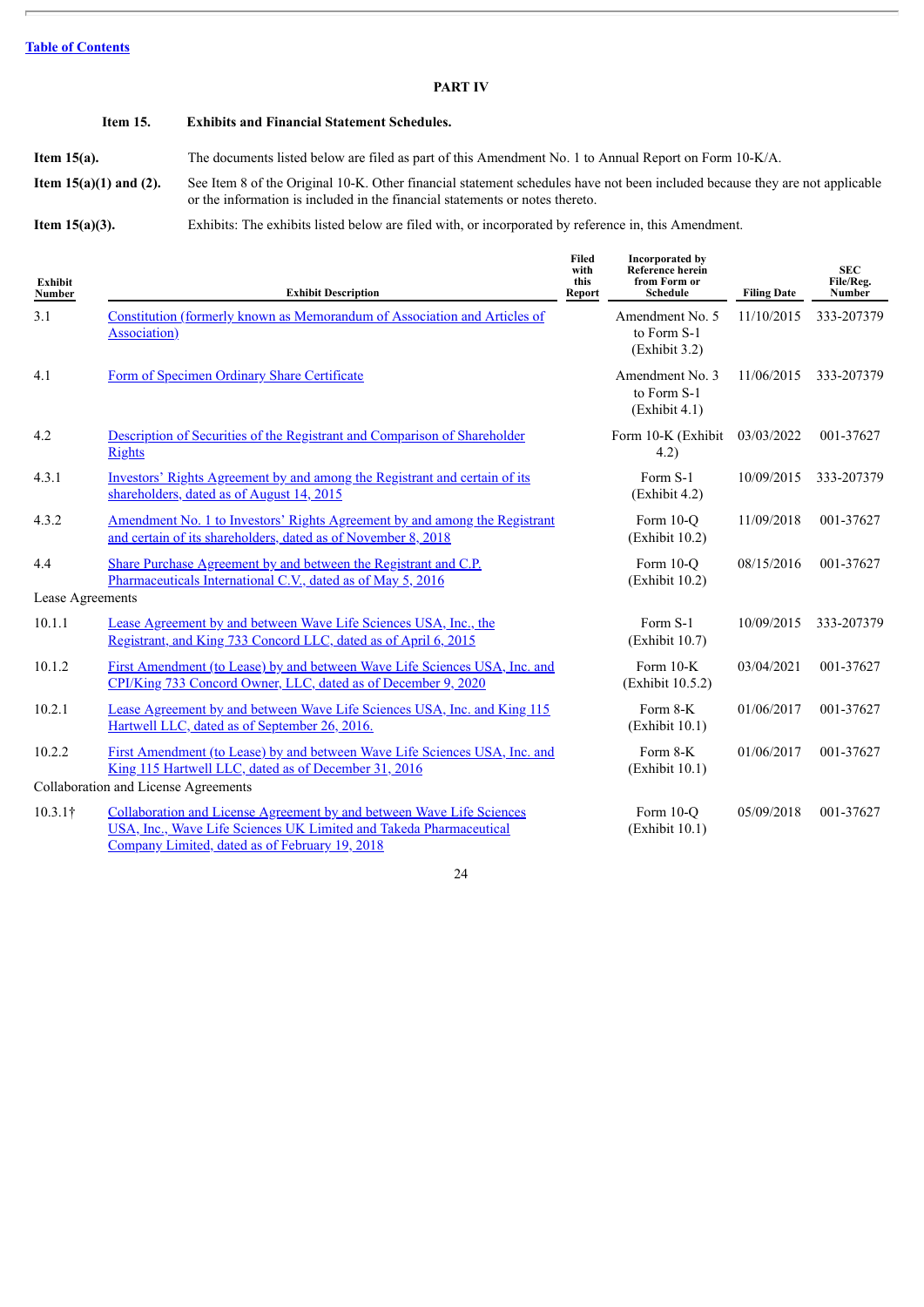#### **PART IV**

#### <span id="page-28-1"></span><span id="page-28-0"></span>**Item 15. Exhibits and Financial Statement Schedules.**

**Item 15(a).** The documents listed below are filed as part of this Amendment No. 1 to Annual Report on Form 10-K/A.

**Item 15(a)(1) and (2).** See Item 8 of the Original 10-K. Other financial statement schedules have not been included because they are not applicable or the information is included in the financial statements or notes thereto.

**Item 15(a)(3).** Exhibits: The exhibits listed below are filed with, or incorporated by reference in, this Amendment.

| Exhibit<br>Number       | <b>Exhibit Description</b>                                                                                                                                                                    | Filed<br>with<br>this<br>Report | Incorporated by<br>Reference herein<br>from Form or<br><b>Schedule</b> | <b>Filing Date</b> | <b>SEC</b><br>File/Reg.<br><b>Number</b> |
|-------------------------|-----------------------------------------------------------------------------------------------------------------------------------------------------------------------------------------------|---------------------------------|------------------------------------------------------------------------|--------------------|------------------------------------------|
| 3.1                     | Constitution (formerly known as Memorandum of Association and Articles of<br>Association)                                                                                                     |                                 | Amendment No. 5<br>to Form S-1<br>(Exhibit 3.2)                        | 11/10/2015         | 333-207379                               |
| 4.1                     | Form of Specimen Ordinary Share Certificate                                                                                                                                                   |                                 | Amendment No. 3<br>to Form S-1<br>(Exhibit 4.1)                        | 11/06/2015         | 333-207379                               |
| 4.2                     | Description of Securities of the Registrant and Comparison of Shareholder<br><b>Rights</b>                                                                                                    |                                 | Form 10-K (Exhibit<br>4.2)                                             | 03/03/2022         | 001-37627                                |
| 4.3.1                   | Investors' Rights Agreement by and among the Registrant and certain of its<br>shareholders, dated as of August 14, 2015                                                                       |                                 | Form S-1<br>(Exhibit 4.2)                                              | 10/09/2015         | 333-207379                               |
| 4.3.2                   | Amendment No. 1 to Investors' Rights Agreement by and among the Registrant<br>and certain of its shareholders, dated as of November 8, 2018                                                   |                                 | Form $10-o$<br>(Exhibit 10.2)                                          | 11/09/2018         | 001-37627                                |
| 4.4<br>Lease Agreements | Share Purchase Agreement by and between the Registrant and C.P.<br>Pharmaceuticals International C.V., dated as of May 5, 2016                                                                |                                 | Form 10-O<br>(Exhibit 10.2)                                            | 08/15/2016         | 001-37627                                |
| 10.1.1                  | Lease Agreement by and between Wave Life Sciences USA, Inc., the<br>Registrant, and King 733 Concord LLC, dated as of April 6, 2015                                                           |                                 | Form S-1<br>(Exhibit 10.7)                                             | 10/09/2015         | 333-207379                               |
| 10.1.2                  | First Amendment (to Lease) by and between Wave Life Sciences USA, Inc. and<br>CPI/King 733 Concord Owner, LLC, dated as of December 9, 2020                                                   |                                 | Form $10-K$<br>(Exhibit 10.5.2)                                        | 03/04/2021         | 001-37627                                |
| 10.2.1                  | Lease Agreement by and between Wave Life Sciences USA, Inc. and King 115<br>Hartwell LLC, dated as of September 26, 2016.                                                                     |                                 | Form 8-K<br>(Exhibit 10.1)                                             | 01/06/2017         | 001-37627                                |
| 10.2.2                  | <u>First Amendment (to Lease) by and between Wave Life Sciences USA, Inc. and</u><br>King 115 Hartwell LLC, dated as of December 31, 2016                                                     |                                 | Form 8-K<br>(Exhibit 10.1)                                             | 01/06/2017         | 001-37627                                |
|                         | Collaboration and License Agreements                                                                                                                                                          |                                 |                                                                        |                    |                                          |
| $10.3.1\dagger$         | Collaboration and License Agreement by and between Wave Life Sciences<br>USA, Inc., Wave Life Sciences UK Limited and Takeda Pharmaceutical<br>Company Limited, dated as of February 19, 2018 |                                 | Form 10-O<br>(Exhibit 10.1)                                            | 05/09/2018         | 001-37627                                |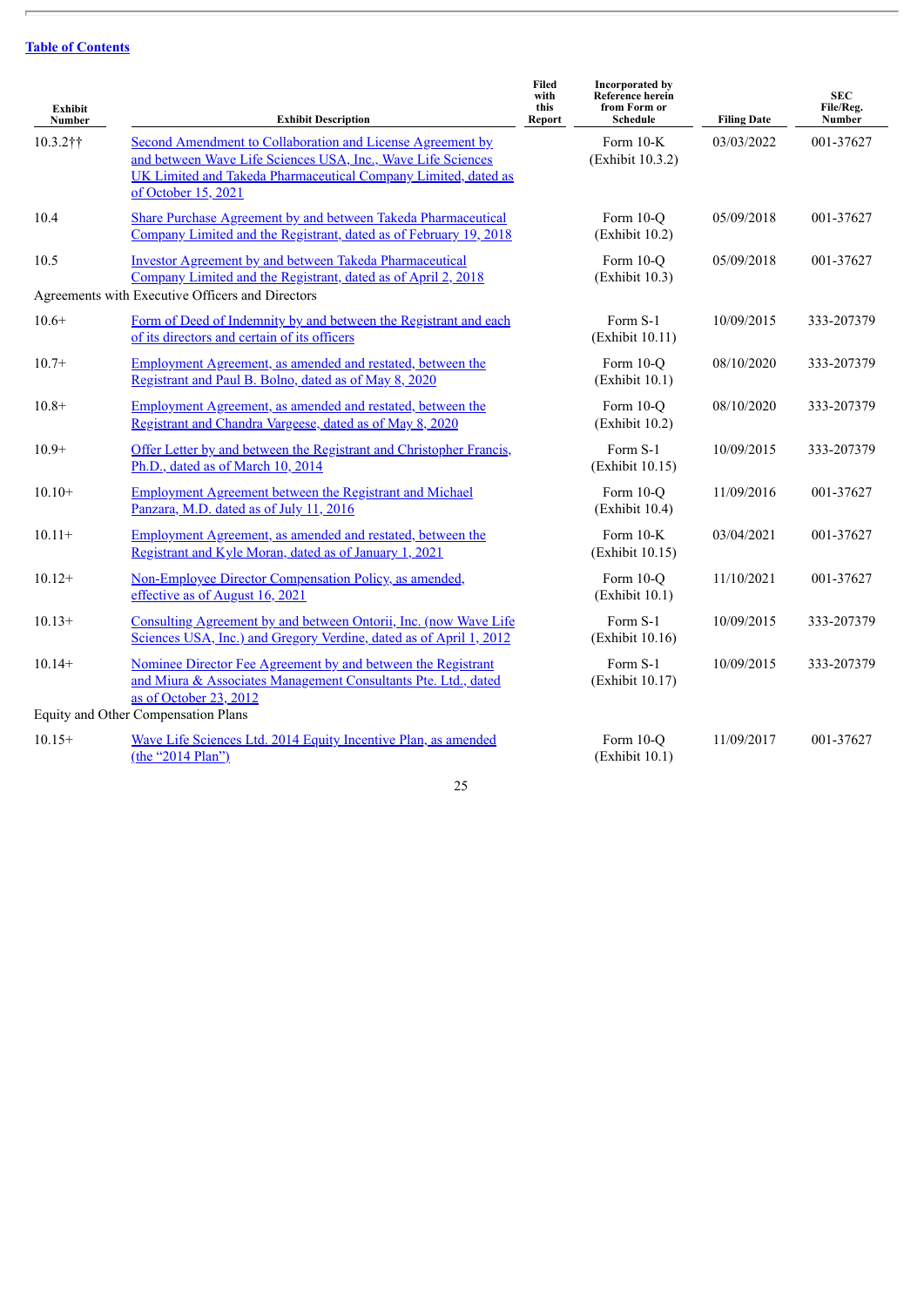$\overline{\phantom{a}}$ 

| Exhibit<br>Number | <b>Exhibit Description</b>                                                                                                                                                                                          | <b>Filed</b><br>with<br>this<br>Report | <b>Incorporated by</b><br><b>Reference herein</b><br>from Form or<br><b>Schedule</b> | <b>Filing Date</b> | <b>SEC</b><br>File/Reg.<br><b>Number</b> |
|-------------------|---------------------------------------------------------------------------------------------------------------------------------------------------------------------------------------------------------------------|----------------------------------------|--------------------------------------------------------------------------------------|--------------------|------------------------------------------|
| $10.3.2$ ††       | Second Amendment to Collaboration and License Agreement by<br>and between Wave Life Sciences USA, Inc., Wave Life Sciences<br>UK Limited and Takeda Pharmaceutical Company Limited, dated as<br>of October 15, 2021 |                                        | Form 10-K<br>(Exhibit 10.3.2)                                                        | 03/03/2022         | 001-37627                                |
| 10.4              | Share Purchase Agreement by and between Takeda Pharmaceutical<br>Company Limited and the Registrant, dated as of February 19, 2018                                                                                  |                                        | Form 10-Q<br>(Exhibit 10.2)                                                          | 05/09/2018         | 001-37627                                |
| 10.5              | <b>Investor Agreement by and between Takeda Pharmaceutical</b><br>Company Limited and the Registrant, dated as of April 2, 2018<br>Agreements with Executive Officers and Directors                                 |                                        | Form 10-Q<br>(Exhibit 10.3)                                                          | 05/09/2018         | 001-37627                                |
| $10.6+$           | Form of Deed of Indemnity by and between the Registrant and each<br>of its directors and certain of its officers                                                                                                    |                                        | Form S-1<br>(Exhibit 10.11)                                                          | 10/09/2015         | 333-207379                               |
| $10.7+$           | <b>Employment Agreement, as amended and restated, between the</b><br>Registrant and Paul B. Bolno, dated as of May 8, 2020                                                                                          |                                        | Form 10-Q<br>(Exhibit 10.1)                                                          | 08/10/2020         | 333-207379                               |
| $10.8+$           | <b>Employment Agreement, as amended and restated, between the</b><br>Registrant and Chandra Vargeese, dated as of May 8, 2020                                                                                       |                                        | Form 10-Q<br>(Exhibit 10.2)                                                          | 08/10/2020         | 333-207379                               |
| $10.9+$           | Offer Letter by and between the Registrant and Christopher Francis,<br>Ph.D., dated as of March 10, 2014                                                                                                            |                                        | Form S-1<br>(Exhibit 10.15)                                                          | 10/09/2015         | 333-207379                               |
| $10.10+$          | <b>Employment Agreement between the Registrant and Michael</b><br>Panzara, M.D. dated as of July 11, 2016                                                                                                           |                                        | Form 10-O<br>(Exhibit 10.4)                                                          | 11/09/2016         | 001-37627                                |
| $10.11+$          | <b>Employment Agreement, as amended and restated, between the</b><br>Registrant and Kyle Moran, dated as of January 1, 2021                                                                                         |                                        | Form 10-K<br>(Exhibit 10.15)                                                         | 03/04/2021         | 001-37627                                |
| $10.12+$          | Non-Employee Director Compensation Policy, as amended,<br>effective as of August 16, 2021                                                                                                                           |                                        | Form 10-Q<br>(Exhibit 10.1)                                                          | 11/10/2021         | 001-37627                                |
| $10.13+$          | Consulting Agreement by and between Ontorii, Inc. (now Wave Life<br>Sciences USA, Inc.) and Gregory Verdine, dated as of April 1, 2012                                                                              |                                        | Form S-1<br>(Exhibit 10.16)                                                          | 10/09/2015         | 333-207379                               |
| $10.14+$          | Nominee Director Fee Agreement by and between the Registrant<br>and Miura & Associates Management Consultants Pte. Ltd., dated<br>as of October 23, 2012<br>Equity and Other Compensation Plans                     |                                        | Form S-1<br>(Exhibit 10.17)                                                          | 10/09/2015         | 333-207379                               |
| $10.15+$          | Wave Life Sciences Ltd. 2014 Equity Incentive Plan, as amended                                                                                                                                                      |                                        | Form 10-Q                                                                            | 11/09/2017         | 001-37627                                |
|                   | (the "2014 Plan")                                                                                                                                                                                                   |                                        | (Exhibit 10.1)                                                                       |                    |                                          |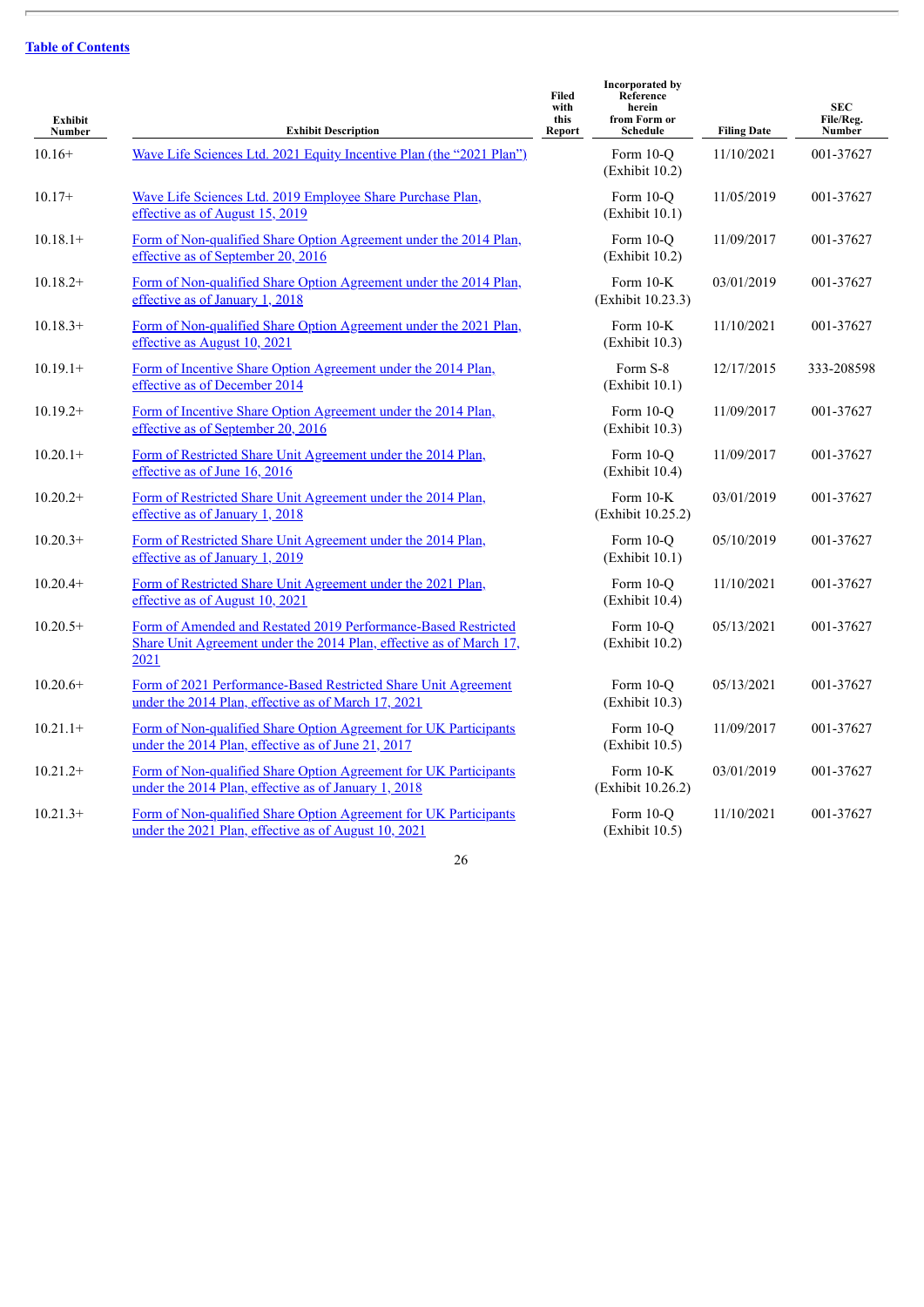$\overline{\phantom{a}}$ 

| <b>Exhibit</b><br>Number | <b>Exhibit Description</b>                                                                                                                    | Filed<br>with<br>this<br>Report | <b>Incorporated by</b><br>Reference<br>herein<br>from Form or<br>Schedule | <b>Filing Date</b> | <b>SEC</b><br>File/Reg.<br>Number |
|--------------------------|-----------------------------------------------------------------------------------------------------------------------------------------------|---------------------------------|---------------------------------------------------------------------------|--------------------|-----------------------------------|
| $10.16+$                 | Wave Life Sciences Ltd. 2021 Equity Incentive Plan (the "2021 Plan")                                                                          |                                 | Form 10-O<br>(Exhibit 10.2)                                               | 11/10/2021         | 001-37627                         |
| $10.17+$                 | Wave Life Sciences Ltd. 2019 Employee Share Purchase Plan,<br>effective as of August 15, 2019                                                 |                                 | Form 10-Q<br>(Exhibit 10.1)                                               | 11/05/2019         | 001-37627                         |
| $10.18.1+$               | Form of Non-qualified Share Option Agreement under the 2014 Plan,<br>effective as of September 20, 2016                                       |                                 | Form 10-Q<br>(Exhibit 10.2)                                               | 11/09/2017         | 001-37627                         |
| $10.18.2+$               | Form of Non-qualified Share Option Agreement under the 2014 Plan,<br>effective as of January 1, 2018                                          |                                 | Form 10-K<br>(Exhibit 10.23.3)                                            | 03/01/2019         | 001-37627                         |
| $10.18.3+$               | Form of Non-qualified Share Option Agreement under the 2021 Plan,<br>effective as August 10, 2021                                             |                                 | Form 10-K<br>(Exhibit 10.3)                                               | 11/10/2021         | 001-37627                         |
| $10.19.1+$               | Form of Incentive Share Option Agreement under the 2014 Plan,<br>effective as of December 2014                                                |                                 | Form S-8<br>(Exhibit 10.1)                                                | 12/17/2015         | 333-208598                        |
| $10.19.2+$               | Form of Incentive Share Option Agreement under the 2014 Plan,<br>effective as of September 20, 2016                                           |                                 | Form 10-Q<br>(Exhibit 10.3)                                               | 11/09/2017         | 001-37627                         |
| $10.20.1+$               | Form of Restricted Share Unit Agreement under the 2014 Plan,<br>effective as of June 16, 2016                                                 |                                 | Form 10-O<br>(Exhibit 10.4)                                               | 11/09/2017         | 001-37627                         |
| $10.20.2+$               | Form of Restricted Share Unit Agreement under the 2014 Plan,<br>effective as of January 1, 2018                                               |                                 | Form 10-K<br>(Exhibit 10.25.2)                                            | 03/01/2019         | 001-37627                         |
| $10.20.3+$               | Form of Restricted Share Unit Agreement under the 2014 Plan,<br>effective as of January 1, 2019                                               |                                 | Form 10-O<br>(Exhibit 10.1)                                               | 05/10/2019         | 001-37627                         |
| $10.20.4+$               | Form of Restricted Share Unit Agreement under the 2021 Plan,<br>effective as of August 10, 2021                                               |                                 | Form 10-O<br>(Exhibit 10.4)                                               | 11/10/2021         | 001-37627                         |
| $10.20.5+$               | Form of Amended and Restated 2019 Performance-Based Restricted<br>Share Unit Agreement under the 2014 Plan, effective as of March 17,<br>2021 |                                 | Form 10-Q<br>(Exhibit 10.2)                                               | 05/13/2021         | 001-37627                         |
| $10.20.6+$               | Form of 2021 Performance-Based Restricted Share Unit Agreement<br>under the 2014 Plan, effective as of March 17, 2021                         |                                 | Form 10-O<br>(Exhibit 10.3)                                               | 05/13/2021         | 001-37627                         |
| $10.21.1+$               | Form of Non-qualified Share Option Agreement for UK Participants<br>under the 2014 Plan, effective as of June 21, 2017                        |                                 | Form 10-Q<br>(Exhibit 10.5)                                               | 11/09/2017         | 001-37627                         |
| $10.21.2+$               | Form of Non-qualified Share Option Agreement for UK Participants<br>under the 2014 Plan, effective as of January 1, 2018                      |                                 | Form 10-K<br>(Exhibit 10.26.2)                                            | 03/01/2019         | 001-37627                         |
| $10.21.3+$               | Form of Non-qualified Share Option Agreement for UK Participants<br>under the 2021 Plan, effective as of August 10, 2021                      |                                 | Form 10-Q<br>(Exhibit 10.5)                                               | 11/10/2021         | 001-37627                         |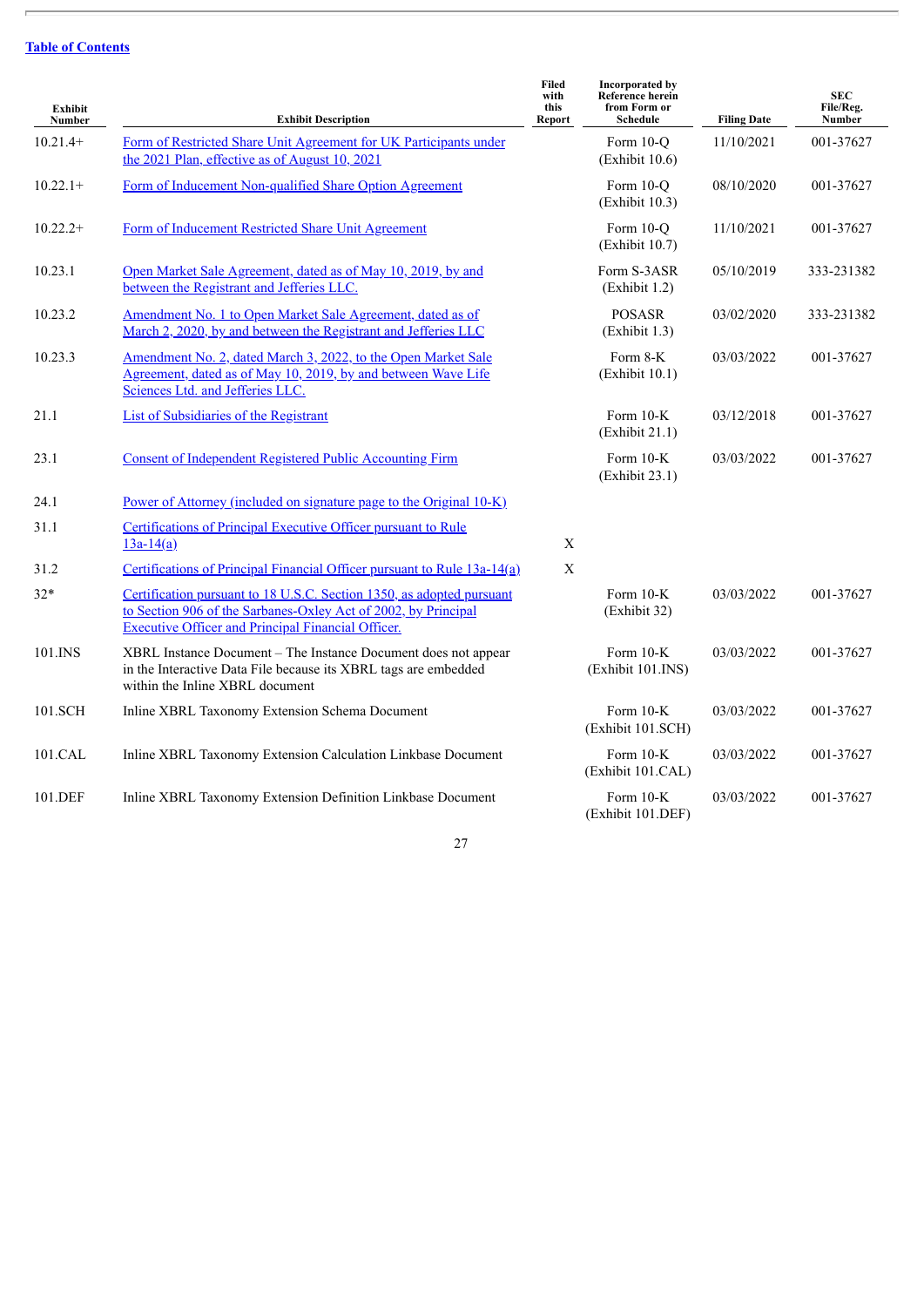$\overline{\phantom{a}}$ 

| <b>Exhibit</b><br>Number | <b>Exhibit Description</b>                                                                                                                                                                           | <b>Filed</b><br>with<br>this<br>Report | <b>Incorporated by</b><br><b>Reference herein</b><br>from Form or<br>Schedule | <b>Filing Date</b> | <b>SEC</b><br>File/Reg.<br>Number |
|--------------------------|------------------------------------------------------------------------------------------------------------------------------------------------------------------------------------------------------|----------------------------------------|-------------------------------------------------------------------------------|--------------------|-----------------------------------|
| $10.21.4+$               | Form of Restricted Share Unit Agreement for UK Participants under<br>the 2021 Plan, effective as of August 10, 2021                                                                                  |                                        | Form 10-O<br>(Exhibit 10.6)                                                   | 11/10/2021         | 001-37627                         |
| $10.22.1+$               | Form of Inducement Non-qualified Share Option Agreement                                                                                                                                              |                                        | Form 10-O<br>(Exhibit 10.3)                                                   | 08/10/2020         | 001-37627                         |
| $10.22.2+$               | Form of Inducement Restricted Share Unit Agreement                                                                                                                                                   |                                        | Form 10-O<br>(Exhibit 10.7)                                                   | 11/10/2021         | 001-37627                         |
| 10.23.1                  | Open Market Sale Agreement, dated as of May 10, 2019, by and<br>between the Registrant and Jefferies LLC.                                                                                            |                                        | Form S-3ASR<br>(Exhibit 1.2)                                                  | 05/10/2019         | 333-231382                        |
| 10.23.2                  | Amendment No. 1 to Open Market Sale Agreement, dated as of<br>March 2, 2020, by and between the Registrant and Jefferies LLC                                                                         |                                        | <b>POSASR</b><br>(Exhibit 1.3)                                                | 03/02/2020         | 333-231382                        |
| 10.23.3                  | Amendment No. 2, dated March 3, 2022, to the Open Market Sale<br>Agreement, dated as of May 10, 2019, by and between Wave Life<br>Sciences Ltd. and Jefferies LLC.                                   |                                        | Form 8-K<br>(Exhibit 10.1)                                                    | 03/03/2022         | 001-37627                         |
| 21.1                     | <b>List of Subsidiaries of the Registrant</b>                                                                                                                                                        |                                        | Form 10-K<br>(Exhibit 21.1)                                                   | 03/12/2018         | 001-37627                         |
| 23.1                     | <b>Consent of Independent Registered Public Accounting Firm</b>                                                                                                                                      |                                        | Form $10-K$<br>(Exhibit 23.1)                                                 | 03/03/2022         | 001-37627                         |
| 24.1                     | Power of Attorney (included on signature page to the Original 10-K)                                                                                                                                  |                                        |                                                                               |                    |                                   |
| 31.1                     | Certifications of Principal Executive Officer pursuant to Rule<br>$13a-14(a)$                                                                                                                        | X                                      |                                                                               |                    |                                   |
| 31.2                     | Certifications of Principal Financial Officer pursuant to Rule 13a-14(a)                                                                                                                             | X                                      |                                                                               |                    |                                   |
| $32*$                    | Certification pursuant to 18 U.S.C. Section 1350, as adopted pursuant<br>to Section 906 of the Sarbanes-Oxley Act of 2002, by Principal<br><b>Executive Officer and Principal Financial Officer.</b> |                                        | Form $10-K$<br>(Exhibit 32)                                                   | 03/03/2022         | 001-37627                         |
| 101.INS                  | XBRL Instance Document – The Instance Document does not appear<br>in the Interactive Data File because its XBRL tags are embedded<br>within the Inline XBRL document                                 |                                        | Form 10-K<br>(Exhibit 101.INS)                                                | 03/03/2022         | 001-37627                         |
| 101.SCH                  | Inline XBRL Taxonomy Extension Schema Document                                                                                                                                                       |                                        | Form 10-K<br>(Exhibit 101.SCH)                                                | 03/03/2022         | 001-37627                         |
| 101.CAL                  | Inline XBRL Taxonomy Extension Calculation Linkbase Document                                                                                                                                         |                                        | Form 10-K<br>(Exhibit 101.CAL)                                                | 03/03/2022         | 001-37627                         |
| 101.DEF                  | Inline XBRL Taxonomy Extension Definition Linkbase Document                                                                                                                                          |                                        | Form 10-K<br>(Exhibit 101.DEF)                                                | 03/03/2022         | 001-37627                         |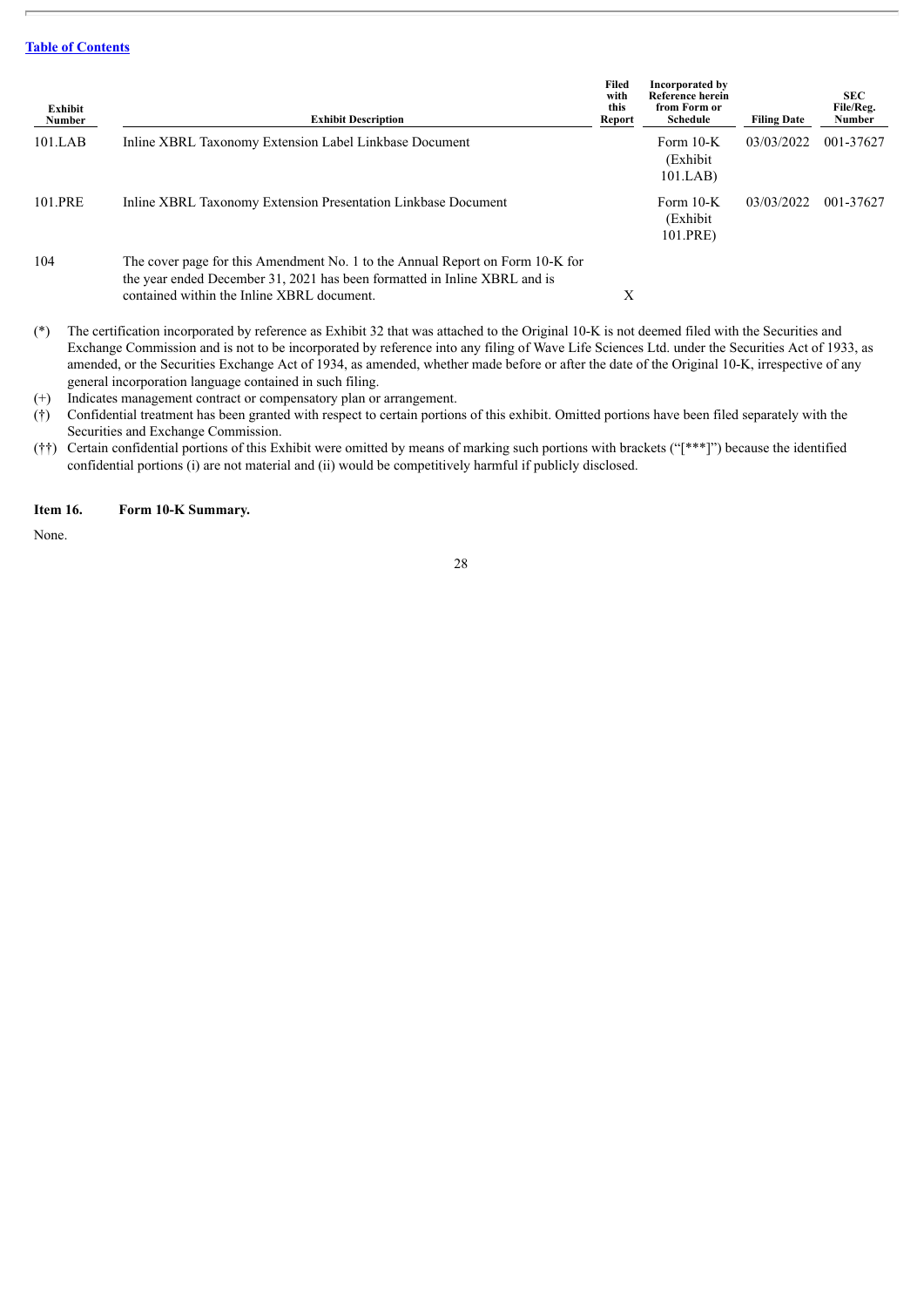| Exhibit<br><b>Number</b> | <b>Exhibit Description</b>                                                                                                                                                                               | Filed<br>with<br>this<br>Report | Incorporated by<br><b>Reference herein</b><br>from Form or<br><b>Schedule</b> | <b>Filing Date</b> | <b>SEC</b><br>File/Reg.<br>Number |
|--------------------------|----------------------------------------------------------------------------------------------------------------------------------------------------------------------------------------------------------|---------------------------------|-------------------------------------------------------------------------------|--------------------|-----------------------------------|
| 101.LAB                  | Inline XBRL Taxonomy Extension Label Linkbase Document                                                                                                                                                   |                                 | Form $10-K$<br>(Exhibit)<br>101.LAB                                           | 03/03/2022         | 001-37627                         |
| 101.PRE                  | Inline XBRL Taxonomy Extension Presentation Linkbase Document                                                                                                                                            |                                 | Form 10-K<br>(Exhibit)<br>101.PRE)                                            | 03/03/2022         | 001-37627                         |
| 104                      | The cover page for this Amendment No. 1 to the Annual Report on Form 10-K for<br>the year ended December 31, 2021 has been formatted in Inline XBRL and is<br>contained within the Inline XBRL document. | Х                               |                                                                               |                    |                                   |

(\*) The certification incorporated by reference as Exhibit 32 that was attached to the Original 10-K is not deemed filed with the Securities and Exchange Commission and is not to be incorporated by reference into any filing of Wave Life Sciences Ltd. under the Securities Act of 1933, as amended, or the Securities Exchange Act of 1934, as amended, whether made before or after the date of the Original 10-K, irrespective of any general incorporation language contained in such filing.

(+) Indicates management contract or compensatory plan or arrangement.

(†) Confidential treatment has been granted with respect to certain portions of this exhibit. Omitted portions have been filed separately with the Securities and Exchange Commission.

(††) Certain confidential portions of this Exhibit were omitted by means of marking such portions with brackets ("[\*\*\*]") because the identified confidential portions (i) are not material and (ii) would be competitively harmful if publicly disclosed.

#### <span id="page-32-0"></span>**Item 16. Form 10-K Summary.**

None.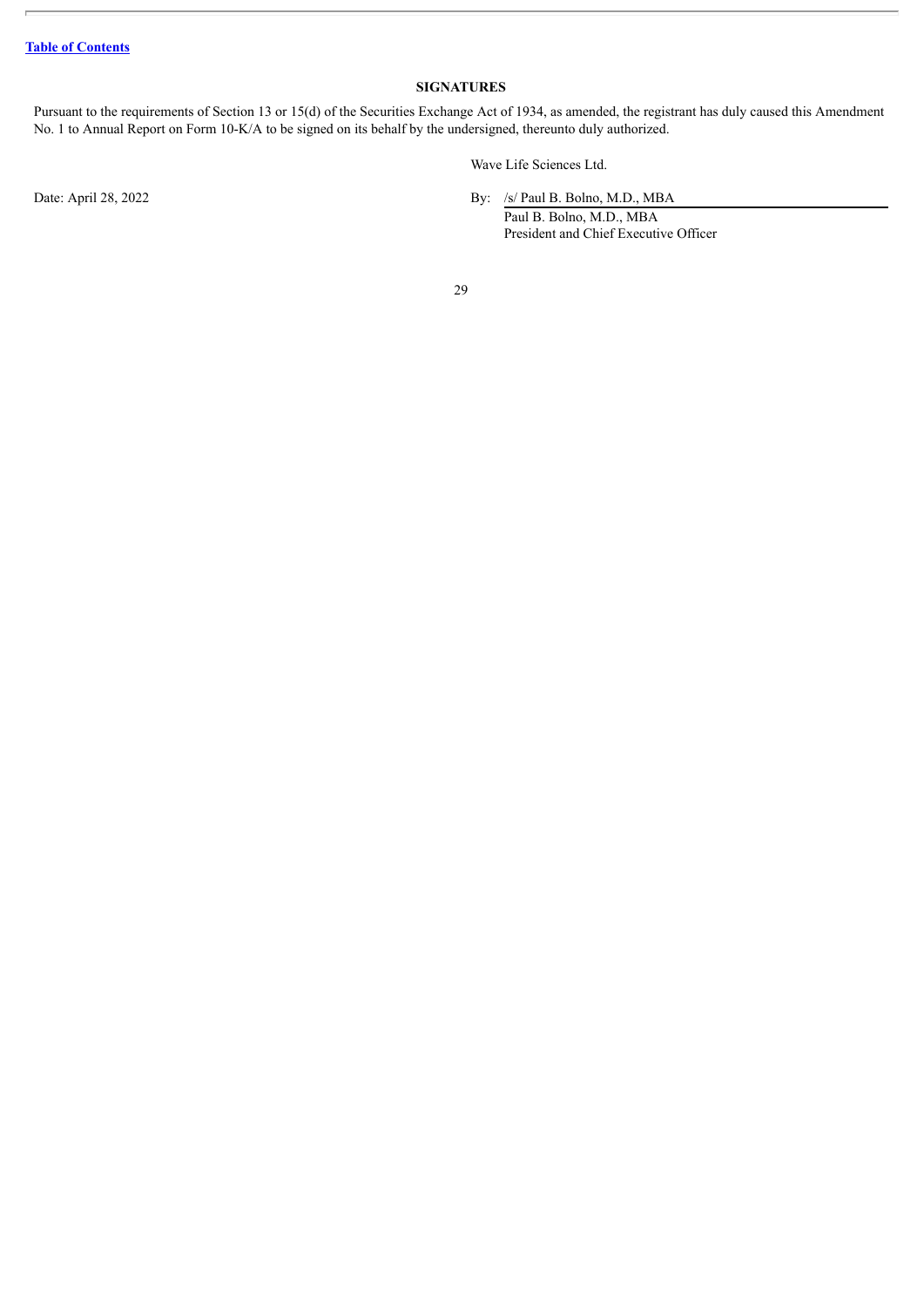# **SIGNATURES**

<span id="page-33-0"></span>Pursuant to the requirements of Section 13 or 15(d) of the Securities Exchange Act of 1934, as amended, the registrant has duly caused this Amendment No. 1 to Annual Report on Form 10-K/A to be signed on its behalf by the undersigned, thereunto duly authorized.

Wave Life Sciences Ltd.

Date: April 28, 2022 By: /s/ Paul B. Bolno, M.D., MBA

Paul B. Bolno, M.D., MBA President and Chief Executive Officer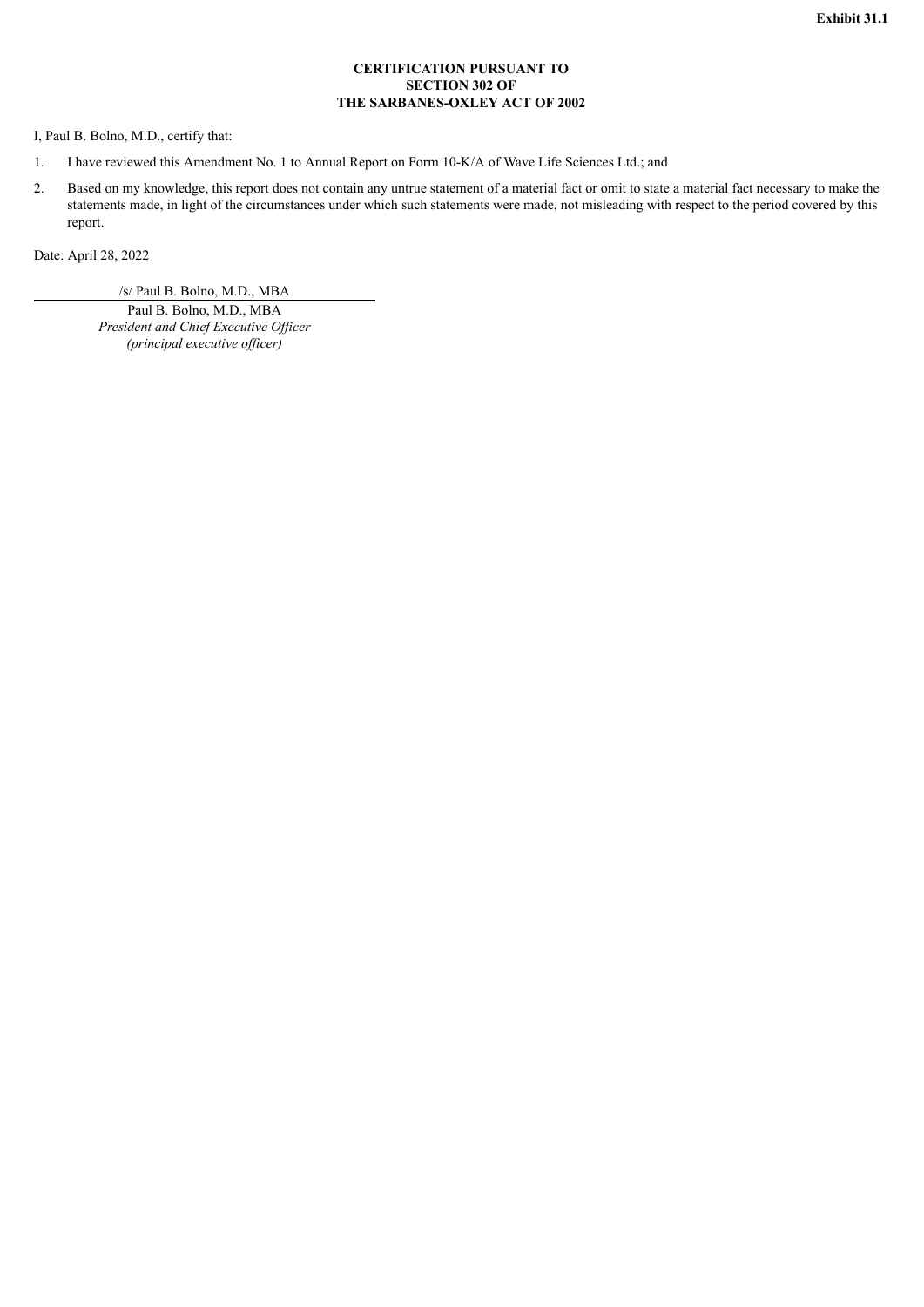# **CERTIFICATION PURSUANT TO SECTION 302 OF THE SARBANES-OXLEY ACT OF 2002**

<span id="page-34-0"></span>I, Paul B. Bolno, M.D., certify that:

- 1. I have reviewed this Amendment No. 1 to Annual Report on Form 10-K/A of Wave Life Sciences Ltd.; and
- 2. Based on my knowledge, this report does not contain any untrue statement of a material fact or omit to state a material fact necessary to make the statements made, in light of the circumstances under which such statements were made, not misleading with respect to the period covered by this report.

Date: April 28, 2022

/s/ Paul B. Bolno, M.D., MBA

Paul B. Bolno, M.D., MBA *President and Chief Executive Of icer (principal executive of icer)*